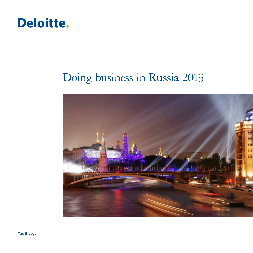

# Doing business in Russia 2013

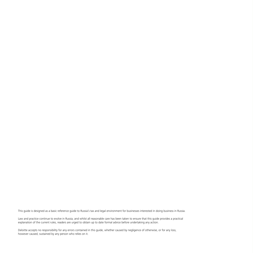This guide is designed as a basic reference guide to Russia's tax and legal environment for businesses interested in doing business in Russia.

Law and practice continue to evolve in Russia, and whilst all reasonable care has been taken to ensure that this guide provides a practical explanation of the current rules, readers are urged to obtain up to date formal advice before undertaking any action.

Deloitte accepts no responsibility for any errors contained in this guide, whether caused by negligence of otherwise, or for any loss, however caused, sustained by any person who relies on it.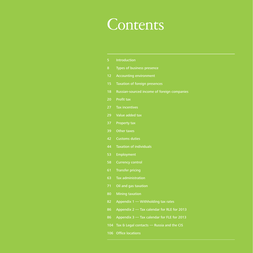# **Contents**

- Introduction
- Types of business presence
- Accounting environment
- Taxation of foreign presences
- Russian-sourced income of foreign companies
- Profit tax
- Tax incentives
- 29 Value added tax
- Property tax
- Other taxes
- Customs duties
- Taxation of individuals
- Employment
- Currency control
- Transfer pricing
- Tax administration
- 71 Oil and gas taxation
- Mining taxation
- Appendix 1 Withholding tax rates
- 86 Appendix 2 Tax calendar for RLE for 2013
- 86 Appendix 3 Tax calendar for FLE for 2013
- Tax & Legal contacts Russia and the CIS
- Office locations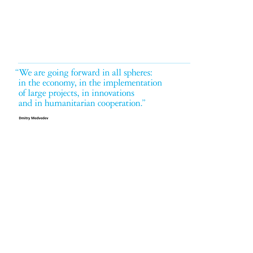"We are going forward in all spheres: in the economy, in the implementation of large projects, in innovations and in humanitarian cooperation."

**Dmitry Medvedev**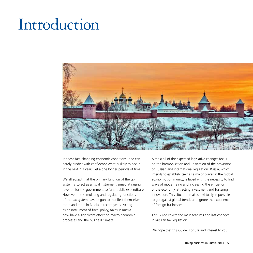# Introduction



In these fast-changing economic conditions, one can hardly predict with confidence what is likely to occur in the next 2-3 years, let alone longer periods of time.

We all accept that the primary function of the tax system is to act as a fiscal instrument aimed at raising revenue for the government to fund public expenditure. However, the stimulating and regulating functions of the tax system have begun to manifest themselves more and more in Russia in recent years. Acting as an instrument of fiscal policy, taxes in Russia now have a significant effect on macro-economic processes and the business climate.

Almost all of the expected legislative changes focus on the harmonisation and unification of the provisions of Russian and international legislation. Russia, which intends to establish itself as a major player in the global economic community, is faced with the necessity to find ways of modernising and increasing the efficiency of the economy, attracting investment and fostering innovation. This situation makes it virtually impossible to go against global trends and ignore the experience of foreign businesses.

This Guide covers the main features and last changes in Russian tax legislation.

We hope that this Guide is of use and interest to you.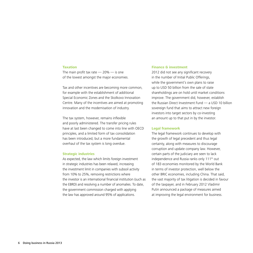#### **Taxation**

The main profit tax rate  $-20\%$   $-$  is one of the lowest amongst the major economies.

Tax and other incentives are becoming more common, for example with the establishment of additional Special Economic Zones and the Skolkovo Innovation Centre. Many of the incentives are aimed at promoting innovation and the modernisation of industry.

The tax system, however, remains inflexible and poorly administered. The transfer pricing rules have at last been changed to come into line with OECD principles, and a limited form of tax consolidation has been introduced, but a more fundamental overhaul of the tax system is long overdue.

#### **Strategic industries**

As expected, the law which limits foreign investment in strategic industries has been relaxed, increasing the investment limit in companies with subsoil activity from 10% to 25%, removing restrictions where the investor is an international financial institution (such as the EBRD) and resolving a number of anomalies. To date, the government commission charged with applying the law has approved around 95% of applications.

# **Finance & investment**

2012 did not see any significant recovery in the number of Initial Public Offerings, while the government's own plans to raise up to USD 50 billion from the sale of state shareholdings are on hold until market conditions improve. The government did, however, establish the Russian Direct Investment Fund — a USD 10 billion sovereign fund that aims to attract new foreign investors into target sectors by co-investing an amount up to that put in by the investor.

# **Legal framework**

The legal framework continues to develop with the growth of legal precedent and thus legal certainty, along with measures to discourage corruption and update company law. However, certain parts of the judiciary are seen to lack independence and Russia ranks only 111<sup>th</sup> out of 183 economies monitored by the World Bank in terms of investor protection, well below the other BRIC economies, including China. That said, the vast majority of tax litigation is decided in favour of the taxpayer, and in February 2012 Vladimir Putin announced a package of measures aimed at improving the legal environment for business.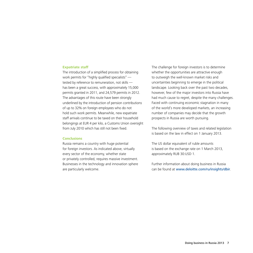#### **Expatriate staff**

The introduction of a simplified process for obtaining work permits for "highly qualified specialists" tested by reference to remuneration, not skills has been a great success, with approximately 15,000 permits granted in 2011, and 24,579 permits in 2012. The advantages of this route have been strongly underlined by the introduction of pension contributions of up to 32% on foreign employees who do not hold such work permits. Meanwhile, new expatriate staff arrivals continue to be taxed on their household belongings at EUR 4 per kilo, a Customs Union oversight from July 2010 which has still not been fixed.

# **Conclusions**

Russia remains a country with huge potential for foreign investors. As indicated above, virtually every sector of the economy, whether state or privately controlled, requires massive investment. Businesses in the technology and innovation sphere are particularly welcome.

The challenge for foreign investors is to determine whether the opportunities are attractive enough to outweigh the well-known market risks and uncertainties beginning to emerge in the political landscape. Looking back over the past two decades, however, few of the major investors into Russia have had much cause to regret, despite the many challenges. Faced with continuing economic stagnation in many of the world's more developed markets, an increasing number of companies may decide that the growth prospects in Russia are worth pursuing.

The following overview of taxes and related legislation is based on the law in effect on 1 January 2013.

The US dollar equivalent of ruble amounts is based on the exchange rate on 1 March 2013, approximately RUB 30:USD 1.

Further information about doing business in Russia can be found at www.deloitte.com/ru/insights/dbir.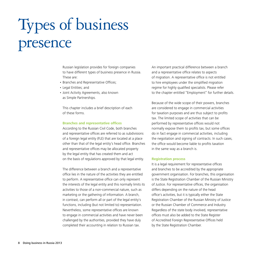# Types of business presence

Russian legislation provides for foreign companies to have different types of business presence in Russia. These are:

- Branches and Representative Offices;
- • Legal Entities; and
- • Joint Activity Agreements, also known as Simple Partnerships.

This chapter includes a brief description of each of these forms.

### **Branches and representative offices**

According to the Russian Civil Code, both branches and representative offices are referred to as subdivisions of a foreign legal entity (FLE) that are located at a place other than that of the legal entity's head office. Branches and representative offices may be allocated property by the legal entity that has created them and act on the basis of regulations approved by that legal entity.

The difference between a branch and a representative office lies in the nature of the activities they are entitled to perform. A representative office can only represent the interests of the legal entity and this normally limits its activities to those of a non-commercial nature, such as marketing or the gathering of information. A branch, in contrast, can perform all or part of the legal entity's functions, including (but not limited to) representation. Nevertheless, some representative offices are known to engage in commercial activities and have never been challenged by the authorities, provided they have duly completed their accounting in relation to Russian tax.

An important practical difference between a branch and a representative office relates to aspects of migration. A representative office is not entitled to hire employees under the simplified migration regime for highly qualified specialists. Please refer to the chapter entitled "Employment" for further details.

Because of the wide scope of their powers, branches are considered to engage in commercial activities for taxation purposes and are thus subject to profits tax. The limited scope of activities that can be performed by representative offices would not normally expose them to profits tax, but some offices do in fact engage in commercial activities, including the negotiation and signing of contracts. In such cases, the office would become liable to profits taxation in the same way as a branch is.

# **Registration process**

It is a legal requirement for representative offices and branches to be accredited by the appropriate government organisation. For branches, this organisation is the State Registration Chamber of the Russian Ministry of Justice. For representative offices, the organisation differs depending on the nature of the head office's activities, but it is typically either the State Registration Chamber of the Russian Ministry of Justice or the Russian Chamber of Commerce and Industry. Regardless of the state body involved, representative offices must also be added to the State Register of Accredited Foreign Representative Offices held by the State Registration Chamber.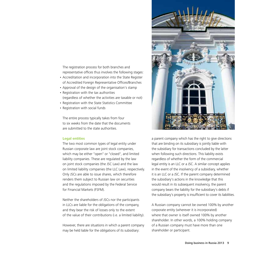The registration process for both branches and representative offices thus involves the following stages:

- • Accreditation and incorporation into the State Register of Accredited Foreign Representative Offices/Branches
- • Approval of the design of the organisation's stamp
- Registration with the tax authorities (regardless of whether the activities are taxable or not)
- • Registration with the State Statistics Committee
- Registration with social funds

The entire process typically takes from four to six weeks from the date that the documents are submitted to the state authorities.

# **Legal entities**

The two most common types of legal entity under Russian corporate law are joint stock companies, which may be either "open" or "closed", and limited liability companies. These are regulated by the law on joint stock companies (the JSC Law) and the law on limited liability companies (the LLC Law), respectively. Only JSCs are able to issue shares, which therefore renders them subject to Russian law on securities and the regulations imposed by the Federal Service for Financial Markets (FSFM).

Neither the shareholders of JSCs nor the participants in LLCs are liable for the obligations of the company, and they bear the risk of losses only to the extent of the value of their contributions (i.e. a limited liability).

However, there are situations in which a parent company may be held liable for the obligations of its subsidiary:



a parent company which has the right to give directions that are binding on its subsidiary is jointly liable with the subsidiary for transactions concluded by the latter when following such directions. This liability exists regardless of whether the form of the commercial legal entity is an LLC or a JSC. A similar concept applies in the event of the insolvency of a subsidiary, whether it is an LLC or a JSC. If the parent company determined the subsidiary's actions in the knowledge that this would result in its subsequent insolvency, the parent company bears the liability for the subsidiary's debts if the subsidiary's property is insufficient to cover its liabilities.

A Russian company cannot be owned 100% by another corporate entity (wherever it is incorporated) where that owner is itself owned 100% by another shareholder. In other words, a 100% holding company of a Russian company must have more than one shareholder or participant.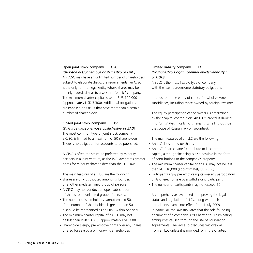# Open joint stock company — OJSC *(Otkrytoe aktsyonernoye obshchestvo or OAO)*

An OJSC may have an unlimited number of shareholders. Subject to elaborate disclosure requirements, an OJSC is the only form of legal entity whose shares may be openly traded; similar to a western "public" company. The minimum charter capital is set at RUB 100,000 (approximately USD 3,300). Additional obligations are imposed on OJSCs that have more than a certain number of shareholders.

# Closed joint stock company — CJSC *(Zakrytoe aktsyonernoye obshchestvo or ZAO)*

The most common type of joint stock company, a CJSC, is limited to a maximum of 50 shareholders. There is no obligation for accounts to be published.

A CJSC is often the structure preferred by minority partners in a joint venture, as the JSC Law grants greater rights for minority shareholders than the LLC Law.

The main features of a CJSC are the following:

- Shares are only distributed among its founders or another predetermined group of persons
- A CJSC may not conduct an open subscription of shares to an unlimited group of persons.
- The number of shareholders cannot exceed 50. If the number of shareholders is greater than 50, it should be reorganised as an OJSC within one year
- The minimum charter capital of a CJSC may not be less than RUB 10,000 (approximately USD 330).
- Shareholders enjoy pre-emptive rights over any shares offered for sale by a withdrawing shareholder.

# Limited liability company — LLC *(Obshchestvo s ogranichennoi otvetstvennostyu or OOO)*

An LLC is the most flexible type of company with the least burdensome statutory obligations.

It tends to be the entity of choice for wholly-owned subsidiaries, including those owned by foreign investors.

The equity participation of the owners is determined by their capital contribution. An LLC's capital is divided into "units" (technically not shares, thus falling outside the scope of Russian law on securities).

The main features of an LLC are the following:

- An LLC does not issue shares
- An LLC's "participants" contribute to its charter capital, although financing is also possible in the form of contributions to the company's property
- The minimum charter capital of an LLC may not be less than RUB 10,000 (approximately USD 330).
- Participants enjoy pre-emptive rights over any participatory units offered for sale by a withdrawing participant.
- The number of participants may not exceed 50.

A comprehensive law aimed at improving the legal status and regulation of LLCs, along with their participants, came into effect from 1 July 2009. In particular, the law stipulates that the sole founding document of a company is its Charter, thus eliminating ambiguities caused through the use of Foundation Agreements. The law also precludes withdrawal from an LLC unless it is provided for in the Charter;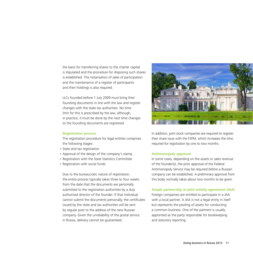the basis for transferring shares to the charter capital is stipulated and the procedure for disposing such shares is established. The notarisation of sales of participation and the maintenance of a register of participants and their holdings is also required.

LLCs founded before 1 July 2009 must bring their founding documents in line with the law and register changes with the state tax authorities. No time limit for this is prescribed by the law, although, in practice, it must be done by the next time changes to the founding documents are registered

# **Registration process**

The registration procedure for legal entities comprises the following stages:

- State and tax registration
- Approval of the design of the company's stamp
- Registration with the State Statistics Committee
- Registration with social funds

Due to the bureaucratic nature of registration, the entire process typically takes three to four weeks from the date that the documents are personally submitted to the registration authorities by a duly authorised director of the founder. If that individual cannot submit the documents personally, the certificates issued by the state and tax authorities will be sent by regular post to the address of the new Russian company. Given the unreliability of the postal service in Russia, delivery cannot be guaranteed.



In addition, joint stock companies are required to register their share issue with the FSFM, which increases the time required for registration by one to two months.

#### **Antimonopoly approval**

In some cases, depending on the assets or sales revenue of the founder(s), the prior approval of the Federal Antimonopoly Service may be required before a Russian company can be established. A preliminary approval from this body normally takes about two months to be given.

# **Simple partnership or joint activity agreement (JAA)**

Foreign companies are entitled to participate in a JAA with a local partner. A JAA is not a legal entity in itself but represents the pooling of assets for conducting a common business. One of the partners is usually appointed as the party responsible for bookkeeping and statutory reporting.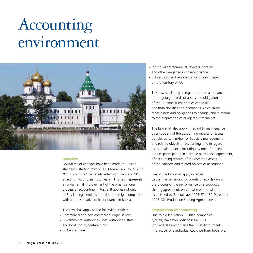# Accounting environment



### **Overview**

Several major changes have been made to Russian standards, starting from 2013. Federal Law No. 402-FZ "On Accounting" came into effect on 1 January 2013, affecting most Russian businesses. This Law represents a fundamental improvement of the organisational process of accounting in Russia. It applies not only to Russian legal entities, but also to foreign companies with a representative office or branch in Russia.

The Law shall apply to the following entities:

- • Commercial and non-commercial organisations
- • Governmental authorities, local authorities, state and local non-budgetary funds
- • RF Central Bank
- Individual entrepreneurs, lawyers, notaries and others engaged in private practice
- Subdivisions and representative offices located on the territory of RF.

This Law shall apply in regard to the maintenance of budgetary records of assets and obligations of the RF, constituent entities of the RF and municipalities and operations which cause those assets and obligations to change, and in regard to the preparation of budgetary statements.

The Law shall also apply in regard to maintenance by a fiduciary of the accounting records of assets transferred to him/her for fiduciary management and related objects of accounting, and in regard to the maintenance, including by one of the legal entities participating in a simple partnership agreement, of accounting records of the common assets of the partners and related objects of accounting.

Finally, the Law shall apply in regard to the maintenance of accounting records during the process of the performance of a production sharing agreement, except where otherwise established by Federal Law #225-FZ of 30 December 1995 "On Production Sharing Agreements".

# **Organisation of accounting**

Due to old legislation, Russian companies typically have two positions: the CEO (or General Director) and the Chief Accountant. In practice, one individual could perform both roles.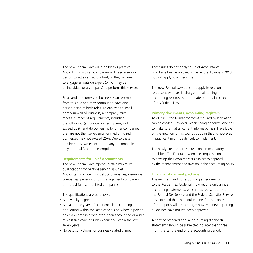The new Federal Law will prohibit this practice. Accordingly, Russian companies will need a second person to act as an accountant, or they will need to engage an outside expert (which may be an individual or a company) to perform this service.

Small and medium-sized businesses are exempt from this rule and may continue to have one person perform both roles. To qualify as a small or medium-sized business, a company must meet a number of requirements, including the following: (a) foreign ownership may not exceed 25%, and (b) ownership by other companies that are not themselves small or medium-sized businesses may not exceed 25%. Due to these requirements, we expect that many of companies may not qualify for the exemption.

### **Requirements for Chief Accountants**

The new Federal Law imposes certain minimum qualifications for persons serving as Chief Accountants of open joint-stock companies, insurance companies, pension funds, management companies of mutual funds, and listed companies.

The qualifications are as follows:

- A university degree
- At least three years of experience in accounting or auditing within the last five years or, where a person holds a degree in a field other than accounting or audit, at least five years of such experience within the last seven years
- No past convictions for business-related crimes

These rules do not apply to Chief Accountants who have been employed since before 1 January 2013, but will apply to all new hires.

The new Federal Law does not apply in relation to persons who are in charge of maintaining accounting records as of the date of entry into force of this Federal Law.

# **Primary documents, accounting registers**

As of 2013, the format for forms required by legislation can be chosen. However, when changing forms, one has to make sure that all current information is still available on the new form. This sounds good in theory; however, in practice it might be difficult to implement.

The newly-created forms must contain mandatory requisites. The Federal Law enables organisations to develop their own registers subject to approval by the management and fixation in the accounting policy.

#### **Financial statement package**

The new Law and corresponding amendments to the Russian Tax Code will now require only annual accounting statements, which must be sent to both the Federal Tax Service and the Federal Statistics Service. It is expected that the requirements for the contents of the reports will also change; however, new reporting guidelines have not yet been approved.

A copy of prepared annual accounting (financial) statements should be submitted no later than three months after the end of the accounting period.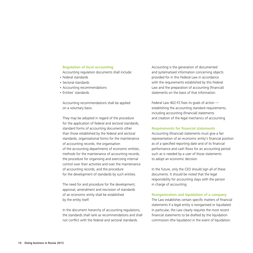# **Regulation of local accounting**

Accounting regulation documents shall include:

- • Federal standards
- • Sectoral standards
- Accounting recommendations
- Entities' standards.

Accounting recommendations shall be applied on a voluntary basis.

They may be adopted in regard of the procedure for the application of federal and sectoral standards, standard forms of accounting documents other than those established by the federal and sectoral standards, organisational forms for the maintenance of accounting records, the organisation of the accounting departments of economic entities, methods for the maintenance of accounting records, the procedure for organising and exercising internal control over their activities and over the maintenance of accounting records, and the procedure for the development of standards by such entities.

The need for and procedure for the development, approval, amendment and rescission of standards of an economic entity shall be established by the entity itself.

In the document hierarchy of accounting regulations, the standards shall rank as recommendations and shall not conflict with the federal and sectoral standards.

Accounting is the generation of documented and systematised information concerning objects provided for in this Federal Law in accordance with the requirements established by this Federal Law and the preparation of accounting (financial) statements on the basis of that information.

Federal Law 402-FZ fixes its goals of action establishing the accounting standard requirements, including accounting (financial) statements and creation of the legal mechanics of accounting

#### **Requirements for financial statements**

Accounting (financial) statements must give a fair representation of an economic entity's financial position as of a specified reporting date and of its financial performance and cash flows for an accounting period such as is needed by a user of those statements to adopt an economic decision.

In the future, only the CEO should sign all of these documents. It should be noted that the legal responsibility for accounting stays with the person in charge of accounting.

#### **Reorganisation and liquidation of a company**

The Law establishes certain specific matters of financial statements if a legal entity is reorganised or liquidated. In particular, the Law clearly requires the most recent financial statements to be drafted by the liquidation commission (the liquidator) in the event of liquidation.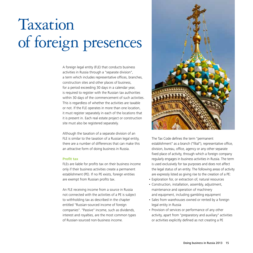# Taxation of foreign presences

A foreign legal entity (FLE) that conducts business activities in Russia through a "separate division", a term which includes representative offices, branches, construction sites and other places of business, for a period exceeding 30 days in a calendar year, is required to register with the Russian tax authorities within 30 days of the commencement of such activities. This is regardless of whether the activities are taxable or not. If the FLE operates in more than one location, it must register separately in each of the locations that it is present in. Each real estate project or construction site must also be registered separately.

Although the taxation of a separate division of an FLE is similar to the taxation of a Russian legal entity, there are a number of differences that can make this an attractive form of doing business in Russia.

# **Profit tax**

FLEs are liable for profits tax on their business income only if their business activities create a permanent establishment (PE). If no PE exists, foreign entities are exempt from Russian profits tax.

An FLE receiving income from a source in Russia not connected with the activities of a PE is subject to withholding tax as described in the chapter entitled "Russian-sourced income of foreign companies". "Passive" income, such as dividends, interest and royalties, are the most common types of Russian-sourced non-business income.



The Tax Code defines the term "permanent establishment" as a branch ("filial"), representative office, division, bureau, office, agency or any other separate fixed place of activity, through which a foreign company regularly engages in business activities in Russia. The term is used exclusively for tax purposes and does not affect the legal status of an entity. The following areas of activity are expressly listed as giving rise to the creation of a PE:

- Exploration for, or extraction of, natural resources
- • Construction, installation, assembly, adjustment, maintenance and operation of machinery and equipment, including gambling equipment
- Sales from warehouses owned or rented by a foreign legal entity in Russia
- Provision of services or performance of any other activity, apart from "preparatory and auxiliary" activities or activities explicitly defined as not creating a PE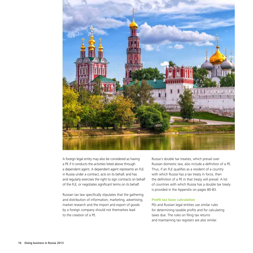

A foreign legal entity may also be considered as having a PE if it conducts the activities listed above through a dependent agent. A dependent agent represents an FLE in Russia under a contract, acts on its behalf, and has and regularly exercises the right to sign contracts on behalf of the FLE, or negotiates significant terms on its behalf.

Russian tax law specifically stipulates that the gathering and distribution of information, marketing, advertising, market research and the import and export of goods by a foreign company should not themselves lead to the creation of a PE.

Russia's double tax treaties, which prevail over Russian domestic law, also include a definition of a PE. Thus, if an FLE qualifies as a resident of a country with which Russia has a tax treaty in force, then the definition of a PE in that treaty will prevail. A list of countries with which Russia has a double tax treaty is provided in the Appendix on pages 80-83.

# **Profit tax base calculation**

PEs and Russian legal entities use similar rules for determining taxable profits and for calculating taxes due. The rules on filing tax returns and maintaining tax registers are also similar.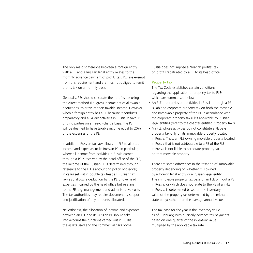The only major difference between a foreign entity with a PE and a Russian legal entity relates to the monthly advance payment of profits tax. PEs are exempt from this requirement and are thus not obliged to remit profits tax on a monthly basis.

Generally, PEs should calculate their profits tax using the direct method (i.e. gross income net of allowable deductions) to arrive at their taxable income. However, when a foreign entity has a PE because it conducts preparatory and auxiliary activities in Russia in favour of third parties on a free-of-charge basis, the PE will be deemed to have taxable income equal to 20% of the expenses of the PE.

In addition, Russian tax law allows an FLE to allocate income and expenses to its Russian PE. In particular, where all income from activities in Russia earned through a PE is received by the head office of the FLE, the income of the Russian PE is determined through reference to the FLE's accounting policy. Moreover, in cases set out in double tax treaties, Russian tax law also allows a deduction by the PE of overhead expenses incurred by the head office but relating to the PE, e.g. management and administrative costs. The tax authorities may require documentary support and justification of any amounts allocated.

Nevertheless, the allocation of income and expenses between an FLE and its Russian PE should take into account the functions carried out in Russia, the assets used and the commercial risks borne.

Russia does not impose a "branch profits" tax on profits repatriated by a PE to its head office.

#### **Property tax**

The Tax Code establishes certain conditions regarding the application of property tax to FLEs, which are summarised below:

- An FLE that carries out activities in Russia through a PE is liable to corporate property tax on both the movable and immovable property of the PE in accordance with the corporate property tax rules applicable to Russian legal entities (refer to the chapter entitled "Property tax")
- An FLE whose activities do not constitute a PE pays property tax only on its immovable property located in Russia. Thus, an FLE owning movable property located in Russia that is not attributable to a PE of the FLE in Russia is not liable to corporate property tax on that movable property

There are some differences in the taxation of immovable property depending on whether it is owned by a foreign legal entity or a Russian legal entity. The immovable property tax base of an FLE without a PE in Russia, or which does not relate to the PE of an FLE in Russia, is determined based on the inventory value of the property (as determined by the relevant state body) rather than the average annual value.

The tax base for the year is the inventory value as of 1 January, with quarterly advance tax payments based on one-quarter of the inventory value multiplied by the applicable tax rate.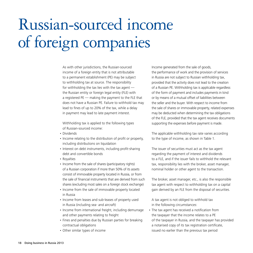# Russian-sourced income of foreign companies

As with other jurisdictions, the Russian-sourced income of a foreign entity that is not attributable to a permanent establishment (PE) may be subject to withholding tax at source. The responsibility for withholding the tax lies with the tax agent the Russian entity or foreign legal entity (FLE) with a registered PE — making the payment to the FLE that does not have a Russian PE. Failure to withhold tax may lead to fines of up to 20% of the tax, while a delay in payment may lead to late payment interest.

Withholding tax is applied to the following types of Russian-sourced income:

- • Dividends
- Income relating to the distribution of profit or property, including distributions on liquidation
- Interest on debt instruments, including profit-sharing debt and convertible bonds
- Royalties
- Income from the sale of shares (participatory rights) of a Russian corporation if more than 50% of its assets consist of immovable property located in Russia, or from the sale of financial instruments that are derived from such shares (excluding most sales on a foreign stock exchange)
- Income from the sale of immovable property located in Russia
- Income from leases and sub-leases of property used in Russia (including sea- and aircraft)
- Income from international freight, including demurrage and other payments relating to freight
- Fines and penalties due by Russian parties for breaking contractual obligations
- Other similar types of income

Income generated from the sale of goods, the performance of work and the provision of services in Russia are not subject to Russian withholding tax, provided that the activity does not lead to the creation of a Russian PE. Withholding tax is applicable regardless of the form of payment and includes payments in kind or by means of a mutual offset of liabilities between the seller and the buyer. With respect to income from the sale of shares or immovable property, related expenses may be deducted when determining the tax obligations of the FLE, provided that the tax agent receives documents supporting the expenses before payment is made.

The applicable withholding tax rate varies according to the type of income, as shown in Table 1.

The issuer of securities must act as the tax agent regarding the payment of interest and dividends to a FLE, and if the issuer fails to withhold the relevant tax, responsibility lies with the broker, asset manager, nominal holder or other agent to the transaction.

The broker, asset manager, etc., is also the responsible tax agent with respect to withholding tax on a capital gain derived by an FLE from the disposal of securities.

A tax agent is not obliged to withhold tax in the following circumstances:

• The tax agent has received a notification from the taxpayer that the income relates to a PE of the taxpayer in Russia, and the taxpayer has provided a notarised copy of its tax registration certificate, issued no earlier than the previous tax period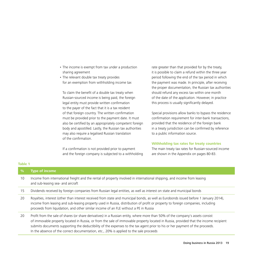- The income is exempt from tax under a production sharing agreement
- The relevant double tax treaty provides for an exemption from withholding income tax

To claim the benefit of a double tax treaty when Russian-sourced income is being paid, the foreign legal entity must provide written confirmation to the payer of the fact that it is a tax resident of that foreign country. The written confirmation must be provided prior to the payment date. It must also be certified by an appropriately competent foreign body and apostilled. Lastly, the Russian tax authorities may also require a legalised Russian translation of the confirmation.

If a confirmation is not provided prior to payment and the foreign company is subjected to a withholding rate greater than that provided for by the treaty, it is possible to claim a refund within the three year period following the end of the tax period in which the payment was made. In principle, after receiving the proper documentation, the Russian tax authorities should refund any excess tax within one month of the date of the application. However, in practice this process is usually significantly delayed.

Special provisions allow banks to bypass the residence confirmation requirement for inter-bank transactions, provided that the residence of the foreign bank in a treaty jurisdiction can be confirmed by reference to a public information source.

# **Withholding tax rates for treaty countries**

The main treaty tax rates for Russian-sourced income are shown in the Appendix on pages 80-83.

#### **Table 1**

| $\frac{9}{6}$ | <b>Type of income</b>                                                                                                                                                                                                                                                                                                                                                                                                                                                                             |
|---------------|---------------------------------------------------------------------------------------------------------------------------------------------------------------------------------------------------------------------------------------------------------------------------------------------------------------------------------------------------------------------------------------------------------------------------------------------------------------------------------------------------|
| 10            | Income from international freight and the rental of property involved in international shipping, and income from leasing<br>and sub-leasing sea- and aircraft                                                                                                                                                                                                                                                                                                                                     |
| 15            | Dividends received by foreign companies from Russian legal entities, as well as interest on state and municipal bonds                                                                                                                                                                                                                                                                                                                                                                             |
| 20            | Royalties, interest (other than interest received from state and municipal bonds, as well as Eurobonds issued before 1 January 2014),<br>income from leasing and sub-leasing property used in Russia, distribution of profit or property to foreign companies, including<br>proceeds from liquidation, and other similar income of an FLE without a PE in Russia                                                                                                                                  |
| 20            | Profit from the sale of shares (or share derivatives) in a Russian entity, where more than 50% of the company's assets consist<br>of immovable property located in Russia, or from the sale of immovable property located in Russia, provided that the income recipient<br>submits documents supporting the deductibility of the expenses to the tax agent prior to his or her payment of the proceeds.<br>In the absence of the correct documentation, etc., 20% is applied to the sale proceeds |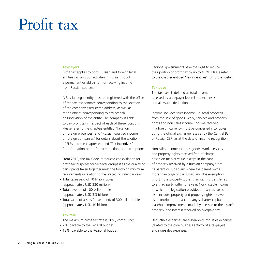# Profit tax

#### **Taxpayers**

Profit tax applies to both Russian and foreign legal entities carrying out activities in Russia through a permanent establishment or receiving income from Russian sources.

A Russian legal entity must be registered with the office of the tax inspectorate corresponding to the location of the company's registered address, as well as at the offices corresponding to any branch or subdivision of the entity. The company is liable to pay profit tax in respect of each of these locations. Please refer to the chapters entitled "Taxation of foreign presences" and "Russian-sourced income of foreign companies" for details about the taxation of FLEs and the chapter entitled "Tax Incentives" for information on profit tax reductions and exemptions.

From 2012, the Tax Code introduced consolidation for profit tax purposes for taxpayer groups if all the qualifying participants taken together meet the following minimum requirements in relation to the preceding calendar year:

- Total taxes paid of 10 billion rubles (approximately USD 330 million)
- Total revenue of 100 billion rubles (approximately USD 3.3 billion)
- Total value of assets (at year end) of 300 billion rubles (approximately USD 10 billion)

# **Tax rate**

The maximum profit tax rate is 20%, comprising:

- • 2%, payable to the Federal budget
- 18%, payable to the Regional budget

Regional governments have the right to reduce their portion of profit tax by up to 4.5%. Please refer to the chapter entitled "Tax incentives" for further details.

#### **Tax base**

The tax base is defined as total income received by a taxpayer less related expenses and allowable deductions.

Income includes sales income, i.e. total proceeds from the sale of goods, work, services and property rights and non-sales income. Income received in a foreign currency must be converted into rubles using the official exchange rate set by the Central Bank of Russia (CBR) as at the date of income recognition.

Non-sales income includes goods, work, services and property rights received free-of-charge, based on market value, except in the case of property received by a Russian company from its parent or subsidiary where the parent owns more than 50% of the subsidiary. This exemption is lost if the property (other than cash) is transferred to a third party within one year. Non-taxable income, of which the legislation provides an exhaustive list, also includes property and property rights received as a contribution to a company's charter capital, leasehold improvements made by a lessee to the lessor's property, and interest received on overpaid tax.

Deductible expenses are subdivided into sales expenses (related to the core business activity of a taxpayer) and non-sales expenses.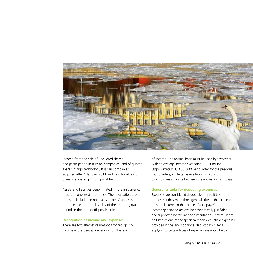

Income from the sale of unquoted shares and participation in Russian companies, and of quoted shares in high-technology Russian companies, acquired after 1 January 2011 and held for at least 5 years, are exempt from profit tax.

Assets and liabilities denominated in foreign currency must be converted into rubles. The revaluation profit or loss is included in non-sales income/expenses on the earliest of: the last day of the reporting (tax) period or the date of disposal/settlement.

#### **Recognition of income and expenses**

There are two alternative methods for recognising income and expenses, depending on the level

of income. The accrual basis must be used by taxpayers with an average income exceeding RUB 1 million (approximately USD 33,000) per quarter for the previous four quarters, while taxpayers falling short of this threshold may choose between the accrual or cash basis.

#### **General criteria for deducting expenses**

Expenses are considered deductible for profit tax purposes if they meet three general criteria: the expenses must be incurred in the course of a taxpayer's income generating activity, be economically justifiable and supported by relevant documentation. They must not be listed as one of the specifically non-deductible expenses provided in the law. Additional deductibility criteria applying to certain types of expenses are noted below.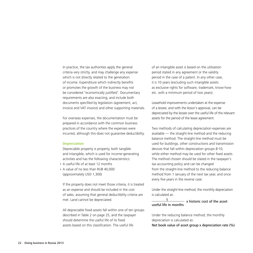In practice, the tax authorities apply the general criteria very strictly, and may challenge any expense which is not directly related to the generation of income. Expenditure which indirectly benefits or promotes the growth of the business may not be considered "economically justified". Documentary requirements are also exacting, and include both documents specified by legislation (agreement, act, invoice and VAT invoice) and other supporting materials.

For overseas expenses, the documentation must be prepared in accordance with the common business practices of the country where the expenses were incurred, although this does not guarantee deductibility.

#### **Depreciation**

Depreciable property is property, both tangible and intangible, which is used for income-generating activities and has the following characteristics:

- A useful life of at least 12 months
- A value of no less than RUB 40,000 (approximately USD 1,300)

If the property does not meet those criteria, it is treated as an expense and should be included in the cost of sales, assuming that general deductibility criteria are met. Land cannot be depreciated.

All depreciable fixed assets fall within one of ten groups described in Table 2 on page 25, and the taxpayer should determine the useful life of its fixed assets based on this classification. The useful life

of an intangible asset is based on the utilisation period stated in any agreement or the validity period in the case of a patent. In any other case, it is 10 years (excluding such intangible assets as exclusive rights for software, trademark, know-how etc. with a minimum period of two years).

Leasehold improvements undertaken at the expense of a lessee, and with the lessor's approval, can be depreciated by the lessee over the useful life of the relevant assets for the period of the lease agreement.

Two methods of calculating depreciation expenses are available — the straight-line method and the reducing balance method. The straight-line method must be used for buildings, other constructions and transmission devices that fall within depreciation groups 8-10, while either method may be used for other fixed assets. The method chosen should be stated in the taxpayer's tax accounting policy and can be changed from the straight-line method to the reducing balance method from 1 January of the next tax year, and once every five years in the reverse case.

Under the straight-line method, the monthly depreciation is calculated as:

# $-$  x historic cost of the asset useful life in months

Under the reducing balance method, the monthly depreciation is calculated as:

Net book value of asset group x depreciation rate (%)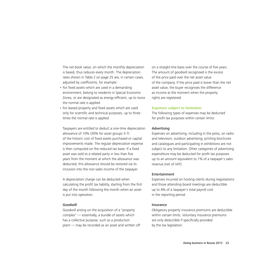The net book value, on which the monthly depreciation is based, thus reduces every month. The depreciation rates shown in Table 2 on page 25 are, in certain cases, adjusted by coefficients, for example:

- For fixed assets which are used in a demanding environment, belong to residents in Special Economic Zones, or are designated as energy-efficient, up to twice the normal rate is applied
- For leased property and fixed assets which are used only for scientific and technical purposes, up to three times the normal rate is applied

Taxpayers are entitled to deduct a one-time depreciation allowance of 10% (30% for asset groups 3-7) of the historic cost of fixed assets purchased or capital improvements made. The regular depreciation expense is then computed on the reduced tax base. If a fixed asset was sold to a related party in less than five years from the moment at which the allowance was deducted, this allowance should be restored via its inclusion into the non-sales income of the taxpayer.

A depreciation charge can be deducted when calculating the profit tax liability, starting from the first day of the month following the month when an asset is put into operation.

# Goodwill

Goodwill arising on the acquisition of a "property complex" — essentially, a bundle of assets which has a collective purpose, such as a production plant — may be recorded as an asset and written off on a straight-line basis over the course of five years. The amount of goodwill recognised is the excess of the price paid over the net asset value of the company. If the price paid is lower than the net asset value, the buyer recognises the difference as income at the moment when the property rights are registered.

#### **Expenses subject to limitation**

The following types of expenses may be deducted for profit tax purposes within certain limits:

# Advertising

Expenses on advertising, including in the press, on radio and television, outdoor advertising, printing brochures and catalogues and participating in exhibitions are not subject to any limitation. Other categories of advertising expenditure may be deducted for profit tax purposes up to an amount equivalent to 1% of a taxpayer's sales revenue (net of VAT).

#### Entertainment

Expenses incurred on hosting clients during negotiations and those attending board meetings are deductible up to 4% of a taxpayer's total payroll cost in the reporting period.

# Insurance

Obligatory property insurance premiums are deductible within certain limits. Voluntary insurance premiums are only deductible if specifically provided by the tax legislation.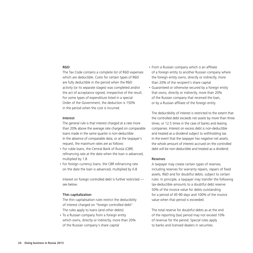#### R&D

The Tax Code contains a complete list of R&D expenses which are deductible. Costs for certain types of R&D are fully deductible in the period when the R&D activity (or its separate stages) was completed and/or the act of acceptance signed, irrespective of the result. For some types of expenditure listed in a special Order of the Government, the deduction is 150% in the period when the cost is incurred.

#### Interest

The general rule is that interest charged at a rate more than 20% above the average rate charged on comparable loans made in the same quarter is non-deductible. In the absence of comparable data, or at the taxpayer's request, the maximum rates are as follows:

- For ruble loans, the Central Bank of Russia (CBR) refinancing rate at the date when the loan is advanced, multiplied by 1.8
- For foreign currency loans, the CBR refinancing rate on the date the loan is advanced, multiplied by 0.8

Interest on foreign controlled debt is further restricted see below.

#### Thin capitalization

The thin capitalisation rules restrict the deducibility of interest charged on "foreign controlled debt". The rules apply to loans (and other debts):

• To a Russian company from a foreign entity which owns, directly or indirectly, more than 20% of the Russian company's share capital

- From a Russian company which is an affiliate of a foreign entity to another Russian company where the foreign entity owns, directly or indirectly, more than 20% of the recipient's share capital
- Guaranteed or otherwise secured by a foreign entity that owns, directly or indirectly, more than 20% of the Russian company that received the loan, or by a Russian affiliate of the foreign entity

The deductibility of interest is restricted to the extent that the controlled debt exceeds net assets by more than three times, or 12.5 times in the case of banks and leasing companies. Interest on excess debt is non-deductible and treated as a dividend subject to withholding tax. In the event that the taxpayer has negative net assets, the whole amount of interest accrued on the controlled debt will be non-deductible and treated as a dividend.

# Reserves

A taxpayer may create certain types of reserves, including reserves for warranty repairs, repairs of fixed assets, R&D and for doubtful debts, subject to certain rules. In principle, a taxpayer may transfer the following tax-deductible amounts to a doubtful debt reserve: 50% of the invoice value for debts outstanding for a period of 45-90 days and 100% of the invoice value when that period is exceeded.

The total reserve for doubtful debts as at the end of the reporting (tax) period may not exceed 10% of revenue for the period. Special rules apply to banks and licensed dealers in securities.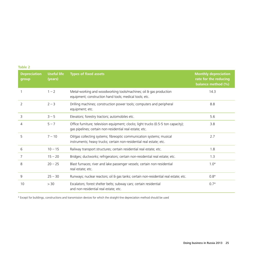|         |  | ٠ |
|---------|--|---|
|         |  |   |
|         |  |   |
| _______ |  |   |

| <b>Depreciation</b><br>group | <b>Useful life</b><br>(years) | <b>Types of fixed assets</b>                                                                                                                   | <b>Monthly depreciation</b><br>rate for the reducing<br>balance method (%) |
|------------------------------|-------------------------------|------------------------------------------------------------------------------------------------------------------------------------------------|----------------------------------------------------------------------------|
|                              | $1 - 2$                       | Metal-working and woodworking tools/machines; oil & gas production<br>equipment; construction hand tools; medical tools; etc.                  | 14.3                                                                       |
| $\overline{2}$               | $2 - 3$                       | Drilling machines; construction power tools; computers and peripheral<br>equipment; etc.                                                       | 8.8                                                                        |
| 3                            | $3 - 5$                       | Elevators; forestry tractors; automobiles etc.                                                                                                 | 5.6                                                                        |
| 4                            | $5 - 7$                       | Office furniture; television equipment; clocks; light trucks (0.5-5 ton capacity);<br>gas pipelines; certain non-residential real estate; etc. | 3.8                                                                        |
| 5                            | $7 - 10$                      | Oil/gas collecting systems; fibreoptic communication systems; musical<br>instruments; heavy trucks; certain non-residential real estate; etc.  | 2.7                                                                        |
| 6                            | $10 - 15$                     | Railway transport structures; certain residential real estate; etc.                                                                            | 1.8                                                                        |
| 7                            | $15 - 20$                     | Bridges; ductworks; refrigerators; certain non-residential real estate; etc.                                                                   | 1.3                                                                        |
| 8                            | $20 - 25$                     | Blast furnaces; river and lake passenger vessels; certain non-residential<br>real estate; etc.                                                 | $1.0*$                                                                     |
| 9                            | $25 - 30$                     | Runways; nuclear reactors; oil & gas tanks; certain non-residential real estate; etc.                                                          | $0.8*$                                                                     |
| 10                           | > 30                          | Escalators; forest shelter belts; subway cars; certain residential<br>and non-residential real estate; etc.                                    | $0.7*$                                                                     |

\* Except for buildings, constructions and transmission devices for which the straight-line depreciation method should be used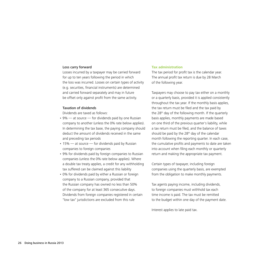#### Loss carry forward

Losses incurred by a taxpayer may be carried forward for up to ten years following the period in which the loss was incurred. Losses on certain types of activity (e.g. securities, financial instruments) are determined and carried forward separately and may in future be offset only against profit from the same activity.

#### Taxation of dividends

Dividends are taxed as follows:

- $\cdot$  9%  $-$  at source  $-$  for dividends paid by one Russian company to another (unless the 0% rate below applies). In determining the tax base, the paying company should deduct the amount of dividends received in the same and preceding tax periods
- $\cdot$  15% at source for dividends paid by Russian companies to foreign companies
- 9% for dividends paid by foreign companies to Russian companies (unless the 0% rate below applies). Where a double tax treaty applies, a credit for any withholding tax suffered can be claimed against this liability
- 0% for dividends paid by either a Russian or foreign company to a Russian company, provided that the Russian company has owned no less than 50% of the company for at least 365 consecutive days. Dividends from foreign companies registered in certain "low tax" jurisdictions are excluded from this rule

# **Tax administration**

The tax period for profit tax is the calendar year. The annual profit tax return is due by 28 March of the following year.

Taxpayers may choose to pay tax either on a monthly or a quarterly basis, provided it is applied consistently throughout the tax year. If the monthly basis applies, the tax return must be filed and the tax paid by the 28<sup>th</sup> day of the following month. If the quarterly basis applies, monthly payments are made based on one third of the previous quarter's liability, while a tax return must be filed, and the balance of taxes should be paid by the 28<sup>th</sup> day of the calendar month following the reporting quarter. In each case, the cumulative profits and payments to date are taken into account when filing each monthly or quarterly return and making the appropriate tax payment.

Certain types of taxpayer, including foreign companies using the quarterly basis, are exempted from the obligation to make monthly payments.

Tax agents paying income, including dividends, to foreign companies must withhold tax each time income is paid. The tax must be remitted to the budget within one day of the payment date.

Interest applies to late paid tax.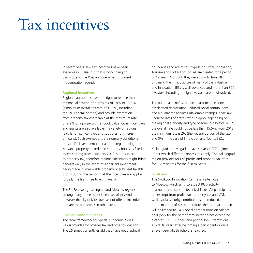# Tax incentives

In recent years, few tax incentives have been available in Russia, but that is now changing, partly due to the Russian government's current modernisation agenda.

#### **Regional incentives**

Regional authorities have the right to reduce their regional allocation of profits tax of 18% to 13.5% (a minimum overall tax rate of 15.5%, including the 2% Federal portion) and provide exemption from property tax chargeable at the maximum rate of 2.2% of a property's net book value. Other incentives and grants are also available in a variety of regions (e.g. land tax incentives and subsidies for interest on loans). Such exemptions are normally conditional on specific investment criteria in the region being met. Movable property recorded in statutory books as fixed assets starting from 1 January 2013 is not subject to property tax, therefore regional incentives might bring benefits only in the event of significant investments being made in immovable property or sufficient taxable profits during the period that the incentives are applied (usually the first three to eight years).

The St. Petersburg, Leningrad and Moscow regions, among many others, offer incentives of this kind, however the city of Moscow has not offered incentives that are as extensive as in other areas.

# **Special Economic Zones**

The legal framework for Special Economic Zones (SEZs) provides for broader tax and other concessions. The 26 zones currently established have geographical

boundaries and are of four types: Industrial, Innovation, Tourism and Port & Logistic. All are created for a period of 49 years. Although they were slow to take off originally, the infrastructure of many of the Industrial and Innovation SEZs is well advanced and more than 300 investors, including foreign investors, are nowinvolved.

The potential benefits include a customs-free zone, accelerated depreciation, reduced social contributions and a guarantee against unfavorable changes in tax law. Reduced rates of profits tax also apply, depending on the regional authority and type of zone, but before 2012 the overall rate could not be less than 15.5%. From 2012, the minimum rate is 2% (the Federal portion of the tax), and 0% in the case of Innovation and Tourist SEZs.

Kaliningrad and Magadan have separate SEZ regimes, under which different concessions apply. The Kaliningrad region provides for 0% profits and property tax rates for SEZ residents for the first six years.

# **Skolkovo**

The Skolkovo Innovation Centre is a site close to Moscow which aims to attract R&D activity in a number of specific technical fields. All participants are exempt from profits tax, property tax and VAT, while social security contributions are reduced. In the majority of cases, therefore, the total tax burden will be limited to 14% social contributions on salaries paid (only for the part of remuneration not exceeding a cap of RUB 568 thousand per person). Exemptions expire 10 years after becoming a participant or once a revenue/profit threshold is reached.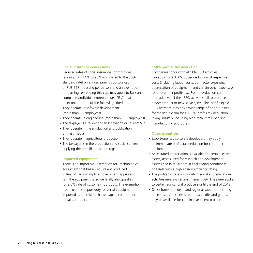#### **Social insurance concessions**

Reduced rates of social insurance contributions ranging from 14% to 28% (compared to the 30% standard rate) on annual earnings up to a cap of RUB 568 thousand per person, and an exemption for earnings exceeding this cap, may apply to Russian companies/individual entrepreneurs ("IEs") that meet one or more of the following criteria:

- They operate in software development (more than 30 employees)
- They operate in engineering (more than 100 employees)
- The taxpayer is a resident of an Innovation or Tourism SEZ
- They operate in the production and publication of mass media
- They operate in agricultural production
- The taxpayer is in the production and social spheres applying the simplified taxation regime

# **Imported equipment**

There is an import VAT exemption for "technological equipment that has no equivalent produced in Russia", according to a government-approved list. The equipment listed generally also qualifies for a 0% rate of customs import duty. The exemption from customs import duty for certain equipment imported as an in-kind charter capital contribution remains in effect.

#### **150%-profits tax deduction**

Companies conducting eligible R&D activities can apply for a 150% super-deduction of respective costs (including labour costs, contractor expenses, depreciation of equipment, and certain other expenses) to reduce their profits tax. Such a deduction can be made even if their R&D activities fail to produce a new product or new service, etc. The list of eligible R&D activities provides a wide range of opportunities for making a claim for a 150%-profits tax deduction in any industry, including high-tech, retail, banking, manufacturing and others.

# **Other incentives**

- Export-oriented software developers may apply an immediate profits tax deduction for computer equipment
- Accelerated depreciation is available for certain leased assets; assets used for research and development; assets used in multi-shift in challenging conditions; or assets with a high energy-efficiency rating
- The profits tax rate for priority medical and educational activities meeting certain criteria is 0%. The same applies to certain agricultural producers until the end of 2012
- Other forms of federal and regional support, including interest subsidies, investment tax credits and grants, may be available for certain investment projects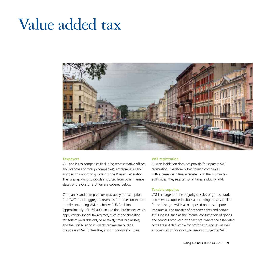# Value added tax



# **Taxpayers**

VAT applies to companies (including representative offices and branches of foreign companies), entrepreneurs and any person importing goods into the Russian Federation. The rules applying to goods imported from other member states of the Customs Union are covered below.

Companies and entrepreneurs may apply for exemption from VAT if their aggregate revenues for three consecutive months, excluding VAT, are below RUB 2 million (approximately USD 65,000). In addition, businesses which apply certain special tax regimes, such as the simplified tax system (available only to relatively small businesses) and the unified agricultural tax regime are outside the scope of VAT unless they import goods into Russia.

# **VAT registration**

Russian legislation does not provide for separate VAT registration. Therefore, when foreign companies with a presence in Russia register with the Russian tax authorities, they register for all taxes, including VAT.

# **Taxable supplies**

VAT is charged on the majority of sales of goods, work and services supplied in Russia, including those supplied free-of-charge. VAT is also imposed on most imports into Russia. The transfer of property rights and certain self-supplies, such as the internal consumption of goods and services produced by a taxpayer where the associated costs are not deductible for profit tax purposes, as well as construction for own use, are also subject to VAT.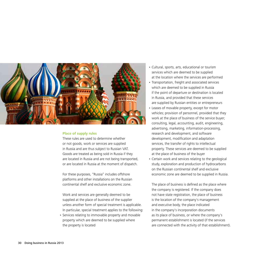

# **Place of supply rules**

These rules are used to determine whether or not goods, work or services are supplied in Russia and are thus subject to Russian VAT. Goods are treated as being sold in Russia if they are located in Russia and are not being transported, or are located in Russia at the moment of dispatch.

For these purposes, "Russia" includes offshore platforms and other installations on the Russian continental shelf and exclusive economic zone.

Work and services are generally deemed to be supplied at the place of business of the supplier unless another form of special treatment is applicable. In particular, special treatment applies to the following:

• Services relating to immovable property and movable property which are deemed to be supplied where the property is located

- • Cultural, sports, arts, educational or tourism services which are deemed to be supplied at the location where the services are performed
- Transportation, freight and associated services which are deemed to be supplied in Russia if the point of departure or destination is located in Russia, and provided that these services are supplied by Russian entities or entrepreneurs
- • Leases of movable property, except for motor vehicles; provision of personnel, provided that they work at the place of business of the service buyer; consulting, legal, accounting, audit, engineering, advertising, marketing, information-processing, research and development, and software development, modification and adaptation services, the transfer of rights to intellectual property. These services are deemed to be supplied at the place of business of the buyer
- Certain work and services relating to the geological study, exploration and production of hydrocarbons on the Russian continental shelf and exclusive economic zone are deemed to be supplied in Russia.

The place of business is defined as the place where the company is registered. If the company does not have state registration, the place of business is the location of the company's management and executive body, the place indicated in the company's incorporation documents as its place of business, or where the company's permanent establishment is located (if the services are connected with the activity of that establishment).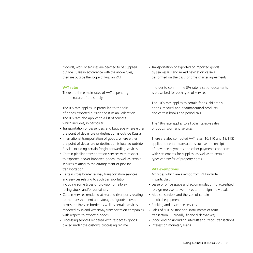If goods, work or services are deemed to be supplied outside Russia in accordance with the above rules, they are outside the scope of Russian VAT.

#### **VAT rates**

There are three main rates of VAT depending on the nature of the supply.

The 0% rate applies, in particular, to the sale of goods exported outside the Russian Federation. The 0% rate also applies to a list of services which includes, in particular:

- Transportation of passengers and baggage where either the point of departure or destination is outside Russia
- International transportation of goods, where either the point of departure or destination is located outside Russia, including certain freight forwarding services
- Certain pipeline transportation services with respect to exported and/or imported goods, as well as certain services relating to the arrangement of pipeline transportation
- • Certain cross border railway transportation services and services relating to such transportation, including some types of provision of railway rolling stock and/or containers
- Certain services rendered at sea and river ports relating to the transshipment and storage of goods moved across the Russian border as well as certain services rendered by inland waterway transportation companies with respect to exported goods
- Processing services rendered with respect to goods placed under the customs processing regime

• Transportation of exported or imported goods by sea vessels and mixed navigation vessels performed on the basis of time charter agreements.

In order to confirm the 0% rate, a set of documents is prescribed for each type of service.

The 10% rate applies to certain foods, children's goods, medical and pharmaceutical products, and certain books and periodicals.

The 18% rate applies to all other taxable sales of goods, work and services.

There are also computed VAT rates (10/110 and 18/118) applied to certain transactions such as the receipt of advance payments and other payments connected with settlements for supplies, as well as to certain types of transfer of property rights.

# **VAT exemptions**

Activities which are exempt from VAT include, in particular:

- Lease of office space and accommodation to accredited foreign representative offices and foreign individuals
- Medical services and the sale of certain medical equipment
- Banking and insurance services
- Sales of "FITTS" (financial instruments of term transaction — broadly, financial derivatives)
- Stock lending (including interest) and "repo" transactions
- Interest on monetary loans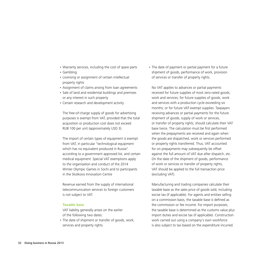- • Warranty services, including the cost of spare parts
- • Gambling
- Licensing or assignment of certain intellectual property rights
- • Assignment of claims arising from loan agreements
- Sale of land and residential buildings and premises or any interest in such property
- Certain research and development activity

The free-of-charge supply of goods for advertising purposes is exempt from VAT, provided that the total acquisition or production cost does not exceed RUB 100 per unit (approximately USD 3).

The import of certain types of equipment is exempt from VAT, in particular "technological equipment which has no equivalent produced in Russia" according to a government approved list, and certain medical equipment. Special VAT exemptions apply to the organisation and conduct of the 2014 Winter Olympic Games in Sochi and to participants in the Skolkovo Innovation Centre

Revenue earned from the supply of international telecommunication services to foreign customers is not subject to VAT.

# **Taxable base**

VAT liability generally arises on the earlier of the following two dates:

• The date of shipment or transfer of goods, work, services and property rights

• The date of payment or partial payment for a future shipment of goods, performance of work, provision of services or transfer of property rights.

No VAT applies to advances or partial payments received for future supplies of most zero-rated goods, work and services; for future supplies of goods, work and services with a production cycle exceeding six months; or for future VAT-exempt supplies. Taxpayers receiving advances or partial payments for the future shipment of goods, supply of work or services, or transfer of property rights, should calculate their VAT base twice. The calculation must be first performed when the prepayments are received and again when the goods are dispatched, work or services performed or property rights transferred. Thus, VAT accounted for on prepayments may subsequently be offset against the full amount of VAT due after dispatch, etc. On the date of the shipment of goods, performance of work or services or transfer of property rights, VAT should be applied to the full transaction price (excluding VAT).

Manufacturing and trading companies calculate their taxable base as the sales price of goods sold, including excise tax (if applicable). For agents and entities selling on a commission basis, the taxable base is defined as the commission or fee income. For import purposes, the taxable base is determined as the customs value plus import duties and excise tax (if applicable). Construction work carried out using a company's own workforce is also subject to tax based on the expenditure incurred.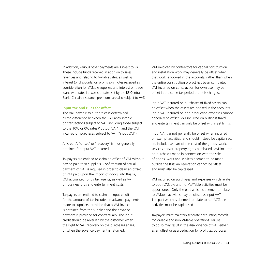In addition, various other payments are subject to VAT. These include funds received in addition to sales revenues and relating to VATable sales, as well as interest (or discounts) on promissory notes received as consideration for VATable supplies, and interest on trade loans with rates in excess of rates set by the RF Central Bank. Certain insurance premiums are also subject to VAT.

### **Input tax and rules for offset**

The VAT payable to authorities is determined as the difference between the VAT accountable on transactions subject to VAT, including those subject to the 10% or 0% rates ("output VAT"), and the VAT incurred on purchases subject to VAT ("input VAT").

A "credit", "offset" or "recovery" is thus generally obtained for input VAT incurred.

Taxpayers are entitled to claim an offset of VAT without having paid their suppliers. Confirmation of actual payment of VAT is required in order to claim an offset of VAT paid upon the import of goods into Russia, VAT accounted for by tax agents, as well as VAT on business trips and entertainment costs.

Taxpayers are entitled to claim an input credit for the amount of tax included in advance payments made to suppliers, provided that a VAT invoice is obtained from the supplier and the advance payment is provided for contractually. The input credit should be reversed by the customer when the right to VAT recovery on the purchases arises, or when the advance payment is returned.

VAT invoiced by contractors for capital construction and installation work may generally be offset when that work is booked in the accounts, rather than when the entire construction project has been completed. VAT incurred on construction for own use may be offset in the same tax period that it is charged.

Input VAT incurred on purchases of fixed assets can be offset when the assets are booked in the accounts. Input VAT incurred on non-production expenses cannot generally be offset. VAT incurred on business travel and entertainment can only be offset within set limits.

Input VAT cannot generally be offset when incurred on exempt activities, and should instead be capitalised, i.e. included as part of the cost of the goods, work, services and/or property rights purchased. VAT incurred on purchases made in connection with the sale of goods, work and services deemed to be made outside the Russian Federation cannot be offset and must also be capitalised.

VAT incurred on purchases and expenses which relate to both VATable and non-VATable activities must be apportioned. Only the part which is deemed to relate to VATable activities may be offset as input VAT. The part which is deemed to relate to non-VATable activities must be capitalised.

Taxpayers must maintain separate accounting records for VATable and non-VATable operations. Failure to do so may result in the disallowance of VAT, either as an offset or as a deduction for profit tax purposes.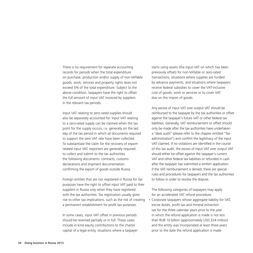There is no requirement for separate accounting records for periods when the total expenditure on purchase, production and/or supply of non-VATable goods, work, services and property rights does not exceed 5% of the total expenditure. Subject to the above condition, taxpayers have the right to offset the full amount of input VAT invoiced by suppliers in the relevant tax periods.

Input VAT relating to zero-rated supplies should also be separately accounted for. Input VAT relating to a zero-rated supply can be claimed when the tax point for the supply occurs, i.e. generally on the last day of the tax period in which all documents required to support the zero VAT rate have been collected. To substantiate the claim for the recovery of exportrelated input VAT, exporters are generally required to collect and submit to the tax authorities the following documents: contracts, customs declarations and shipment documentation confirming the export of goods outside Russia.

Foreign entities that are not registered in Russia for tax purposes have the right to offset input VAT paid to their suppliers in Russia only when they have registered with the tax authorities. Tax registration usually gives rise to other tax implications, such as the risk of creating a permanent establishment for profit tax purposes.

In some cases, input VAT offset in previous periods should be reversed partially or in full. These cases include in-kind equity contributions to the charter capital of a legal entity, situations where a taxpayer starts using assets (the input VAT on which has been previously offset) for non-VATable or zero-rated transactions, situations where supplies are funded by advance payments, and situations where taxpayers receive federal subsidies to cover the VAT-inclusive cost of goods, work or services or to cover VAT due on the import of goods.

Any excess of input VAT over output VAT should be reimbursed to the taxpayer by the tax authorities or offset against the taxpayer's future VAT or other federal tax liabilities. Generally, VAT reimbursement or offset should only be made after the tax authorities have undertaken a "desk audit" (please refer to the chapter entitled "Tax administration") and confirm the legitimacy of the input VAT claimed. If no violations are identified in the course of this tax audit, the excess of input VAT over output VAT should either be offset against the taxpayer's current VAT and other federal tax liabilities or refunded in cash after the taxpayer has submitted a written application. If the VAT reimbursement is denied, there are special rules and procedures for taxpayers and the tax authorities to follow in order to resolve the dispute.

The following categories of taxpayers may apply for an accelerated VAT refund procedure:

• Corporate taxpayers whose aggregate liability for VAT, excise duties, profit tax and mineral extraction tax for the three calendar years prior to the year in which the refund application is made is not less than RUB 10 billion (approximately USD 324 million) and the entity was incorporated at least three years prior to the date the refund application is made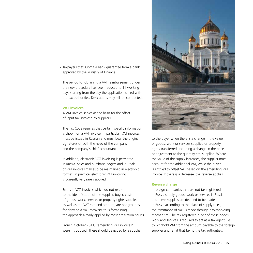• Taxpayers that submit a bank guarantee from a bank approved by the Ministry of Finance.

The period for obtaining a VAT reimbursement under the new procedure has been reduced to 11 working days starting from the day the application is filed with the tax authorities. Desk audits may still be conducted.

### **VAT invoices**

A VAT invoice serves as the basis for the offset of input tax invoiced by suppliers.

The Tax Code requires that certain specific information is shown on a VAT invoice. In particular, VAT invoices must be issued in Russian and must bear the original signatures of both the head of the company and the company's chief accountant.

In addition, electronic VAT invoicing is permitted in Russia. Sales and purchase ledgers and journals of VAT invoices may also be maintained in electronic format. In practice, electronic VAT invoicing is currently very rarely applied.

Errors in VAT invoices which do not relate to the identification of the supplier, buyer, costs of goods, work, services or property rights supplied, as well as the VAT rate and amount, are not grounds for denying a VAT recovery, thus formalising the approach already applied by most arbitration courts.

From 1 October 2011, "amending VAT invoices" were introduced. These should be issued by a supplier



to the buyer when there is a change in the value of goods, work or services supplied or property rights transferred, including a change in the price or adjustment to the quantity etc. supplied. Where the value of the supply increases, the supplier must account for the additional VAT, while the buyer is entitled to offset VAT based on the amending VAT invoice. If there is a decrease, the reverse applies.

# **Reverse charge**

If foreign companies that are not tax registered in Russia supply goods, work or services in Russia and these supplies are deemed to be made in Russia according to the place of supply rules, the remittance of VAT is made through a withholding mechanism. The tax-registered buyer of these goods, work and services is required to act as a tax agent, i.e. to withhold VAT from the amount payable to the foreign supplier and remit that tax to the tax authorities.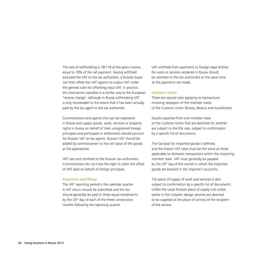The rate of withholding is 18/118 of the gross invoice, equal to 18% of the net payment. Having withheld and paid the VAT to the tax authorities, a Russian buyer can then offset this VAT against its output VAT under the general rules for offsetting input VAT. In practice, this mechanism operates in a similar way to the European "reverse charge", although in Russia withholding VAT is only recoverable to the extent that it has been actually paid by the tax agent to the tax authorities.

Commissioners and agents that are tax registered in Russia and supply goods, work, services or property rights in Russia on behalf of their unregistered foreign principals and participate in settlements should account for Russian VAT as tax agents. Russian VAT should be added by commissioners to the net value of the goods at the appropriate

VAT rate and remitted to the Russian tax authorities. Commissioners do not have the right to claim the offset of VAT paid on behalf of foreign principals.

#### **Payments and filings**

The VAT reporting period is the calendar quarter. A VAT return should be submitted and the tax should generally be paid in three equal installments by the 20<sup>th</sup> day of each of the three consecutive months following the reporting quarter.

VAT withheld from payments to foreign legal entities for work or services rendered in Russia should be remitted to the tax authorities at the same time as the payments are made.

#### **Customs Union**

There are special rules applying to transactions involving taxpayers of the member states of the Customs Union (Russia, Belarus and Kazakhstan).

Goods exported from one member state of the Customs Union that are destined for another are subject to the 0% rate, subject to confirmation by a specific list of documents.

The tax base for imported goods is defined, and the import VAT rates must be the same as those applicable to domestic transactions within the importing member state. VAT must generally be payable by the  $20<sup>th</sup>$  day of the month in which the imported goods are booked in the importer's accounts.

The place of supply of work and services is also subject to confirmation by a specific list of documents. Unlike the usual Russian place of supply rule noted earlier in this chapter, design services are deemed to be supplied at the place of activity of the recipient of the service.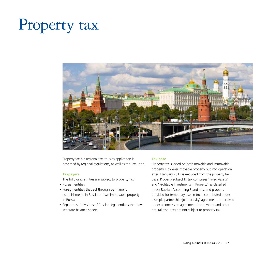# Property tax



Property tax is a regional tax, thus its application is governed by regional regulations, as well as the Tax Code.

## **Taxpayers**

The following entities are subject to property tax:

- • Russian entities
- Foreign entities that act through permanent establishments in Russia or own immovable property in Russia
- • Separate subdivisions of Russian legal entities that have separate balance sheets.

## **Tax base**

Property tax is levied on both movable and immovable property. However, movable property put into operation after 1 January 2013 is excluded from the property tax base. Property subject to tax comprises "Fixed Assets" and "Profitable Investments in Property" as classified under Russian Accounting Standards, and property provided for temporary use, in trust, contributed under a simple partnership (joint activity) agreement, or received under a concession agreement. Land, water and other natural resources are not subject to property tax.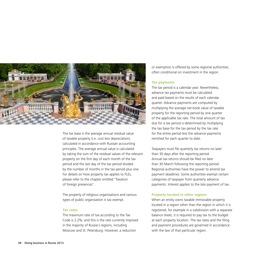

The tax base is the average annual residual value of taxable property (i.e. cost less depreciation), calculated in accordance with Russian accounting principles. The average annual value is calculated by taking the sum of the residual values of the relevant property on the first day of each month of the tax period and the last day of the tax period divided by the number of months in the tax period plus one. For details on how property tax applies to FLEs, please refer to the chapter entitled "Taxation of foreign presences".

The property of religious organisations and various types of public organisation is tax exempt.

## **Tax rates**

The maximum rate of tax according to the Tax Code is 2.2%, and this is the rate currently imposed in the majority of Russia's regions, including Moscow and St. Petersburg. However, a reduction

or exemption is offered by some regional authorities, often conditional on investment in the region.

## **Tax payments**

The tax period is a calendar year. Nevertheless, advance tax payments must be calculated and paid based on the results of each calendar quarter. Advance payments are computed by multiplying the average net book value of taxable property for the reporting period by one quarter of the applicable tax rate. The total amount of tax due for a tax period is determined by multiplying the tax base for the tax period by the tax rate for the entire period less the advance payments remitted for each quarter to date.

Taxpayers must file quarterly tax returns no later than 30 days after the reporting period. Annual tax returns should be filed no later than 30 March following the reporting period. Regional authorities have the power to amend tax payment deadlines. Some authorities exempt certain categories of taxpayer from quarterly advance payments. Interest applies to the late payment of tax.

## **Property located in other regions**

When an entity owns taxable immovable property located in a region other than the region in which it is registered, for example in a subdivision with a separate balance sheet, it is required to pay tax to the budget at each property location. The tax rates and the filing and payment procedures are governed in accordance with the law of that particular region.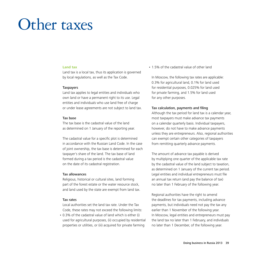# Other taxes

### **Land tax**

Land tax is a local tax, thus its application is governed by local regulations, as well as the Tax Code.

#### **Taxpayers**

Land tax applies to legal entities and individuals who own land or have a permanent right to its use. Legal entities and individuals who use land free of charge or under lease agreements are not subject to land tax.

## Tax base

The tax base is the cadastral value of the land as determined on 1 January of the reporting year.

The cadastral value for a specific plot is determined in accordance with the Russian Land Code. In the case of joint ownership, the tax base is determined for each taxpayer's share of the land. The tax base of land formed during a tax period is the cadastral value on the date of its cadastral registration.

#### Tax allowances

Religious, historical or cultural sites, land forming part of the forest estate or the water resource stock, and land used by the state are exempt from land tax.

#### Tax rates

Local authorities set the land tax rate. Under the Tax Code, these rates may not exceed the following limits:

• 0.3% of the cadastral value of land which is either (i) used for agricultural purposes, (ii) occupied by residential properties or utilities, or (iii) acquired for private farming

• 1.5% of the cadastral value of other land

In Moscow, the following tax rates are applicable: 0.3% for agricultural land, 0.1% for land used for residential purposes, 0.025% for land used for private farming, and 1.5% for land used for any other purposes.

## Tax calculation, payments and filing

Although the tax period for land tax is a calendar year, most taxpayers must make advance tax payments on a calendar quarterly basis. Individual taxpayers, however, do not have to make advance payments unless they are entrepreneurs. Also, regional authorities can exempt certain other categories of taxpayers from remitting quarterly advance payments.

The amount of advance tax payable is derived by multiplying one quarter of the applicable tax rate by the cadastral value of the land subject to taxation, as determined on 1 January of the current tax period. Legal entities and individual entrepreneurs must file an annual tax return (and pay the balance of tax) no later than 1 February of the following year.

Regional authorities have the right to amend the deadlines for tax payments, including advance payments, but individuals need not pay the tax any earlier than 1 November of the following year. In Moscow, legal entities and entrepreneurs must pay the land tax no later than 1 February, and individuals no later than 1 December, of the following year.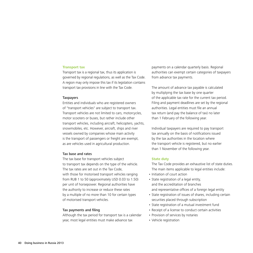#### **Transport tax**

Transport tax is a regional tax, thus its application is governed by regional regulations, as well as the Tax Code. A region may only impose this tax if its legislation contains transport tax provisions in line with the Tax Code.

#### **Taxpayers**

Entities and individuals who are registered owners of "transport vehicles" are subject to transport tax. Transport vehicles are not limited to cars, motorcycles, motor scooters or buses, but rather include other transport vehicles, including aircraft, helicopters, yachts, snowmobiles, etc. However, aircraft, ships and river vessels owned by companies whose main activity is the transport of passengers or freight are exempt, as are vehicles used in agricultural production.

#### Tax base and rates

The tax base for transport vehicles subject to transport tax depends on the type of the vehicle. The tax rates are set out in the Tax Code, with those for motorised transport vehicles ranging from RUB 1 to 50 (approximately USD 0.03 to 1.50) per unit of horsepower. Regional authorities have the authority to increase or reduce these rates by a multiple of no more than 10 for certain types of motorised transport vehicles.

#### Tax payments and filing

Although the tax period for transport tax is a calendar year, most legal entities must make advance tax

payments on a calendar quarterly basis. Regional authorities can exempt certain categories of taxpayers from advance tax payments.

The amount of advance tax payable is calculated by multiplying the tax base by one quarter of the applicable tax rate for the current tax period. Filing and payment deadlines are set by the regional authorities. Legal entities must file an annual tax return (and pay the balance of tax) no later than 1 February of the following year.

Individual taxpayers are required to pay transport tax annually on the basis of notifications issued by the tax authorities in the location where the transport vehicle is registered, but no earlier than 1 November of the following year.

#### **State duty**

The Tax Code provides an exhaustive list of state duties. The main items applicable to legal entities include:

- Initiation of court action
- State registration of a legal entity, and the accreditation of branches and representative offices of a foreign legal entity
- State registration of issues of shares, including certain securities placed through subscription
- State registration of a mutual investment fund
- Receipt of a license to conduct certain activities
- Provision of services by notaries
- Vehicle registration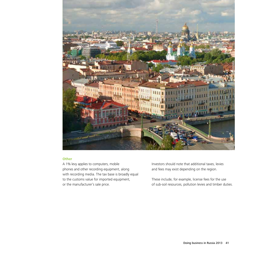

## **Other**

A 1% levy applies to computers, mobile phones and other recording equipment, along with recording media. The tax base is broadly equal to the customs value for imported equipment, or the manufacturer's sale price.

Investors should note that additional taxes, levies and fees may exist depending on the region.

These include, for example, license fees for the use of sub-soil resources, pollution levies and timber duties.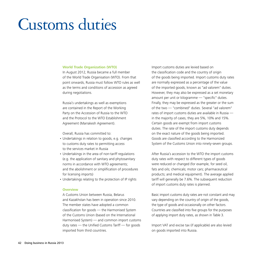# Customs duties

### **World Trade Organization (WTO)**

In August 2012, Russia became a full member of the World Trade Organisation (WTO). From that point onwards, Russia must follow WTO rules as well as the terms and conditions of accession as agreed during negotiations.

Russia's undertakings as well as exemptions are contained in the Report of the Working Party on the Accession of Russia to the WTO and the Protocol to the WTO Establishment Agreement (Marrakesh Agreement).

Overall, Russia has committed to:

- Undertakings in relation to goods, e.g. changes to customs duty rates to permitting access to the services market in Russia
- Undertakings in the area of non-tariff regulations (e.g. the application of sanitary and phytosanitary norms in accordance with WTO agreements; and the abolishment or simplification of procedures for licensing imports)
- • Undertakings relating to the protection of IP rights

## **Overview**

A Customs Union between Russia, Belarus and Kazakhstan has been in operation since 2010. The member states have adopted a common classification for goods — the Harmonised System of the Customs Union (based on the International Harmonised System) — and common import customs duty rates — the Unified Customs Tariff — for goods imported from third countries.

Import customs duties are levied based on the classification code and the country of origin of the goods being imported. Import customs duty rates are normally expressed as a percentage of the value of the imported goods, known as "ad valorem" duties. However, they may also be expressed as a set monetary amount per unit or kilogramme — "specific" duties. Finally, they may be expressed as the greater or the sum of the two — "combined" duties. Several "ad valorem" rates of import customs duties are available in Russia in the majority of cases, they are 5%, 10% and 15%. Certain goods are exempt from import customs duties. The rate of the import customs duty depends on the exact nature of the goods being imported. Goods are classified according to the Harmonized System of the Customs Union into ninety-seven groups.

After Russia's accession to the WTO the import customs duty rates with respect to different types of goods were reduced or changed (for example, for seed oil, fats and oils; chemicals; motor cars; pharmaceutical products; and medical equipment). The average applied tariff will generally be 7.6%. The subsequent reduction of import customs duty rates is planned.

Basic import customs duty rates are not constant and may vary depending on the country of origin of the goods, the type of goods and occasionally on other factors. Countries are classified into five groups for the purposes of applying import duty rates, as shown in Table 3.

Import VAT and excise tax (if applicable) are also levied on goods imported into Russia.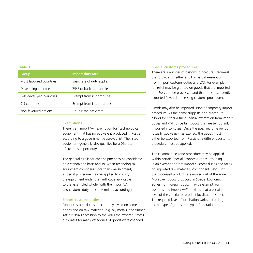#### **Table 3**

| Group                    | Import duty rate           |
|--------------------------|----------------------------|
| Most favoured countries  | Basic rate of duty applies |
| Developing countries     | 75% of basic rate applies  |
| Less developed countries | Exempt from import duties  |
| CIS countries            | Exempt from import duties  |
| Non-favoured nations     | Double the basic rate      |

#### **Exemptions**

There is an import VAT exemption for "technological equipment that has no equivalent produced in Russia" according to a government-approved list. The listed equipment generally also qualifies for a 0% rate of customs import duty.

The general rule is for each shipment to be considered on a standalone basis and so, when technological equipment comprises more than one shipment, a special procedure may be applied to classify the equipment under the tariff code applicable to the assembled whole, with the import VAT and customs duty rates determined accordingly.

#### **Export customs duties**

Export customs duties are currently levied on some goods and on raw materials, e.g. oil, metals, and timber. After Russia's accession to the WTO the export customs duty rates for many categories of goods were changed.

#### **Special customs procedures**

There are a number of customs procedures (regimes) that provide for either a full or partial exemption from import customs duties and VAT. For example, full relief may be granted on goods that are imported into Russia to be processed and that are subsequently exported (inward processing customs procedure).

Goods may also be imported using a temporary import procedure. As the name suggests, this procedure allows for either a full or partial exemption from import duties and VAT for certain goods that are temporarily imported into Russia. Once the specified time period (usually two years) has expired, the goods must either be exported from Russia or a different customs procedure must be applied.

The customs-free zone procedure may be applied within certain Special Economic Zones, resulting in an exemption from import customs duties and taxes on imported raw materials, components, etc., until the processed products are moved out of the zone. Moreover, goods produced in Special Economic Zones from foreign goods may be exempt from customs and import VAT provided that a certain level of the criteria for product localisation is met. The required level of localisation varies according to the type of goods and type of operation.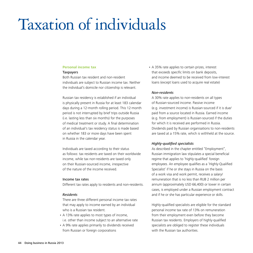# Taxation of individuals

## **Personal income tax**

#### **Taxpayers**

Both Russian tax resident and non-resident individuals are subject to Russian income tax. Neither the individual's domicile nor citizenship is relevant.

Russian tax residency is established if an individual is physically present in Russia for at least 183 calendar days during a 12-month rolling period. This 12-month period is not interrupted by brief trips outside Russia (i.e. lasting less than six months) for the purposes of medical treatment or study. A final determination of an individual's tax residency status is made based on whether 183 or more days have been spent in Russia in the calendar year.

Individuals are taxed according to their status as follows: tax residents are taxed on their worldwide income, while tax non-residents are taxed only on their Russian-sourced income, irrespective of the nature of the income received.

## Income tax rates

Different tax rates apply to residents and non-residents.

## *Residents*

There are three different personal income tax rates that may apply to income earned by an individual who is a Russian tax resident.

- A 13% rate applies to most types of income, i.e. other than income subject to an alternative rate
- A 9% rate applies primarily to dividends received from Russian or foreign corporations

• A 35% rate applies to certain prizes, interest that exceeds specific limits on bank deposits, and income deemed to be received from low-interest loans (except loans used to acquire real estate)

## *Non-residents*

A 30% rate applies to non-residents on all types of Russian-sourced income. Passive income (e.g. investment income) is Russian-sourced if it is due/ paid from a source located in Russia. Earned income (e.g. from employment) is Russian-sourced if the duties for which it is received are performed in Russia. Dividends paid by Russian organisations to non-residents are taxed at a 15% rate, which is withheld at the source.

## *Highly-qualified specialists*

As described in the chapter entitled "Employment", Russian immigration law stipulates a special beneficial regime that applies to 'highly-qualified' foreign employees. An employee qualifies as a 'Highly-Qualified Specialist' if he or she stays in Russia on the basis of a work visa and work permit, receives a salary/ remuneration that is no less than RUB 2 million per annum (approximately USD 66,400) or lower in certain cases, is employed under a Russian employment contract and if he or she has particular experience or skills.

Highly-qualified specialists are eligible for the standard personal income tax rate of 13% on remuneration from their employment even before they become Russian tax residents. Employers of highly-qualified specialists are obliged to register these individuals with the Russian tax authorities.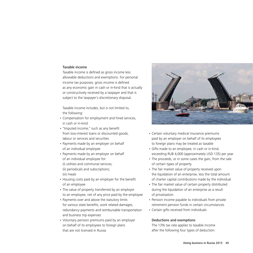## Taxable income

Taxable income is defined as gross income less allowable deductions and exemptions. For personal income tax purposes, gross income is defined as any economic gain in cash or in-kind that is actually or constructively received by a taxpayer and that is subject to the taxpayer's discretionary disposal.

Taxable income includes, but is not limited to, the following:

- • Compensation for employment and hired services, in cash or in-kind
- • "Imputed income," such as any benefit from low-interest loans or discounted goods, labour or services and securities
- Payments made by an employer on behalf of an individual employee
- Payments made by an employer on behalf of an individual employee for: (i) utilities and communal services;

(ii) periodicals and subscriptions; (iii) meals

- Housing costs paid by an employer for the benefit of an employee
- The value of property transferred by an employer to an employee, net of any price paid by the employee
- Payments over and above the statutory limits for various state benefits, work related damages, redundancy payments and reimbursable transportation and business trip expenses
- Voluntary pension premiums paid by an employer on behalf of its employees to foreign plans that are not licensed in Russia



- Certain voluntary medical insurance premiums paid by an employer on behalf of its employees to foreign plans may be treated as taxable
- • Gifts made to an employee, in cash or in-kind, exceeding RUB 4,000 (approximately USD 135) per year
- The proceeds, or in some cases the gain, from the sale of certain types of property
- The fair market value of property received upon the liquidation of an enterprise, less the total amount of charter capital contributions made by the individual
- The fair market value of certain property distributed during the liquidation of an enterprise as a result of privatisation
- Pension income payable to individuals from private retirement pension funds in certain circumstances
- Certain gifts received from individuals

## Deductions and exemptions

The 13% tax rate applies to taxable income after the following four types of deduction: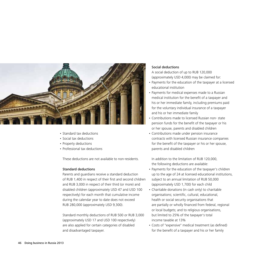

- • Standard tax deductions
- Social tax deductions
- Property deductions
- Professional tax deductions

These deductions are not available to non-residents.

## Standard deductions

Parents and guardians receive a standard deduction of RUB 1,400 in respect of their first and second children and RUB 3,000 in respect of their third (or more) and disabled children (approximately USD 47 and USD 100 respectively) for each month that cumulative income during the calendar year to date does not exceed RUB 280,000 (approximately USD 9,300).

Standard monthly deductions of RUB 500 or RUB 3,000 (approximately USD 17 and USD 100 respectively) are also applied for certain categories of disabled and disadvantaged taxpayer.

## Social deductions

A social deduction of up to RUB 120,000 (approximately USD 4,000) may be claimed for:

- Payments for the education of the taxpayer at a licensed educational institution
- Payments for medical expenses made to a Russian medical institution for the benefit of a taxpayer and his or her immediate family, including premiums paid for the voluntary individual insurance of a taxpayer and his or her immediate family
- Contributions made to licensed Russian non-state pension funds for the benefit of the taxpayer or his or her spouse, parents and disabled children
- • Contributions made under pension insurance contracts with licensed Russian insurance companies for the benefit of the taxpayer or his or her spouse, parents and disabled children

In addition to the limitation of RUB 120,000, the following deductions are available:

- Payments for the education of the taxpayer's children up to the age of 24 at licensed educational institutions, subject to an annual limitation of RUB 50,000 (approximately USD 1,700) for each child
- Charitable donations (in cash only) to charitable organisations; scientific, cultural, educational, health or social security organisations that are partially or wholly financed from federal, regional or local budgets; and to religious organisations, but limited to 25% of the taxpayer's total income taxable at 13%
- • Costs of "expensive" medical treatment (as defined) for the benefit of a taxpayer and his or her family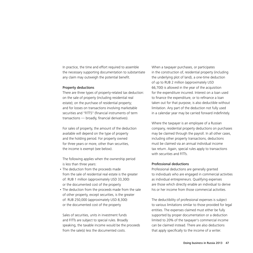In practice, the time and effort required to assemble the necessary supporting documentation to substantiate any claim may outweigh the potential benefit.

### Property deductions

There are three types of property-related tax deduction: on the sale of property (including residential real estate); on the purchase of residential property; and for losses on transactions involving marketable securities and "FITTS" (financial instruments of term transactions — broadly, financial derivatives).

For sales of property, the amount of the deduction available will depend on the type of property and the holding period. For property owned for three years or more, other than securities, the income is exempt (see below).

The following applies when the ownership period is less than three years:

- The deduction from the proceeds made from the sale of residential real estate is the greater of: RUB 1 million (approximately USD 33,300) or the documented cost of the property
- The deduction from the proceeds made from the sale of other property, except securities, is the greater of: RUB 250,000 (approximately USD 8,300) or the documented cost of the property

Sales of securities, units in investment funds and FITTs are subject to special rules. Broadly speaking, the taxable income would be the proceeds from the sale(s) less the documented costs.

When a taxpayer purchases, or participates in the construction of, residential property (including the underlying plot of land), a one-time deduction of up to RUB 2 million (approximately USD 66,700) is allowed in the year of the acquisition for the expenditure incurred. Interest on a loan used to finance the expenditure, or to refinance a loan taken out for that purpose, is also deductible without limitation. Any part of the deduction not fully used in a calendar year may be carried forward indefinitely.

Where the taxpayer is an employee of a Russian company, residential property deductions on purchases may be claimed through the payroll. In all other cases, including other property transactions, deductions must be claimed via an annual individual income tax return. Again, special rules apply to transactions with securities and FITTs.

## Professional deductions

Professional deductions are generally granted to individuals who are engaged in commercial activities as individual entrepreneurs. Qualifying expenses are those which directly enable an individual to derive his or her income from those commercial activities.

The deductibility of professional expenses is subject to various limitations similar to those provided for legal entities. The expenses claimed must either be fully supported by proper documentation or a deduction limited to 20% of the taxpayer's commercial income can be claimed instead. There are also deductions that apply specifically to the income of a writer.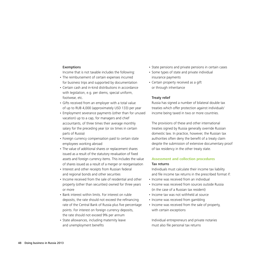## Exemptions

Income that is not taxable includes the following:

- The reimbursement of certain expenses incurred for business trips and supported by documentation
- Certain cash and in-kind distributions in accordance with legislation, e.g. per diems, special uniform, footwear, etc.
- Gifts received from an employer with a total value of up to RUB 4,000 (approximately USD 133) per year
- Employment severance payments (other than for unused vacation) up to a cap, for managers and chief accountants, of three times their average monthly salary for the preceding year (or six times in certain parts of Russia)
- Foreign currency compensation paid to certain state employees working abroad
- The value of additional shares or replacement shares issued as a result of the statutory revaluation of fixed assets and foreign currency items. This includes the value of shares issued as a result of a merger or reorganisation
- Interest and other receipts from Russian federal and regional bonds and other securities
- Income received from the sale of residential and other property (other than securities) owned for three years or more
- Bank interest within limits. For interest on ruble deposits, the rate should not exceed the refinancing rate of the Central Bank of Russia plus five percentage points. For interest on foreign currency deposits, the rate should not exceed 9% per annum
- State allowances, including maternity leave and unemployment benefits
- State pensions and private pensions in certain cases
- Some types of state and private individual insurance payments
- Certain property received as a gift or through inheritance

## Treaty relief

Russia has signed a number of bilateral double tax treaties which offer protection against individuals' income being taxed in two or more countries.

The provisions of these and other international treaties signed by Russia generally override Russian domestic law. In practice, however, the Russian tax authorities often deny the benefit of a treaty claim despite the submission of extensive documentary proof of tax residency in the other treaty state.

## **Assessment and collection procedures** Tax returns

Individuals must calculate their income tax liability and file income tax returns in the prescribed format if:

- Income was received from an individual
- Income was received from sources outside Russia (in the case of a Russian tax resident)
- Income tax was not withheld at source
- Income was received from gambling
- Income was received from the sale of property, with certain exceptions

Individual entrepreneurs and private notaries must also file personal tax returns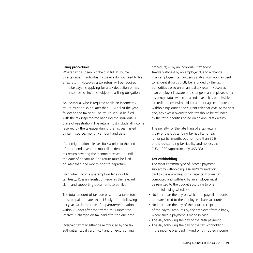### Filing procedures

Where tax has been withheld in full at source by a tax agent, individual taxpayers do not need to file a tax return. However, a tax return will be required if the taxpayer is applying for a tax deduction or has other sources of income subject to a filing obligation.

An individual who is required to file an income tax return must do so no later than 30 April of the year following the tax year. The return should be filed with the tax inspectorate handling the individual's place of registration. The return must include all income received by the taxpayer during the tax year, listed by item, source, monthly amount and date.

If a foreign national leaves Russia prior to the end of the calendar year, he must file a departure tax return covering the income received up until the date of departure. The return must be filed no later than one month prior to departure.

Even when income is exempt under a double tax treaty, Russian legislation requires the relevant claim and supporting documents to be filed.

The total amount of tax due based on a tax return must be paid no later than 15 July of the following tax year. Or, in the case of departure/repatriation, within 15 days after the tax return is submitted. Interest is charged on tax paid after the due date.

Overpaid tax may either be reimbursed by the tax authorities (usually a difficult and time-consuming procedure) or by an individual's tax agent. Taxoverwithheld by an employer due to a change in an employee's tax residency status from non-resident to resident should strictly be refunded by the tax authorities based on an annual tax return. However, if an employer is aware of a change in an employee's tax residency status within a calendar year, it is permissible to credit the overwithheld tax amount against future tax withholdings during the current calendar year. At the year end, any excess overwithheld tax should be refunded by the tax authorities based on an annual tax return.

The penalty for the late filing of a tax return is 5% of the outstanding tax liability for each full or partial month, but no more than 30% of the outstanding tax liability and no less than RUB 1,000 (approximately USD 33).

### Tax withholding

The most common type of income payment subject to withholding is salary/remuneration paid to the employees of tax agents. Income tax computed and withheld by an employer must be remitted to the budget according to one of the following schedules:

- No later than the day on which the payroll amounts are transferred to the employees' bank accounts
- No later than the day of the actual receipt of the payroll amounts by the employer from a bank, where such a payment is made in cash
- The day following the day of the cash payment
- The day following the day of the tax withholding if the income was paid in-kind or is imputed income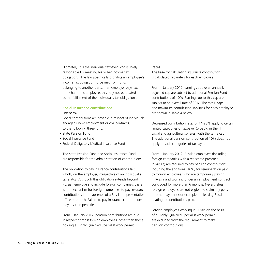Ultimately, it is the individual taxpayer who is solely responsible for meeting his or her income tax obligations. The law specifically prohibits an employee's income tax obligation to be met from funds belonging to another party. If an employer pays tax on behalf of its employee, this may not be treated as the fulfillment of the individual's tax obligations.

## **Social insurance contributions**

## **Overview**

Social contributions are payable in respect of individuals engaged under employment or civil contracts, to the following three funds:

- • State Pension Fund
- • Social Insurance Fund
- Federal Obligatory Medical Insurance Fund

The State Pension Fund and Social Insurance Fund are responsible for the administration of contributions.

The obligation to pay insurance contributions falls wholly on the employer, irrespective of an individual's tax status. Although this obligation extends beyond Russian employers to include foreign companies, there is no mechanism for foreign companies to pay insurance contributions in the absence of a Russian representative office or branch. Failure to pay insurance contributions may result in penalties.

From 1 January 2012, pension contributions are due in respect of most foreign employees, other than those holding a Highly-Qualified Specialist work permit.

#### Rates

The base for calculating insurance contributions is calculated separately for each employee.

From 1 January 2012, earnings above an annually adjusted cap are subject to additional Pension Fund contributions of 10%. Earnings up to this cap are subject to an overall rate of 30%. The rates, caps and maximum contribution liabilities for each employee are shown in Table 4 below.

Decreased contribution rates of 14-28% apply to certain limited categories of taxpayer (broadly, in the IT, social and agricultural spheres) with the same cap. The additional pension contribution of 10% does not apply to such categories of taxpayer.

From 1 January 2012, Russian employers (including foreign companies with a registered presence in Russia) are required to pay pension contributions, including the additional 10%, for remuneration paid to foreign employees who are temporarily staying in Russia and working under an employment contract concluded for more than 6 months. Nevertheless, foreign employees are not eligible to claim any pension or other payment (for example, on leaving Russia) relating to contributions paid.

Foreign employees working in Russia on the basis of a Highly-Qualified Specialist work permit are excluded from the requirement to make pension contributions.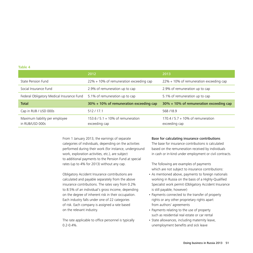#### **Table 4**

|                                           | 2012                                        | 2013                                        |  |
|-------------------------------------------|---------------------------------------------|---------------------------------------------|--|
| State Pension Fund                        | $22\% + 10\%$ of remuneration exceeding cap | $22\% + 10\%$ of remuneration exceeding cap |  |
| Social Insurance Fund                     | 2.9% of remuneration up to cap              | 2.9% of remuneration up to cap              |  |
| Federal Obligatory Medical Insurance Fund | 5.1% of remuneration up to cap              | 5.1% of remuneration up to cap              |  |
|                                           |                                             |                                             |  |
| <b>Total</b>                              | $30\% + 10\%$ of remuneration exceeding cap | $30\% + 10\%$ of remuneration exceeding cap |  |
| Cap in RUB / USD 000s                     | 512/17.1                                    | 568/18.9                                    |  |

From 1 January 2013, the earnings of separate categories of individuals, depending on the activities performed during their work (for instance, underground work, exploration activities, etc.), are subject to additional payments to the Pension Fund at special rates (up to 4% for 2013) without any cap.

Obligatory Accident Insurance contributions are calculated and payable separately from the above insurance contributions. The rates vary from 0.2% to 8.5% of an individual's gross income, depending on the degree of inherent risk in their occupation. Each industry falls under one of 22 categories of risk. Each company is assigned a rate based on the relevant industry.

The rate applicable to office personnel is typically  $0.2 - 0.4%$ 

## Base for calculating insurance contributions

The base for insurance contributions is calculated based on the remuneration received by individuals in cash or in-kind under employment or civil contracts.

The following are examples of payments which are not subject to insurance contributions:

- As mentioned above, payments to foreign nationals working in Russia on the basis of a Highly-Qualified Specialist work permit (Obligatory Accident Insurance is still payable, however)
- • Payments connected to the transfer of property rights or any other proprietary rights apart from authors' agreements
- Payments relating to the use of property such as residential real estate or car rental
- State allowances, including maternity leave, unemployment benefits and sick leave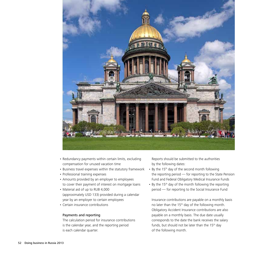

- Redundancy payments within certain limits, excluding compensation for unused vacation time
- • Business travel expenses within the statutory framework
- Professional training expenses
- • Amounts provided by an employer to employees to cover their payment of interest on mortgage loans
- Material aid of up to RUB 4,000 (approximately USD 133) provided during a calendar year by an employer to certain employees
- Certain insurance contributions

## Payments and reporting

The calculation period for insurance contributions is the calendar year, and the reporting period is each calendar quarter.

Reports should be submitted to the authorities by the following dates:

- By the 15<sup>th</sup> day of the second month following the reporting period — for reporting to the State Pension Fund and Federal Obligatory Medical Insurance Funds
- By the 15<sup>th</sup> day of the month following the reporting period — for reporting to the Social Insurance Fund

Insurance contributions are payable on a monthly basis no later than the 15<sup>th</sup> day of the following month. Obligatory Accident Insurance contributions are also payable on a monthly basis. The due date usually corresponds to the date the bank receives the salary funds, but should not be later than the  $15<sup>th</sup>$  day of the following month.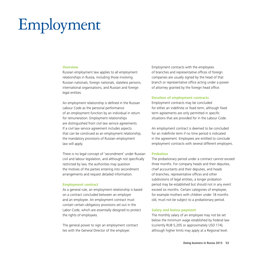# Employment

#### **Overview**

Russian employment law applies to all employment relationships in Russia, including those involving Russian nationals, foreign nationals, stateless persons, international organisations, and Russian and foreign legal entities.

An employment relationship is defined in the Russian Labour Code as the personal performance of an employment function by an individual in return for remuneration. Employment relationships are distinguished from civil law service agreements. If a civil law service agreement includes aspects that can be construed as an employment relationship, the mandatory provisions of Russian employment law will apply.

There is no legal concept of 'secondment' under Russian civil and labour legislation, and although not specifically restricted by law, the authorities may question the motives of the parties entering into secondment arrangements and request detailed information.

#### **Employment contract**

As a general rule, an employment relationship is based on a contract concluded between an employer and an employee. An employment contract must contain certain obligatory provisions set out in the Labor Code, which are essentially designed to protect the rights of employees.

The general power to sign an employment contract lies with the General Director of the employer.

Employment contracts with the employees of branches and representative offices of foreign companies are usually signed by the head of that branch or representative office acting under a power of attorney granted by the foreign head office.

#### **Duration of employment contracts**

Employment contracts may be concluded for either an indefinite or fixed term, although fixed term agreements are only permitted in specific situations that are provided for in the Labour Code.

An employment contract is deemed to be concluded for an indefinite term if no time period is indicated in the agreement. Employees are entitled to conclude employment contracts with several different employers.

#### **Probation**

The probationary period under a contract cannot exceed three months. For company heads and their deputies, chief accountants and their deputies, and heads of branches, representative offices and other subdivisions of legal entities, a longer probation period may be established but should not in any event exceed six months. Certain categories of employee, for example mothers with children under 18 months old, must not be subject to a probationary period.

#### **Salary and bonus payment**

The monthly salary of an employee may not be set below the minimum wage established by Federal law (currently RUB 5,205 or approximately USD 174), although higher limits may apply at a Regional level.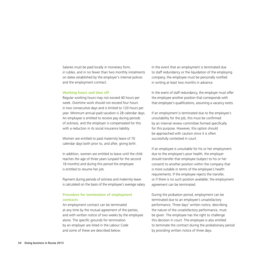Salaries must be paid locally in monetary form, in rubles, and in no fewer than two monthly instalments on dates established by the employer's internal polices and the employment contract.

#### **Working hours and time off**

Regular working hours may not exceed 40 hours per week. Overtime work should not exceed four hours in two consecutive days and is limited to 120 hours per year. Minimum annual paid vacation is 28 calendar days. An employee is entitled to receive pay during periods of sickness, and the employer is compensated for this with a reduction in its social insurance liability.

Women are entitled to paid maternity leave of 70 calendar days both prior to, and after, giving birth.

In addition, women are entitled to leave until the child reaches the age of three years (unpaid for the second 18 months) and during this period the employee is entitled to resume her job.

Payment during periods of sickness and maternity leave is calculated on the basis of the employee's average salary.

## **Procedure for termination of employment contracts**

An employment contract can be terminated at any time by the mutual agreement of the parties, and with written notice of two weeks by the employee alone. The specific grounds for termination by an employer are listed in the Labour Code and some of these are described below.

In the event that an employment is terminated due to staff redundancy or the liquidation of the employing company, the employee must be personally notified in writing at least two months in advance.

In the event of staff redundancy, the employer must offer the employee another position that corresponds with that employee's qualifications, assuming a vacancy exists.

If an employment is terminated due to the employee's unsuitability for the job, this must be confirmed by an internal review committee formed specifically for this purpose. However, this option should be approached with caution since it is often successfully contested in court.

If an employee is unsuitable for his or her employment due to the employee's poor health, the employer should transfer that employee (subject to his or her consent) to another position within the company that is more suitable in terms of the employee's health requirements. If the employee rejects the transfer, or if there is no such position available, the employment agreement can be terminated.

During the probation period, employment can be terminated due to an employee's unsatisfactory performance. Three days' written notice, describing the nature of the unsatisfactory performance, must be given. The employee has the right to challenge this decision in court. The employee is also entitled to terminate the contract during the probationary period by providing written notice of three days.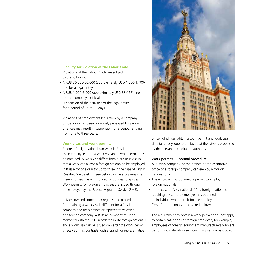## **Liability for violation of the Labor Code**

Violations of the Labour Code are subject to the following:

- • A RUB 30,000-50,000 (approximately USD 1,000-1,700) fine for a legal entity
- A RUB 1,000-5,000 (approximately USD 33-167) fine for the company's officials
- Suspension of the activities of the legal entity for a period of up to 90 days

Violations of employment legislation by a company official who has been previously penalised for similar offences may result in suspension for a period ranging from one to three years.

## **Work visas and work permits**

Before a foreign national can work in Russia as an employee, both a work visa and a work permit must be obtained. A work visa differs from a business visa in that a work visa allows a foreign national to be employed in Russia for one year (or up to three in the case of Highly Qualified Specialists — see below), while a business visa merely confers the right to visit for business purposes. Work permits for foreign employees are issued through the employer by the Federal Migration Service (FMS).

In Moscow and some other regions, the procedure for obtaining a work visa is different for a Russian company and for a branch or representative office of a foreign company. A Russian company must be registered with the FMS in order to invite foreign nationals and a work visa can be issued only after the work permit is received. This contrasts with a branch or representative



office, which can obtain a work permit and work visa simultaneously, due to the fact that the latter is processed by the relevant accreditation authority.

## Work permits — normal procedure

A Russian company, or the branch or representative office of a foreign company can employ a foreign national only if:

- The employer has obtained a permit to employ foreign nationals
- In the case of "visa nationals" (i.e. foreign nationals requiring a visa), the employer has obtained an individual work permit for the employee ("visa-free" nationals are covered below)

The requirement to obtain a work permit does not apply to certain categories of foreign employee, for example, employees of foreign equipment manufacturers who are performing installation services in Russia, journalists, etc.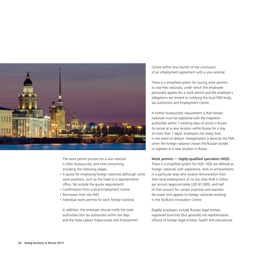

The work permit process for a visa national is often bureaucratic and time-consuming, including the following stages:

- A quota for employing foreign nationals (although some work positions, such as the head of a representative office, fall outside the quota requirement)
- • Confirmation from a local Employment Centre
- Permission from the FMS
- Individual work permits for each foreign national

In addition, the employer should notify the state authorities (the tax authorities within ten days and the State Labour Inspectorate and Employment Centre within one month) of the conclusion of an employment agreement with a visa national.

There is a simplified system for issuing work permits to visa-free nationals, under which the employee personally applies for a work permit and the employer's obligations are limited to notifying the local FMS body, tax authorities and Employment Centre.

A further bureaucratic requirement is that foreign nationals must be registered with the migration authorities within 7 working days of arrival in Russia (or arrival at a new location within Russia for a stay of more than 7 days). Employers risk heavy fines in the event of default. Deregistration is done by the FMS when the foreign national crosses the Russian border, or registers in a new location in Russia.

## Work permits — highly-qualified specialists (HQS)

There is a simplified system for HQS. HQS are defined as foreign nationals with experience, skills or achievements in a particular area who receive remuneration from their local employment of no less than RUB 2 million per annum (approximately USD 67,000), and half of that amount for certain scientists and teachers. No lower limit applies to foreign nationals working in the Skolkovo Innovation Centre.

Eligible employers include Russian legal entities, registered branches (but generally not representative offices) of foreign legal entities, health and educational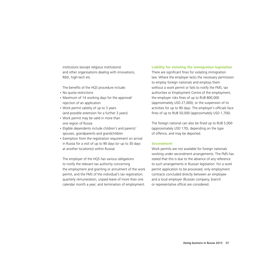institutions (except religious institutions) and other organisations dealing with innovations, R&D, high-tech etc.

The benefits of the HQS procedure include:

- No quota restrictions
- • Maximum of 14 working days for the approval/ rejection of an application
- Work permit validity of up to 3 years (and possible extension for a further 3 years)
- • Work permit may be valid in more than one region of Russia
- Eligible dependents include children's and parents' spouses, grandparents and grandchildren
- Exemption from the registration requirement on arrival in Russia for a visit of up to 90 days (or up to 30 days at another location(s) within Russia)

The employer of the HQS has various obligations to notify the relevant tax authority concerning the employment and granting or annulment of the work permit, and the FMS of the individual's tax registration; quarterly remuneration; unpaid leave of more than one calendar month a year; and termination of employment.

## **Liability for violating the immigration legislation**

There are significant fines for violating immigration law. Where the employer lacks the necessary permission to employ foreign nationals and employs them without a work permit or fails to notify the FMS, tax authorities or Employment Centre of the employment, the employer risks fines of up to RUB 800,000 (approximately USD 27,000), or the suspension of its activities for up to 90 days. The employer's officials face fines of up to RUB 50,000 (approximately USD 1,700).

The foreign national can also be fined up to RUB 5,000 (approximately USD 170), depending on the type of offence, and may be deported.

## **Secondment**

Work permits are not available for foreign nationals working under secondment arrangements. The FMS has stated that this is due to the absence of any reference to such arrangements in Russian legislation. For a work permit application to be processed, only employment contracts concluded directly between an employee and a local employer (Russian company, branch or representative office) are considered.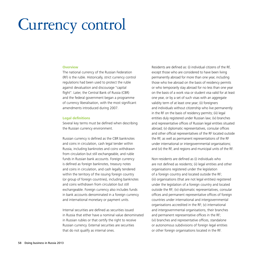# Currency control

#### **Overview**

The national currency of the Russian Federation (RF) is the ruble. Historically, strict currency control regulations had been used to protect the ruble against devaluation and discourage "capital flight". Later, the Central Bank of Russia (CBR) and the federal government began a programme of currency liberalisation, with the most significant amendments introduced during 2007.

#### **Legal definitions**

Several key terms must be defined when describing the Russian currency environment.

Russian currency is defined as the CBR banknotes and coins in circulation, cash legal tender within Russia, including banknotes and coins withdrawn from circulation but still exchangeable, and ruble funds in Russian bank accounts. Foreign currency is defined as foreign banknotes, treasury notes and coins in circulation, and cash legally tendered within the territory of the issuing foreign country (or group of foreign countries), including banknotes and coins withdrawn from circulation but still exchangeable. Foreign currency also includes funds in bank accounts denominated in a foreign currency and international monetary or payment units.

Internal securities are defined as securities issued in Russia that either have a nominal value denominated in Russian rubles or that certify the right to receive Russian currency. External securities are securities that do not qualify as internal ones.

Residents are defined as: (i) individual citizens of the RF, except those who are considered to have been living permanently abroad for more than one year, including those who live abroad on the basis of residency permits or who temporarily stay abroad for no less than one year on the basis of a work visa or student visa valid for at least one year, or by a set of such visas with an aggregate validity term of at least one year; (ii) foreigners and individuals without citizenship who live permanently in the RF on the basis of residency permits; (iii) legal entities duly registered under Russian law; (iv) branches and representative offices of Russian legal entities situated abroad; (v) diplomatic representatives, consular offices and other official representatives of the RF located outside the RF, as well as permanent representations of the RF under international or intergovernmental organisations; and (vi) the RF, and regions and municipal units of the RF.

Non-residents are defined as (i) individuals who are not defined as residents; (ii) legal entities and other organisations registered under the legislation of a foreign country and located outside the RF; (iii) organisations (that are not legal entities) registered under the legislation of a foreign country and located outside the RF; (iv) diplomatic representatives, consular offices and permanent representative offices of foreign countries under international and intergovernmental organisations accredited in the RF; (v) international and intergovernmental organisations, their branches and permanent representative offices in the RF; (vi) branches and representative offices, standalone or autonomous subdivisions of foreign legal entities or other foreign organisations located in the RF.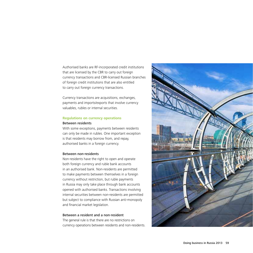Authorised banks are RF-incorporated credit institutions that are licensed by the CBR to carry out foreign currency transactions and CBR-licensed Russian branches of foreign credit institutions that are also entitled to carry out foreign currency transactions.

Currency transactions are acquisitions, exchanges, payments and imports/exports that involve currency valuables, rubles or internal securities.

## **Regulations on currency operations**

## Between residents

With some exceptions, payments between residents can only be made in rubles. One important exception is that residents may borrow from, and repay, authorised banks in a foreign currency.

## Between non-residents

Non-residents have the right to open and operate both foreign currency and ruble bank accounts in an authorised bank. Non-residents are permitted to make payments between themselves in a foreign currency without restriction, but ruble payments in Russia may only take place through bank accounts opened with authorised banks. Transactions involving internal securities between non-residents are permitted but subject to compliance with Russian anti-monopoly and financial market legislation.

## Between a resident and a non-resident

The general rule is that there are no restrictions on currency operations between residents and non-residents.

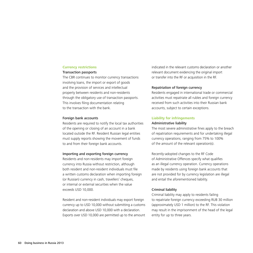### **Currency restrictions**

### Transaction passports

The CBR continues to monitor currency transactions involving loans, the import or export of goods and the provision of services and intellectual property between residents and non-residents through the obligatory use of transaction passports. This involves filing documentation relating to the transaction with the bank.

#### Foreign bank accounts

Residents are required to notify the local tax authorities of the opening or closing of an account in a bank located outside the RF. Resident Russian legal entities must supply reports showing the movement of funds to and from their foreign bank accounts.

#### Importing and exporting foreign currency

Residents and non-residents may import foreign currency into Russia without restriction, although both resident and non-resident individuals must file a written customs declaration when importing foreign (or Russian) currency in cash, travellers' cheques, or internal or external securities when the value exceeds USD 10,000.

Resident and non-resident individuals may export foreign currency up to USD 10,000 without submitting a customs declaration and above USD 10,000 with a declaration. Exports over USD 10,000 are permitted up to the amount indicated in the relevant customs declaration or another relevant document evidencing the original import or transfer into the RF or acquisition in the RF.

#### Repatriation of foreign currency

Residents engaged in international trade or commercial activities must repatriate all rubles and foreign currency received from such activities into their Russian bank accounts, subject to certain exceptions.

#### **Liability for infringements**

#### Administrative liability

The most severe administrative fines apply to the breach of repatriation requirements and for undertaking illegal currency operations, ranging from 75% to 100% of the amount of the relevant operation(s).

Recently-adopted changes to the RF Code of Administrative Offences specify what qualifies as an illegal currency operation. Currency operations made by residents using foreign bank accounts that are not provided for by currency legislation are illegal and entail the aforementioned liability.

## Criminal liability

Criminal liability may apply to residents failing to repatriate foreign currency exceeding RUB 30 million (approximately USD 1 million) to the RF. This violation may result in the imprisonment of the head of the legal entity for up to three years.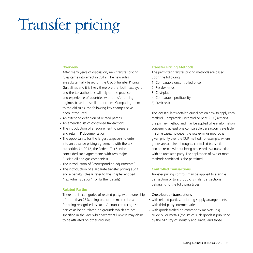# Transfer pricing

#### **Overview**

After many years of discussion, new transfer pricing rules came into effect in 2012. The new rules are substantially based on the OECD Transfer Pricing Guidelines and it is likely therefore that both taxpayers and the tax authorities will rely on the practice and experience of countries with transfer pricing regimes based on similar principles. Comparing them to the old rules, the following key changes have been introduced:

- An extended definition of related parties
- An amended list of controlled transactions
- The introduction of a requirement to prepare and retain TP documentation
- The opportunity for the largest taxpayers to enter into an advance pricing agreement with the tax authorities (in 2012, the Federal Tax Service concluded such agreements with two major Russian oil and gas companies)
- The introduction of "corresponding adjustments"
- The introduction of a separate transfer pricing audit and a penalty (please refer to the chapter entitled "Tax Administration" for further details)

## **Related Parties**

There are 11 categories of related party, with ownership of more than 25% being one of the main criteria for being recognised as such. A court can recognise parties as being related on grounds which are not specified in the law, while taxpayers likewise may claim to be affiliated on other grounds.

### **Transfer Pricing Methods**

The permitted transfer pricing methods are based upon the following: 1) Comparable uncontrolled price 2) Resale-minus 3) Cost-plus 4) Comparable profitability 5) Profit-split

The law stipulates detailed guidelines on how to apply each method. Comparable uncontrolled price (CUP) remains the primary method and may be applied where information concerning at least one comparable transaction is available. In some cases, however, the resale-minus method is given priority over the CUP method, for example, where goods are acquired through a controlled transaction and are resold without being processed as a transaction with an unrelated party. The application of two or more methods combined is also permitted.

## **Controlled Transactions**

Transfer pricing controls may be applied to a single transaction or to a group of similar transactions belonging to the following types:

### Cross-border transactions

- with related parties, including supply arrangements with third-party intermediaries
- with goods traded on commodity markets, e.g. crude oil or metals (the list of such goods is published by the Ministry of Industry and Trade, and those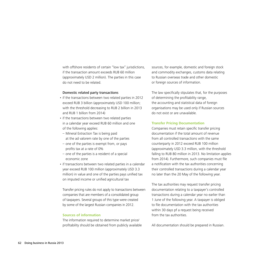with offshore residents of certain "low tax" jurisdictions, if the transaction amount exceeds RUB 60 million (approximately USD 2 million). The parties in this case do not need to be related.

#### Domestic related party transactions

- if the transactions between two related parties in 2012 exceed RUB 3 billion (approximately USD 100 million; with the threshold decreasing to RUB 2 billion in 2013 and RUB 1 billion from 2014)
- if the transactions between two related parties in a calendar year exceed RUB 60 million and one of the following applies:
- Mineral Extraction Tax is being paid at the ad valorem rate by one of the parties
- one of the parties is exempt from, or pays profits tax at a rate of 0%
- one of the parties is a resident of a special economic zone
- if transactions between two related parties in a calendar year exceed RUB 100 million (approximately USD 3.3 million) in value and one of the parties pays unified tax on imputed income or unified agricultural tax

Transfer pricing rules do not apply to transactions between companies that are members of a consolidated group of taxpayers. Several groups of this type were created by some of the largest Russian companies in 2012.

## **Sources of information**

The information required to determine market price/ profitability should be obtained from publicly available sources, for example, domestic and foreign stock and commodity exchanges, customs data relating to Russian overseas trade and other domestic or foreign sources of information.

The law specifically stipulates that, for the purposes of determining the profitability range, the accounting and statistical data of foreign organisations may be used only if Russian sources do not exist or are unavailable.

## **Transfer Pricing Documentation**

Companies must retain specific transfer pricing documentation if the total amount of revenue from all controlled transactions with the same counterparty in 2012 exceed RUB 100 million (approximately USD 3.3 million, with the threshold falling to RUB 80 million in 2013. No limitation applies from 2014). Furthermore, such companies must file a notification with the tax authorities concerning their controlled transactions during a calendar year no later than the 20 May of the following year.

The tax authorities may request transfer pricing documentation relating to a taxpayer's controlled transactions during a calendar year no earlier than 1 June of the following year. A taxpayer is obliged to file documentation with the tax authorities within 30 days pf a request being received from the tax authorities.

All documentation should be prepared in Russian.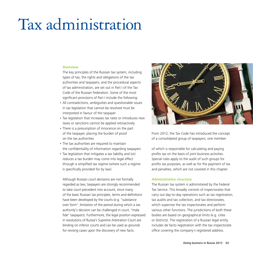# Tax administration

### **Overview**

The key principles of the Russian tax system, including types of tax, the rights and obligations of the tax authorities and taxpayers, and the procedural aspects of tax administration, are set out in Part I of the Tax Code of the Russian Federation. Some of the most significant provisions of Part I include the following:

- All contradictions, ambiguities and questionable issues in tax legislation that cannot be resolved must be interpreted in favour of the taxpayer
- Tax legislation that increases tax rates or introduces new taxes or sanctions cannot be applied retroactively
- There is a presumption of innocence on the part of the taxpayer, placing the burden of proof on the tax authorities
- The tax authorities are required to maintain the confidentiality of information regarding taxpayers
- Tax legislation that mitigates a tax liability and (or) reduces a tax burden may come into legal effect through a simplified tax regime (where such a regime is specifically provided for by law)

Although Russian court decisions are not formally regarded as law, taxpayers are strongly recommended to take court precedent into account, since many of the basic Russian tax principles, terms and definitions have been developed by the courts (e.g. "substance over form", limitation of the period during which a tax authority's decision can be challenged in court, "mala fide" taxpayers). Furthermore, the legal position expressed in resolutions of Russia's Supreme Arbitration Court are binding on inferior courts and can be used as grounds for revising cases upon the discovery of new facts.



From 2012, the Tax Code has introduced the concept of a consolidated group of taxpayers, one member

of which is responsible for calculating and paying profits tax on the basis of joint business activities. Special rules apply to the audit of such groups for profits tax purposes, as well as for the payment of tax and penalties, which are not covered in this chapter.

## **Administrative structure**

The Russian tax system is administered by the Federal Tax Service. This broadly consists of inspectorates that carry out day-to-day operations such as tax registration, tax audits and tax collection, and tax directorates, which supervise the tax inspectorates and perform various other functions. The jurisdictions of both these bodies are based on geographical limits (e.g. cities or districts). The registration of a Russian legal entity includes de facto registration with the tax inspectorate office covering the company's registered address.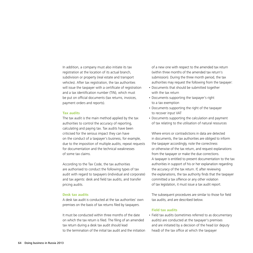In addition, a company must also initiate its tax registration at the location of its actual branch, subdivision or property (real estate and transport vehicles). After tax registration, the tax authorities will issue the taxpayer with a certificate of registration and a tax identification number (TIN), which must be put on official documents (tax returns, invoices, payment orders and reports).

## **Tax audits**

The tax audit is the main method applied by the tax authorities to control the accuracy of reporting, calculating and paying tax. Tax audits have been criticised for the serious impact they can have on the conduct of a taxpayer's business, for example, due to the imposition of multiple audits, repeat requests for documentation and the technical weaknesses of some tax claims.

According to the Tax Code, the tax authorities are authorised to conduct the following types of tax audit with regard to taxpayers (individual and corporate) and tax agents: desk and field tax audits, and transfer pricing audits.

## **Desk tax audits**

A desk tax audit is conducted at the tax authorities' own premises on the basis of tax returns filed by taxpayers.

It must be conducted within three months of the date on which the tax return is filed. The filing of an amended tax return during a desk tax audit should lead to the termination of the initial tax audit and the initiation of a new one with respect to the amended tax return (within three months of the amended tax return's submission). During the three month period, the tax authorities may request the following from the taxpayer:

- • Documents that should be submitted together with the tax return
- Documents supporting the taxpayer's right to a tax exemption
- Documents supporting the right of the taxpayer to recover input VAT
- Documents supporting the calculation and payment of tax relating to the utilisation of natural resources

Where errors or contradictions in data are detected in documents, the tax authorities are obliged to inform the taxpayer accordingly, note the correctness or otherwise of the tax return, and request explanations from the taxpayer or make the due corrections. A taxpayer is entitled to present documentation to the tax authorities in support of his or her explanation regarding the accuracy of the tax return. If, after reviewing the explanations, the tax authority finds that the taxpayer committed a tax offence or any other violation of tax legislation, it must issue a tax audit report.

The subsequent procedures are similar to those for field tax audits, and are described below.

## **Field tax audits**

• Field tax audits (sometimes referred to as documentary audits) are conducted at the taxpayer's premises and are initiated by a decision of the head (or deputy head) of the tax office at which the taxpayer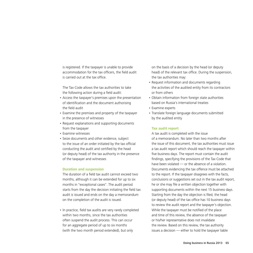is registered. If the taxpayer is unable to provide accommodation for the tax officers, the field audit is carried out at the tax office.

The Tax Code allows the tax authorities to take the following action during a field audit:

- Access the taxpayer's premises upon the presentation of identification and the document authorising the field audit
- Examine the premises and property of the taxpayer in the presence of witnesses
- • Request explanations and supporting documents from the taxpayer
- • Examine witnesses
- • Seize documents and other evidence, subject to the issue of an order initiated by the tax official conducting the audit and certified by the head (or deputy head) of the tax authority in the presence of the taxpayer and witnesses

## **Duration and suspension**

The duration of a field tax audit cannot exceed two months, although it can be extended for up to six months in "exceptional cases". The audit period starts from the day the decision initiating the field tax audit is issued and ends on the day a memorandum on the completion of the audit is issued.

• In practice, field tax audits are very rarely completed within two months, since the tax authorities often suspend the audit process. This can occur for an aggregate period of up to six months (with the two month period extended), but only

on the basis of a decision by the head (or deputy head) of the relevant tax office. During the suspension, the tax authorities may:

- Request information and documents regarding the activities of the audited entity from its contractors or from others
- • Obtain information from foreign state authorities based on Russia's international treaties
- Examine experts
- Translate foreign language documents submitted by the audited entity

## **Tax audit report**

A tax audit is completed with the issue of a memorandum. No later than two months after the issue of this document, the tax authorities must issue a tax audit report which should reach the taxpayer within five business days. The report must contain the audit findings, specifying the provisions of the Tax Code that have been violated — or the absence of a violation. Documents evidencing the tax offence must be attached to the report. If the taxpayer disagrees with the facts, conclusions or suggestions set out in the tax audit report, he or she may file a written objection together with supporting documents within the next 15 business days. Starting from the day the objection is filed, the head (or deputy head) of the tax office has 10 business days to review the audit report and the taxpayer's objection. While the taxpayer must be notified of the place and time of this review, the absence of the taxpayer or his/her representative does not invalidate the review. Based on this review, the tax authority issues a decision — either to hold the taxpayer liable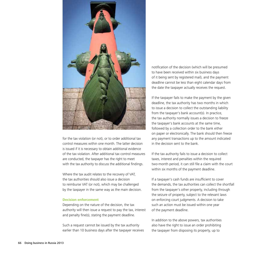

for the tax violation (or not), or to order additional tax control measures within one month. The latter decision is issued if it is necessary to obtain additional evidence of the tax violation. After additional tax control measures are conducted, the taxpayer has the right to meet with the tax authority to discuss the additional findings.

Where the tax audit relates to the recovery of VAT, the tax authorities should also issue a decision to reimburse VAT (or not), which may be challenged by the taxpayer in the same way as the main decision.

## **Decision enforcement**

Depending on the nature of the decision, the tax authority will then issue a request to pay the tax, interest and penalty fine(s), stating the payment deadline.

Such a request cannot be issued by the tax authority earlier than 10 business days after the taxpayer receives notification of the decision (which will be presumed to have been received within six business days of it being sent by registered mail), and the payment deadline cannot be less than eight calendar days from the date the taxpayer actually receives the request.

If the taxpayer fails to make the payment by the given deadline, the tax authority has two months in which to issue a decision to collect the outstanding liability from the taxpayer's bank account(s). In practice, the tax authority normally issues a decision to freeze the taxpayer's bank accounts at the same time, followed by a collection order to the bank either on paper or electronically. The bank should then freeze any payment transactions up to the amount indicated in the decision sent to the bank.

If the tax authority fails to issue a decision to collect taxes, interest and penalties within the required two-month period, it can still file a claim with the court within six months of the payment deadline.

If a taxpayer's cash funds are insufficient to cover the demands, the tax authorities can collect the shortfall from the taxpayer's other property, including through the seizure of property, subject to the relevant laws on enforcing court judgments. A decision to take such an action must be issued within one year of the payment deadline.

In addition to the above powers, tax authorities also have the right to issue an order prohibiting the taxpayer from disposing its property, up to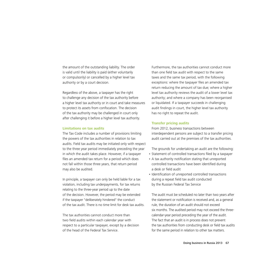the amount of the outstanding liability. The order is valid until the liability is paid (either voluntarily or compulsorily) or cancelled by a higher level tax authority or by a court decision.

Regardless of the above, a taxpayer has the right to challenge any decision of the tax authority before a higher level tax authority or in court and take measures to protect its assets from confiscation. The decision of the tax authority may be challenged in court only after challenging it before a higher level tax authority.

### **Limitations on tax audits**

The Tax Code includes a number of provisions limiting the powers of the tax authorities in relation to tax audits. Field tax audits may be initiated only with respect to the three year period immediately preceding the year in which the audit takes place. However, if a taxpayer files an amended tax return for a period which does not fall within those three years, that return period may also be audited.

In principle, a taxpayer can only be held liable for a tax violation, including tax underpayments, for tax returns relating to the three-year period up to the date of the decision. However, the period may be extended if the taxpayer "deliberately hindered" the conduct of the tax audit. There is no time limit for desk tax audits.

The tax authorities cannot conduct more than two field audits within each calendar year with respect to a particular taxpayer, except by a decision of the head of the Federal Tax Service.

Furthermore, the tax authorities cannot conduct more than one field tax audit with respect to the same taxes and the same tax period, with the following exceptions: where the taxpayer files an amended tax return reducing the amount of tax due; where a higher level tax authority reviews the audit of a lower level tax authority; and where a company has been reorganised or liquidated. If a taxpayer succeeds in challenging audit findings in court, the higher level tax authority has no right to repeat the audit.

## **Transfer pricing audits**

From 2012, business transactions between interdependent persons are subject to a transfer pricing audit carried out at the premises of the tax authorities.

The grounds for undertaking an audit are the following:

- Statement of controlled transactions filed by a taxpayer
- A tax authority notification stating that unreported controlled transactions have been identified during a desk or field audit
- Identification of unreported controlled transactions during a repeat field tax audit conducted by the Russian Federal Tax Service

The audit must be scheduled no later than two years after the statement or notification is received and, as a general rule, the duration of an audit should not exceed six months. The audited period may not exceed the threecalendar-year period preceding the year of the audit. The fact that an audit is in process does not prevent the tax authorities from conducting desk or field tax audits for the same period in relation to other tax matters.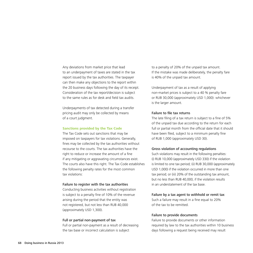Any deviations from market price that lead to an underpayment of taxes are stated in the tax report issued by the tax authorities. The taxpayer can then make any objections to the report within the 20 business days following the day of its receipt. Consideration of the tax report/decision is subject to the same rules as for desk and field tax audits.

Underpayments of tax detected during a transfer pricing audit may only be collected by means of a court judgment.

#### **Sanctions provided by the Tax Code**

The Tax Code sets out sanctions that may be imposed on taxpayers for tax violations. Generally, fines may be collected by the tax authorities without recourse to the courts. The tax authorities have the right to reduce or increase the amount of a fine if any mitigating or aggravating circumstances exist. The courts also have this right. The Tax Code establishes the following penalty rates for the most common tax violations:

### Failure to register with the tax authorities

Conducting business activities without registration is subject to a penalty fine of 10% of the revenue arising during the period that the entity was not registered, but not less than RUB 40,000 (approximately USD 1,300).

#### Full or partial non-payment of tax

Full or partial non-payment as a result of decreasing the tax base or incorrect calculation is subject

to a penalty of 20% of the unpaid tax amount. If the mistake was made deliberately, the penalty fare is 40% of the unpaid tax amount.

Underpayment of tax as a result of applying non-market prices is subject to a 40 % penalty fare or RUB 30,000 (approximately USD 1,000): whichever is the larger amount.

## Failure to file tax returns

The late filing of a tax return is subject to a fine of 5% of the unpaid tax due according to the return for each full or partial month from the official date that it should have been filed, subject to a minimum penalty fine of RUB 1,000 (approximately USD 30).

#### Gross violation of accounting regulations

Such violations may result in the following penalties: (i) RUB 10,000 (approximately USD 330) if the violation is limited to one tax period; (ii) RUB 30,000 (approximately USD 1,000) if the violation occurred in more than one tax period; or (iii) 20% of the outstanding tax amount, but no less than RUB 40,000, if the violation results in an understatement of the tax base.

#### Failure by a tax agent to withhold or remit tax

Such a failure may result in a fine equal to 20% of the tax to be remitted.

## Failure to provide documents

Failure to provide documents or other information required by law to the tax authorities within 10 business days following a request being received may result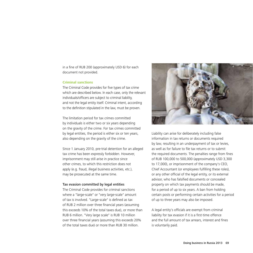in a fine of RUB 200 (approximately USD 6) for each document not provided.

## **Criminal sanctions**

The Criminal Code provides for five types of tax crime which are described below. In each case, only the relevant individuals/officers are subject to criminal liability, and not the legal entity itself. Criminal intent, according to the definition stipulated in the law, must be proven.

The limitation period for tax crimes committed by individuals is either two or six years depending on the gravity of the crime. For tax crimes committed by legal entities, the period is either six or ten years, also depending on the gravity of the crime.

Since 1 January 2010, pre-trial detention for an alleged tax crime has been expressly forbidden. However, imprisonment may still arise in practice since other crimes, to which this restriction does not apply (e.g. fraud, illegal business activities, etc.), may be prosecuted at the same time.

## Tax evasion committed by legal entities

The Criminal Code provides for criminal sanctions where a "large-scale" or "very large-scale" amount of tax is involved. "Large-scale" is defined as tax of RUB 2 million over three financial years (assuming this exceeds 10% of the total taxes due), or more than RUB 6 million. "Very large scale" is RUB 10 million over three financial years (assuming this exceeds 20% of the total taxes due) or more than RUB 30 million.



Liability can arise for deliberately including false information in tax returns or documents required by law, resulting in an underpayment of tax or levies, as well as for failure to file tax returns or to submit the required documents. The penalties range from fines of RUB 100,000 to 500,000 (approximately USD 3,300 to 17,000), or imprisonment of the company's CEO, Chief Accountant (or employees fulfilling these roles), or any other official of the legal entity, or its external advisor, who has falsified documents or concealed property on which tax payments should be made, for a period of up to six years. A ban from holding certain posts or performing certain activities for a period of up to three years may also be imposed.

A legal entity's officials are exempt from criminal liability for tax evasion if it is a first-time offence and the full amount of tax arrears, interest and fines is voluntarily paid.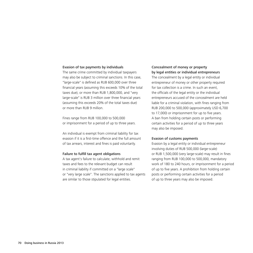#### Evasion of tax payments by individuals

The same crime committed by individual taxpayers may also be subject to criminal sanctions. In this case, "large-scale" is defined as RUB 600,000 over three financial years (assuming this exceeds 10% of the total taxes due), or more than RUB 1,800,000, and "very large-scale" is RUB 3 million over three financial years (assuming this exceeds 20% of the total taxes due) or more than RUB 9 million.

Fines range from RUB 100,000 to 500,000 or imprisonment for a period of up to three years.

An individual is exempt from criminal liability for tax evasion if it is a first-time offence and the full amount of tax arrears, interest and fines is paid voluntarily.

#### Failure to fulfill tax agent obligations

A tax agent's failure to calculate, withhold and remit taxes and fees to the relevant budget can result in criminal liability if committed on a "large scale" or "very large scale". The sanctions applied to tax agents are similar to those stipulated for legal entities.

## Concealment of money or property by legal entities or individual entrepreneurs

The concealment by a legal entity or individual entrepreneur of money or other property required for tax collection is a crime. In such an event, the officials of the legal entity or the individual entrepreneurs accused of the concealment are held liable for a criminal violation, with fines ranging from RUB 200,000 to 500,000 (approximately USD 6,700 to 17,000) or imprisonment for up to five years. A ban from holding certain posts or performing certain activities for a period of up to three years may also be imposed.

## Evasion of customs payments

Evasion by a legal entity or individual entrepreneur involving duties of RUB 500,000 (large-scale) or RUB 1,500,000 (very large-scale) may result in fines ranging from RUB 100,000 to 500,000, mandatory work of 180 to 240 hours, or imprisonment for a period of up to five years. A prohibition from holding certain posts or performing certain activities for a period of up to three years may also be imposed.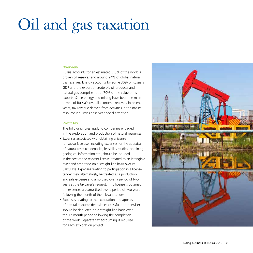# Oil and gas taxation

## **Overview**

Russia accounts for an estimated 5-6% of the world's proven oil reserves and around 24% of global natural gas reserves. Energy accounts for some 30% of Russia's GDP and the export of crude oil, oil products and natural gas comprise about 70% of the value of its exports. Since energy and mining have been the main drivers of Russia's overall economic recovery in recent years, tax revenue derived from activities in the natural resource industries deserves special attention.

## **Profit tax**

The following rules apply to companies engaged in the exploration and production of natural resources:

- Expenses associated with obtaining a license for subsurface use, including expenses for the appraisal of natural resource deposits, feasibility studies, obtaining geological information etc., should be included in the cost of the relevant license, treated as an intangible asset and amortised on a straight-line basis over its useful life. Expenses relating to participation in a license tender may, alternatively, be treated as a production and sale expense and amortised over a period of two years at the taxpayer's request. If no license is obtained, the expenses are amortised over a period of two years following the month of the relevant tender
- Expenses relating to the exploration and appraisal of natural resource deposits (successful or otherwise) should be deducted on a straight-line basis over the 12-month period following the completion of the work. Separate tax accounting is required for each exploration project

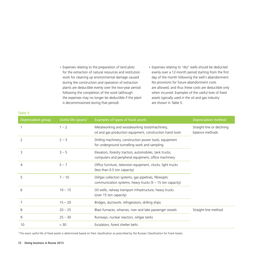- Expenses relating to the preparation of land plots for the extraction of natural resources and restitution work for cleaning up environmental damage caused during the construction and operation of extraction plants are deductible evenly over the two-year period following the completion of the work (although the expenses may no longer be deductible if the plant is decommissioned during that period)
- • Expenses relating to "dry" wells should be deducted evenly over a 12-month period starting from the first day of the month following the well's abandonment. No provisions for future abandonment costs are allowed, and thus these costs are deductible only when incurred. Examples of the useful lives of fixed assets typically used in the oil and gas industry are shown in Table 5.

| Depreciation group | Useful life (years) <sup>1</sup> | <b>Examples of types of fixed assets</b>                                                                             | <b>Depreciation method</b>                    |
|--------------------|----------------------------------|----------------------------------------------------------------------------------------------------------------------|-----------------------------------------------|
|                    | $1 - 2$                          | Metalworking and woodworking tools/machinery,<br>oil and gas production equipment, construction hand tools           | Straight-line or declining<br>balance methods |
| $\overline{2}$     | $2 - 3$                          | Drilling machinery, construction power tools, equipment<br>for underground tunnelling work and sampling              |                                               |
| 3                  | $3 - 5$                          | Elevators, forestry tractors, automobiles, tank trucks,<br>computers and peripheral equipment, office machinery      |                                               |
| 4                  | $5 - 7$                          | Office furniture, television equipment, clocks, light trucks<br>(less than 0.5 ton capacity)                         |                                               |
| 5                  | $7 - 10$                         | Oil/gas collection systems, gas pipelines, fibreoptic<br>communication systems, heavy trucks $(5 - 15$ ton capacity) |                                               |
| 6                  | $10 - 15$                        | Oil wells, railway transport infrastructure, heavy trucks<br>(over 15 ton capacity)                                  |                                               |
| 7                  | $15 - 20$                        | Bridges, ductwork, refrigerators, drilling ships                                                                     |                                               |
| 8                  | $20 - 25$                        | Blast furnaces, wharves, river and lake passenger vessels                                                            | Straight-line method                          |
| 9                  | $25 - 30$                        | Runways, nuclear reactors, oil/gas tanks                                                                             |                                               |
| 10                 | > 30                             | Escalators, forest shelter belts                                                                                     |                                               |

1 The exact useful life of fixed assets is determined based on their classification as prescribed by the Russian Classification for Fixed Assets.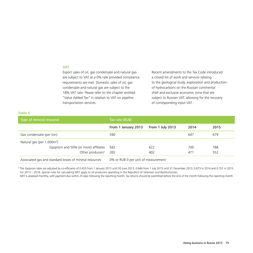## **VAT**

Export sales of oil, gas condensate and natural gas are subject to VAT at a 0% rate provided compliance requirements are met. Domestic sales of oil, gas condensate and natural gas are subject to the 18% VAT rate. Please refer to the chapter entitled "Value Added Tax" in relation to VAT on pipeline transportation services.

Recent amendments to the Tax Code introduced a closed list of work and services relating to the geological study, exploration and production of hydrocarbons on the Russian continental shelf and exclusive economic zone that are subject to Russian VAT, allowing for the recovery of corresponding input VAT.

#### **Table 6**

| Type of mineral resource                                | Tax rate (RUB)                      |                  |      |      |
|---------------------------------------------------------|-------------------------------------|------------------|------|------|
|                                                         | From 1 January 2013                 | From 1 July 2013 | 2014 | 2015 |
| Gas condensate (per ton)                                | 590                                 |                  | 647  | 679  |
| Natural gas (per 1,000m <sup>3</sup> )                  |                                     |                  |      |      |
| Gazprom and 50% (or more) affiliates                    | 582                                 | 622              | 700  | 788  |
| Other producers <sup>2</sup>                            | - 265                               | 402              | 471  | 552  |
| Associated gas and standard losses of mineral resources | 0% or RUB 0 per unit of measurement |                  |      |      |

2 The Gazprom rates are adjusted by co-efficients of 0.455 from 1 January 2013 until 30 June 2013, 0.646 from 1 July 2013 until 31 December 2013, 0.673 in 2014 and 0.701 in 2015. For 2013 – 2016, special rules for calculating MET apply to oil producers operating in the Republics of Tatarstan and Bashkortostan.

MET is assessed monthly, with payment due within 25 days following the reporting month. Tax returns should be submitted before the end of the month following the reporting month.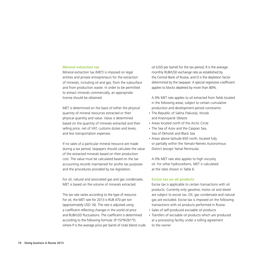#### **Mineral extraction tax**

Mineral extraction tax (MET) is imposed on legal entities and private entrepreneurs for the extraction of minerals, including oil and gas, from the subsurface and from production waste. In order to be permitted to extract minerals commercially, an appropriate license should be obtained.

MET is determined on the basis of either the physical quantity of mineral resources extracted or their physical quantity and value. Value is determined based on the quantity of minerals extracted and their selling price, net of VAT, customs duties and levies, and less transportation expenses.

If no sales of a particular mineral resource are made during a tax period, taxpayers should calculate the value of the extracted minerals based on their production cost. The value must be calculated based on the tax accounting records maintained for profits tax purposes and the procedures provided by tax legislation.

For oil, natural and associated gas and gas condensate, MET is based on the volume of minerals extracted.

The tax rate varies according to the type of resource. For oil, the MET rate for 2013 is RUB 470 per ton (approximately USD 16). The rate is adjusted using a coefficient reflecting changes in the world oil price and RUB/USD fluctuations. The coefficient is determined according to the following formula: (P-15)\*R/261\*D, where P is the average price per barrel of Urals blend crude oil (USD per barrel) for the tax period, R is the average monthly RUB/USD exchange rate as established by the Central Bank of Russia, and D is the depletion factor determined by the taxpayer. A special regressive coefficient applies to blocks depleted by more than 80%.

A 0% MET rate applies to oil extracted from fields located in the following areas, subject to certain cumulative production and development period constraints:

- The Republic of Sakha (Yakutia), Irkutsk and Krasnoyarsk Oblasts
- Areas located north of the Arctic Circle
- The Sea of Azov and the Caspian Sea, Sea of Okhotsk and Black Sea
- • Areas above latitude 650 north, located fully or partially within the Yamalo-Nenets Autonomous District (except Yamal Peninsula).

A 0% MET rate also applies to high viscosity oil. For other hydrocarbons, MET is calculated at the rates shown in Table 6.

#### **Excise tax on oil products**

Excise tax is applicable to certain transactions with oil products. Currently only gasoline, motor oil and diesel are subject to excise tax. Oil, gas condensate and natural gas are excluded. Excise tax is imposed on the following transactions with oil products performed in Russia:

- Sales of self-produced excisable oil products
- Transfers of excisable oil products which are produced at a processing facility under a tolling agreement to the owner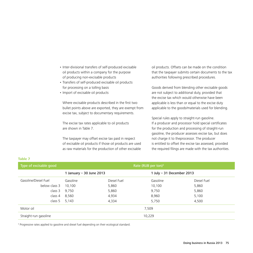- Inter-divisional transfers of self-produced excisable oil products within a company for the purpose of producing non-excisable products
- Transfers of self-produced excisable oil products for processing on a tolling basis
- Import of excisable oil products

Where excisable products described in the first two bullet points above are exported, they are exempt from excise tax, subject to documentary requirements.

The excise tax rates applicable to oil products are shown in Table 7.

The taxpayer may offset excise tax paid in respect of excisable oil products if those oil products are used as raw materials for the production of other excisable oil products. Offsets can be made on the condition that the taxpayer submits certain documents to the tax authorities following prescribed procedures.

Goods derived from blending other excisable goods are not subject to additional duty, provided that the excise tax which would otherwise have been applicable is less than or equal to the excise duty applicable to the goods/materials used for blending.

Special rules apply to straight-run gasoline. If a producer and processor hold special certificates for the production and processing of straight-run gasoline, the producer assesses excise tax, but does not charge it to theprocessor. The producer is entitled to offset the excise tax assessed, provided the required filings are made with the tax authorities.

| TANIC 7                                          |                          |             |          |                            |  |  |  |
|--------------------------------------------------|--------------------------|-------------|----------|----------------------------|--|--|--|
| Rate (RUB per ton) $3$<br>Type of excisable good |                          |             |          |                            |  |  |  |
|                                                  | 1 January – 30 June 2013 |             |          | 1 July $-31$ December 2013 |  |  |  |
| Gasoline/Diesel Fuel                             | Gasoline                 | Diesel Fuel | Gasoline | Diesel Fuel                |  |  |  |
| below class 3                                    | 10,100                   | 5,860       | 10,100   | 5,860                      |  |  |  |
| class 3                                          | 9,750                    | 5,860       | 9,750    | 5,860                      |  |  |  |
| class 4                                          | 8,560                    | 4,934       | 8,960    | 5,100                      |  |  |  |
| class 5                                          | 5,143                    | 4,334       | 5,750    | 4,500                      |  |  |  |
| Motor oil                                        |                          |             | 7,509    |                            |  |  |  |
| Straight-run gasoline                            |                          |             | 10,229   |                            |  |  |  |

<sup>3</sup> Progressive rates applied to gasoline and diesel fuel depending on their ecological standard.

**Table 7**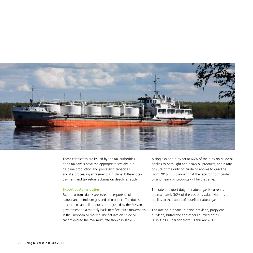

These certificates are issued by the tax authorities if the taxpayers have the appropriate straight-run gasoline production and processing capacities and if a processing agreement is in place. Different tax payment and tax return submission deadlines apply

#### **Export customs duties**

Export customs duties are levied on exports of oil, natural and petroleum gas and oil products. The duties on crude oil and oil products are adjusted by the Russian government on a monthly basis to reflect price movements in the European oil market. The flat rate on crude oil cannot exceed the maximum rate shown in Table 8

A single export duty set at 66% of the duty on crude oil applies to both light and heavy oil products, and a rate of 90% of the duty on crude oil applies to gasoline. From 2015, it is planned that the rate for both crude oil and heavy oil products will be the same.

The rate of export duty on natural gas is currently approximately 30% of the customs value. No duty applies to the export of liquefied natural gas.

The rate on propane, butane, ethylene, propylene, butylene, butadiene and other liquefied gases is USD 200.3 per ton from 1 February 2013.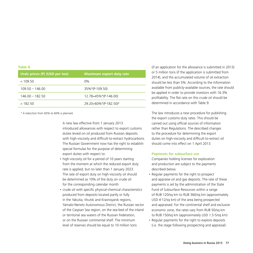#### **Table 8**

| Urals prices (P) (USD per ton) | <b>Maximum export duty rate</b>   |
|--------------------------------|-----------------------------------|
| < 109.50                       | $0\%$                             |
| $109.50 - 146.00$              | 35%*(P-109.50)                    |
| $146.00 - 182.50$              | 12.78+45%*(P-146.00)              |
| >18250                         | 29.20+60%*(P-182.50) <sup>4</sup> |

4 A reduction from 65% to 60% is planned.

A new law effective from 1 January 2013 introduced allowances with respect to export customs duties levied on oil produced from Russian deposits with high-viscosity and difficult-to-extract hydrocarbons. The Russian Government now has the right to establish special formulas for the purpose of determining export duties with respect to:

- high-viscosity oil for a period of 10 years starting from the moment at which the reduced export duty rate is applied, but no later than 1 January 2023. The rate of export duty on high-viscosity oil should be determined as 10% of the duty on crude oil for the corresponding calendar month
- crude oil with specific physical-chemical characteristics produced from deposits located partly or fully in the Yakutia, Irkutsk and Krasnoyarsk regions, Yamalo-Nenets Autonomous District, the Russian sector of the Caspian Sea region, on the sea-bed of the inland or territorial sea waters of the Russian Federation, or on the Russian continental shelf. The minimum level of reserves should be equal to 10 million tons

(if an application for the allowance is submitted in 2013) or 5 million tons (if the application is submitted from 2014), and the accumulated volume of oil extraction should be less than 5%. According to the information available from publicly-available sources, the rate should be applied in order to provide investors with 16.3% profitability. The flat rate on this crude oil should be determined in accordance with Table 9.

The law introduces a new procedure for publishing the export customs duty rates. This should be carried out using official sources of information rather than Regulations. The described changes to the procedure for determining the export duties on high-viscosity and difficult-to-extract oil should come into effect on 1 April 2013.

#### **Payments for subsurface use**

Companies holding licenses for exploration and production are subject to the payments described below.

- Regular payments for the right to prospect and appraise oil and gas deposits. The rate of these payments is set by the administration of the State Fund of Subsurface Resources within a range of RUB 120/sq km to RUB 360/sq km (approximately USD 4-12/sq km) of the area being prospected and appraised. For the continental shelf and exclusive economic zone, the rates vary from RUB 50/sq km to RUB 150/sq km (approximately USD 1.5-5/sq km)
- Regular payments for the right to explore deposits (i.e. the stage following prospecting and appraisal).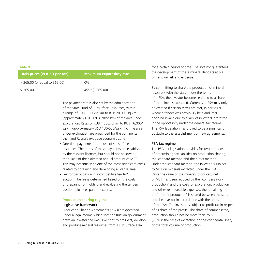#### **Table 9**

| Urals prices (P) (USD per ton)  | Maximum export duty rate |
|---------------------------------|--------------------------|
| $<$ 365.00 (or equal to 365.00) | $0\%$                    |
| >365.00                         | 45%*(P-365.00)           |

The payment rate is also set by the administration of the State Fund of Subsurface Resources, within a range of RUB 5,000/sq km to RUB 20,000/sq km (approximately USD 170-670/sq km) of the area under exploration. Rates of RUB 4,000/sq km to RUB 16,000/ sq km (approximately USD 130-530/sq km) of the area under exploration are prescribed for the continental shelf and Russia's exclusive economic zone

- One-time payments for the use of subsurface resources. The terms of these payments are established by the relevant licenses, but should not be lower than 10% of the estimated annual amount of MET. This may potentially be one of the most significant costs related to obtaining and developing a license area
- Fee for participation in a competitive tender/ auction. The fee is determined based on the costs of preparing for, holding and evaluating the tender/ auction, plus fees paid to experts.

#### **Production sharing regime**

#### Legislative framework

Production Sharing Agreements (PSAs) are governed under a legal regime which sees the Russian government grant an investor the exclusive right to prospect, develop and produce mineral resources from a subsurface area

for a certain period of time. The investor guarantees the development of these mineral deposits at his or her own risk and expense.

By committing to share the production of mineral resources with the state under the terms of a PSA, the investor becomes entitled to a share of the minerals extracted. Currently, a PSA may only be created if certain terms are met, in particular where a tender was previously held and later declared invalid due to a lack of investors interested in the opportunity under the general tax regime. This PSA legislation has proved to be a significant obstacle to the establishment of new agreements.

#### PSA tax regime

The PSA tax legislation provides for two methods of determining tax liabilities on production sharing; the standard method and the direct method. Under the standard method, the investor is subject to MET on minerals extracted under the PSA. Once the value of the minerals produced, net of MET, has been reduced by the "compensatory production" and the costs of exploration, production and other reimbursable expenses, the remaining profit (profit production) is shared between the state and the investor in accordance with the terms of the PSA. The investor is subject to profit tax in respect of its share of the profits. The share of compensatory production should not be more than 75% (90% in the case of extraction on the continental shelf) of the total volume of production.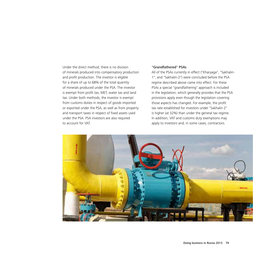Under the direct method, there is no division of minerals produced into compensatory production and profit production. The investor is eligible for a share of up to 68% of the total quantity of minerals produced under the PSA. The investor is exempt from profit tax, MET, water tax and land tax. Under both methods, the investor is exempt from customs duties in respect of goods imported or exported under the PSA, as well as from property and transport taxes in respect of fixed assets used under the PSA. PSA investors are also required to account for VAT.

### "Grandfathered" PSAs

All of the PSAs currently in effect ("Kharyaga", "Sakhalin-1", and "Sakhalin-2") were concluded before the PSA regime described above came into effect. For these PSAs a special "grandfathering" approach is included in the legislation, which generally provides that the PSA provisions apply even though the legislation covering those aspects has changed. For example, the profit tax rate established for investors under "Sakhalin 2" is higher (at 32%) than under the general tax regime. In addition, VAT and customs duty exemptions may apply to investors and, in some cases, contractors.

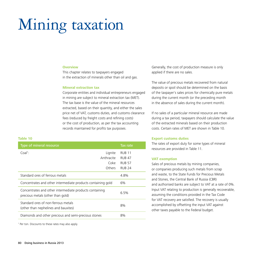## Mining taxation

#### **Overview**

This chapter relates to taxpayers engaged in the extraction of minerals other than oil and gas.

#### **Mineral extraction tax**

Corporate entities and individual entrepreneurs engaged in mining are subject to mineral extraction tax (MET). The tax base is the value of the mineral resources extracted, based on their quantity, and either the sales price net of VAT, customs duties, and customs clearance fees (reduced by freight costs and refining costs) or the cost of production, as per the tax accounting records maintained for profits tax purposes.

#### **Table 10**

| Type of mineral resource                                                                     |               | <b>Tax rate</b> |
|----------------------------------------------------------------------------------------------|---------------|-----------------|
| $Coal1$ :                                                                                    | Lignite       | <b>RUB 11</b>   |
|                                                                                              | Anthracite    | <b>RUB 47</b>   |
|                                                                                              | Coke          | <b>RUB 57</b>   |
|                                                                                              | <b>Others</b> | <b>RUB 24</b>   |
| Standard ores of ferrous metals                                                              |               | 4.8%            |
| Concentrates and other intermediate products containing gold                                 |               | 6%              |
| Concentrates and other intermediate products containing<br>precious metals (other than gold) |               | 6.5%            |
| Standard ores of non-ferrous metals<br>(other than nephelines and bauxites)                  |               | 8%              |
| Diamonds and other precious and semi-precious stones                                         |               | 8%              |

1 Per ton. Discounts to these rates may also apply.

Generally, the cost of production measure is only applied if there are no sales.

The value of precious metals recovered from natural deposits or spoil should be determined on the basis of the taxpayer's sales prices for chemically pure metals during the current month (or the preceding month in the absence of sales during the current month).

If no sales of a particular mineral resource are made during a tax period, taxpayers should calculate the value of the extracted minerals based on their production costs. Certain rates of MET are shown in Table 10.

#### **Export customs duties**

The rates of export duty for some types of mineral resources are provided in Table 11.

#### **VAT exemption**

Sales of precious metals by mining companies, or companies producing such metals from scrap and waste, to the State Funds for Precious Metals and Stones, the Central Bank of Russia (CBR) and authorised banks are subject to VAT at a rate of 0%. Input VAT relating to production is generally recoverable, assuming the conditions provided in the Tax Code for VAT recovery are satisfied. The recovery is usually accomplished by offsetting the input VAT against other taxes payable to the Federal budget.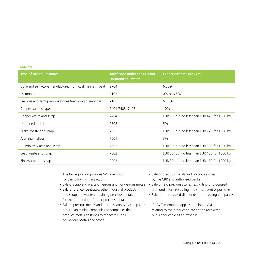## **Table 11**

| Type of mineral resource                                   | Tariff code under the Russian<br><b>Harmonized System</b> | Export customs duty rate                     |
|------------------------------------------------------------|-----------------------------------------------------------|----------------------------------------------|
| Coke and semi-coke manufactured from coal, lignite or peat | 2704                                                      | 6.50%                                        |
| Diamonds                                                   | 7102                                                      | 0% or 6.5%                                   |
| Precious and semi-precious stones (excluding diamonds)     | 7103                                                      | 6.50%                                        |
| Copper, various types                                      | 7401-7403; 7405                                           | 10%                                          |
| Copper waste and scrap                                     | 7404                                                      | EUR 50, but no less than EUR 420 for 1000 kg |
| Unrefined nickel                                           | 7502                                                      | 5%                                           |
| Nickel waste and scrap                                     | 7503                                                      | EUR 30, but no less than EUR 720 for 1000 kg |
| Aluminum alloys                                            | 7601                                                      | 3%                                           |
| Aluminum waste and scrap                                   | 7602                                                      | EUR 50, but no less than EUR 380 for 1000 kg |
| Lead waste and scrap                                       | 7802                                                      | EUR 30, but no less than EUR 105 for 1000 kg |
| Zinc waste and scrap                                       | 7902                                                      | EUR 30, but no less than EUR 180 for 1000 kg |

The tax legislation provides VAT exemption for the following transactions:

- Sale of scrap and waste of ferrous and non-ferrous metals
- • Sale of ore, concentrates, other industrial products, and scrap and waste containing precious metals for the production of other precious metals
- • Sale of precious metals and precious stones by companies other than mining companies or companies that produce metals or stones to the State Funds of Precious Metals and Stones
- • Sale of precious metals and precious stones by the CBR and authorised banks
- Sale of raw precious stones, excluding unprocessed diamonds, for processing and subsequent export sale
- Sale of unprocessed diamonds to processing companies

If a VAT exemption applies, the input VAT relating to the production cannot be recovered but is deductible as an expense.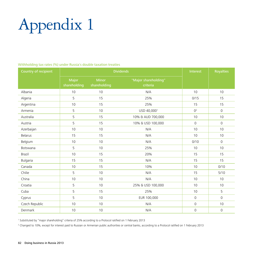# Appendix 1

## Withholding tax rates (%) under Russia's double taxation treaties

| Country of recipient | <b>Dividends</b>      |                              |                                  | Interest            | <b>Royalties</b>    |
|----------------------|-----------------------|------------------------------|----------------------------------|---------------------|---------------------|
|                      | Major<br>shareholding | <b>Minor</b><br>shareholding | "Major shareholding"<br>criteria |                     |                     |
| Albania              | 10                    | 10                           | N/A                              | 10                  | 10                  |
| Algeria              | 5                     | 15                           | 25%                              | 0/15                | 15                  |
| Argentina            | 10                    | 15                           | 25%                              | 15                  | 15                  |
| Armenia              | 5                     | 10                           | USD 40,0001                      | 0 <sup>2</sup>      | $\mathbf 0$         |
| Australia            | 5                     | 15                           | 10% & AUD 700,000                | 10                  | 10                  |
| Austria              | 5                     | 15                           | 10% & USD 100,000                | $\mathbf{0}$        | $\mathbf 0$         |
| Azerbaijan           | 10                    | 10                           | N/A                              | 10                  | 10                  |
| <b>Belarus</b>       | 15                    | 15                           | N/A                              | 10                  | 10                  |
| Belgium              | 10                    | 10                           | N/A                              | 0/10                | $\mathbf{0}$        |
| Botswana             | 5                     | 10                           | 25%                              | 10                  | 10                  |
| Brazil               | 10                    | 15                           | 20%                              | 15                  | 15                  |
| Bulgaria             | 15                    | 15                           | N/A                              | 15                  | 15                  |
| Canada               | 10                    | 15                           | 10%                              | 10                  | 0/10                |
| Chilie               | 5                     | 10                           | N/A                              | 15                  | 5/10                |
| China                | 10                    | 10                           | N/A                              | 10                  | 10                  |
| Croatia              | 5                     | 10                           | 25% & USD 100,000                | 10                  | 10                  |
| Cuba                 | 5                     | 15                           | 25%                              | 10                  | 5                   |
| Cyprus               | 5                     | 10                           | EUR 100,000                      | $\mathbf{0}$        | $\mathbf 0$         |
| Czech Republic       | 10                    | 10                           | N/A                              | $\mathbf{0}$        | 10                  |
| Denmark              | 10                    | 10                           | N/A                              | $\mathsf{O}\xspace$ | $\mathsf{O}\xspace$ |

1 Substituted by "major shareholding" criteria of 25% according to a Protocol ratified on 1 February 2013

2 Changed to 10%, except for interest paid to Russian or Armenian public authorities or central banks, according to a Protocol ratified on 1 February 2013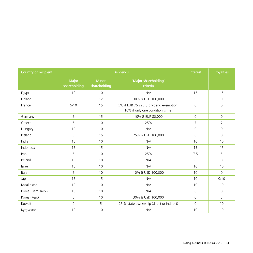| Country of recipient | <b>Dividends</b>      |                              |                                                                            | Interest            | <b>Royalties</b> |
|----------------------|-----------------------|------------------------------|----------------------------------------------------------------------------|---------------------|------------------|
|                      | Major<br>shareholding | <b>Minor</b><br>shareholding | "Major shareholding"<br>criteria                                           |                     |                  |
| Eqypt                | 10                    | 10                           | N/A                                                                        | 15                  | 15               |
| Finland              | 5                     | 12                           | 30% & USD 100,000                                                          | $\mathbf 0$         | $\mathbf 0$      |
| France               | 5/10                  | 15                           | 5% if EUR 76,225 & dividend exemption;<br>10% if only one condition is met | $\mathbf{0}$        | $\mathbf{0}$     |
| Germany              | 5                     | 15                           | 10% & EUR 80,000                                                           | $\Omega$            | $\mathbf 0$      |
| Greece               | 5                     | 10                           | 25%                                                                        | $\overline{7}$      | 7                |
| Hungary              | 10                    | 10                           | N/A                                                                        | 0                   | $\mathbf{0}$     |
| Iceland              | 5                     | 15                           | 25% & USD 100,000                                                          | 0                   | $\mathbf 0$      |
| India                | 10                    | 10                           | N/A                                                                        | 10                  | 10               |
| Indonesia            | 15                    | 15                           | N/A                                                                        | 15                  | 15               |
| Iran                 | 5                     | 10                           | 25%                                                                        | 7.5                 | 5                |
| Ireland              | 10                    | 10                           | N/A                                                                        | $\Omega$            | $\mathbf{0}$     |
| Israel               | 10                    | 10                           | N/A                                                                        | 10                  | 10               |
| Italy                | 5                     | 10                           | 10% & USD 100,000                                                          | 10                  | $\mathbf{0}$     |
| Japan                | 15                    | 15                           | N/A                                                                        | 10                  | 0/10             |
| Kazakhstan           | 10                    | 10                           | N/A                                                                        | 10                  | 10               |
| Korea (Dem. Rep.)    | 10                    | 10                           | N/A                                                                        | $\Omega$            | $\mathbf{0}$     |
| Korea (Rep.)         | 5                     | 10                           | 30% & USD 100,000                                                          | $\Omega$            | 5                |
| Kuwait               | $\mathsf{O}\xspace$   | 5                            | 25 % state ownership (direct or indirect)                                  | $\mathsf{O}\xspace$ | 10               |
| Kyrgyzstan           | 10                    | 10                           | N/A                                                                        | 10                  | 10               |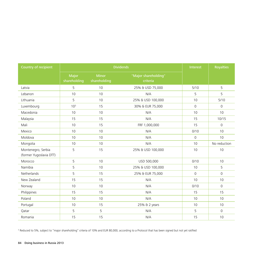| Country of recipient                          | <b>Dividends</b>      |                              |                                  | Interest | <b>Royalties</b> |
|-----------------------------------------------|-----------------------|------------------------------|----------------------------------|----------|------------------|
|                                               | Major<br>shareholding | <b>Minor</b><br>shareholding | "Major shareholding"<br>criteria |          |                  |
| Latvia                                        | 5                     | 10                           | 25% & USD 75,000                 | 5/10     | 5                |
| Lebanon                                       | 10                    | 10                           | N/A                              | 5        | 5                |
| Lithuania                                     | 5                     | 10                           | 25% & USD 100,000                | 10       | 5/10             |
| Luxembourg                                    | 10 <sup>3</sup>       | 15                           | 30% & EUR 75,000                 | $\Omega$ | 0                |
| Macedonia                                     | 10                    | 10                           | N/A                              | 10       | 10               |
| Malaysia                                      | 15                    | 15                           | N/A                              | 15       | 10/15            |
| Mali                                          | 10                    | 15                           | FRF 1,000,000                    | 15       | $\mathbf{0}$     |
| Mexico                                        | 10                    | 10                           | N/A                              | 0/10     | 10               |
| Moldova                                       | 10                    | 10                           | N/A                              | $\Omega$ | 10               |
| Mongolia                                      | 10                    | 10                           | N/A                              | 10       | No reduction     |
| Montenegro, Serbia<br>(former Yugoslavia DTT) | 5                     | 15                           | 25% & USD 100,000                | 10       | 10               |
| Morocco                                       | 5                     | 10                           | USD 500,000                      | 0/10     | 10               |
| Namibia                                       | 5                     | 10                           | 25% & USD 100,000                | 10       | 5                |
| Netherlands                                   | 5                     | 15                           | 25% & EUR 75,000                 | $\Omega$ | $\Omega$         |
| New Zealand                                   | 15                    | 15                           | N/A                              | 10       | 10               |
| Norway                                        | 10                    | 10                           | N/A                              | 0/10     | $\mathbf{0}$     |
| Philippines                                   | 15                    | 15                           | N/A                              | 15       | 15               |
| Poland                                        | 10                    | 10                           | N/A                              | 10       | 10               |
| Portugal                                      | 10                    | 15                           | 25% & 2 years                    | 10       | 10               |
| Qatar                                         | 5                     | 5                            | N/A                              | 5        | $\mathbf{0}$     |
| Romania                                       | 15                    | 15                           | N/A                              | 15       | 10               |

<sup>3</sup> Reduced to 5%, subject to "major shareholding" criteria of 10% and EUR 80,000, according to a Protocol that has been signed but not yet ratified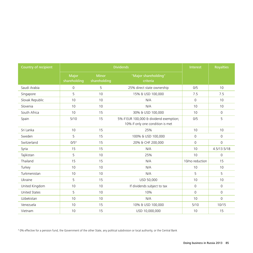| Country of recipient | <b>Dividends</b>      |                              |                                                                             | Interest        | <b>Royalties</b> |
|----------------------|-----------------------|------------------------------|-----------------------------------------------------------------------------|-----------------|------------------|
|                      | Major<br>shareholding | <b>Minor</b><br>shareholding | "Major shareholding"<br>criteria                                            |                 |                  |
| Saudi Arabia         | $\mathbf{0}$          | 5                            | 25% direct state ownership                                                  | 0/5             | 10               |
| Singapore            | 5                     | 10                           | 15% & USD 100,000                                                           | 7.5             | 7.5              |
| Slovak Republic      | 10                    | 10                           | N/A                                                                         | $\mathbf{0}$    | 10               |
| Slovenia             | 10                    | 10                           | N/A                                                                         | 10              | 10               |
| South Africa         | 10                    | 15                           | 30% & USD 100,000                                                           | 10              | $\mathbf 0$      |
| Spain                | 5/10                  | 15                           | 5% if EUR 100,000 & dividend exemption;<br>10% if only one condition is met | 0/5             | 5                |
| Sri Lanka            | 10                    | 15                           | 25%                                                                         | 10              | 10               |
| Sweden               | 5                     | 15                           | 100% & USD 100,000                                                          | $\mathbf{0}$    | $\mathbf{0}$     |
| Switzerland          | 0/5 <sup>4</sup>      | 15                           | 20% & CHF 200,000                                                           | $\Omega$        | $\Omega$         |
| Syria                | 15                    | 15                           | N/A                                                                         | 10              | 4.5/13.5/18      |
| Tajikistan           | 5                     | 10                           | 25%                                                                         | 10              | $\mathbf{0}$     |
| Thailand             | 15                    | 15                           | N/A                                                                         | 10/no reduction | 15               |
| Turkey               | 10                    | 10                           | N/A                                                                         | 10              | 10               |
| Turkmenistan         | 10                    | 10                           | N/A                                                                         | 5               | 5                |
| Ukraine              | 5                     | 15                           | USD 50,000                                                                  | 10              | 10               |
| United Kingdom       | 10                    | 10                           | If dividends subject to tax                                                 | $\mathbf{0}$    | $\mathbf{0}$     |
| <b>United States</b> | 5                     | 10                           | 10%                                                                         | $\mathbf{0}$    | $\mathbf{0}$     |
| Uzbekistan           | 10                    | 10                           | N/A                                                                         | 10              | $\Omega$         |
| Venezuela            | 10                    | 15                           | 10% & USD 100,000                                                           | 5/10            | 10/15            |
| Vietnam              | 10                    | 15                           | USD 10,000,000                                                              | 10              | 15               |

4 0% effective for a pension fund, the Government of the other State, any political subdivision or local authority, or the Central Bank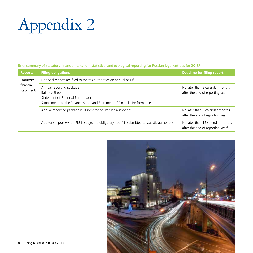# Appendix 2

## Brief summary of statutory financial, taxation, statistical and ecological reporting for Russian legal entities for 20131

| <b>Reports</b>                       | <b>Filing obligations</b>                                                                                                                                                  | Deadline for filing report                                                       |
|--------------------------------------|----------------------------------------------------------------------------------------------------------------------------------------------------------------------------|----------------------------------------------------------------------------------|
| Statutory<br>financial<br>statements | Financial reports are filed to the tax authorities on annual basis <sup>2</sup> .                                                                                          |                                                                                  |
|                                      | Annual reporting package <sup>3</sup> :<br>Balance Sheet,<br>Statement of Financial Performance<br>Supplements to the Balance Sheet and Statement of Financial Performance | No later than 3 calendar months<br>after the end of reporting year               |
|                                      | Annual reporting package is ssubmitted to statistic authorities.                                                                                                           | No later than 3 calendar months<br>after the end of reporting year               |
|                                      | Auditor's report (when RLE is subject to obligatory audit) is submitted to statistic authorities.                                                                          | No later than 12 calendar months<br>after the end of reporting year <sup>4</sup> |

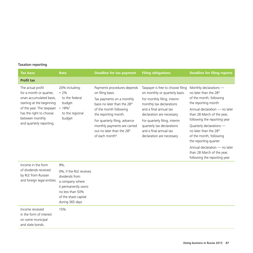## Taxation reporting

| <b>Tax base</b>                                                                                                                                                                                             | Rate                                                                                                              | <b>Deadline for tax payment</b>                                                                                                                                                                                                                                                                                       | <b>Filing obligations</b>                                                                                                                                                                                                                                                                                     | <b>Deadline for filing reports</b>                                                                                                                                                                                                                                                                                                                                                                 |
|-------------------------------------------------------------------------------------------------------------------------------------------------------------------------------------------------------------|-------------------------------------------------------------------------------------------------------------------|-----------------------------------------------------------------------------------------------------------------------------------------------------------------------------------------------------------------------------------------------------------------------------------------------------------------------|---------------------------------------------------------------------------------------------------------------------------------------------------------------------------------------------------------------------------------------------------------------------------------------------------------------|----------------------------------------------------------------------------------------------------------------------------------------------------------------------------------------------------------------------------------------------------------------------------------------------------------------------------------------------------------------------------------------------------|
| <b>Profit tax</b>                                                                                                                                                                                           |                                                                                                                   |                                                                                                                                                                                                                                                                                                                       |                                                                                                                                                                                                                                                                                                               |                                                                                                                                                                                                                                                                                                                                                                                                    |
| The actual profit<br>for a month or quarter,<br>onan accumulated basis,<br>starting at the beginning<br>of the year. The taxpayer<br>has the right to choose<br>between monthly<br>and quarterly reporting. | 20% including:<br>$\cdot$ 2%<br>to the federal<br>budget<br>$\cdot$ 18% <sup>5</sup><br>to the regional<br>budget | Payments procedures depends<br>on filing basis.<br>Tax payments on a monthly<br>basis no later than the 28 <sup>th</sup><br>of the month following<br>the reporting month.<br>For quarterly filing, advance<br>monthly payments are carried<br>out no later than the 28 <sup>th</sup><br>of each month <sup>6</sup> . | Taxpayer is free to choose filing<br>on monthly or quarterly basis.<br>For monthly filing, interim<br>monthly tax declarations<br>and a final annual tax<br>declaration are necessary.<br>For quarterly filing, interim<br>quarterly tax declarations<br>and a final annual tax<br>declaration are necessary. | Monthly declarations -<br>no later than the 28 <sup>th</sup><br>of the month, following<br>the reporting month<br>Annual declaration - no later<br>than 28 March of the year,<br>following the reporting year<br>Quarterly declarations -<br>no later than the 28 <sup>th</sup><br>of the month, following<br>the reporting quarter<br>Annual declaration - no later<br>than 28 March of the year, |
| Income in the form                                                                                                                                                                                          | 9%,                                                                                                               |                                                                                                                                                                                                                                                                                                                       |                                                                                                                                                                                                                                                                                                               | following the reporting year                                                                                                                                                                                                                                                                                                                                                                       |
| of dividends received<br>by RLE from Russian<br>and foreign legal entities.                                                                                                                                 | 0%, if the RLE receives<br>dividends from<br>a company where<br>it permanently owns<br>no less than 50%           |                                                                                                                                                                                                                                                                                                                       |                                                                                                                                                                                                                                                                                                               |                                                                                                                                                                                                                                                                                                                                                                                                    |

|                                                                                     | of the share capital<br>during 365 days |
|-------------------------------------------------------------------------------------|-----------------------------------------|
| Income received<br>in the form of interest<br>on some municipal<br>and state bonds. | 15%                                     |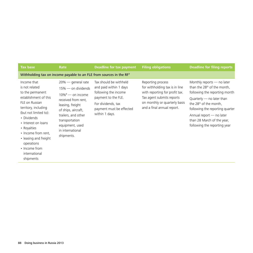| <b>Tax base</b>                                                                                                                                                                                                                                                                                                 | Rate                                                                                                                                                                                                                                   | Deadline for tax payment                                                                                                                                            | <b>Filing obligations</b>                                                                                                                                                         | <b>Deadline for filing reports</b>                                                                                                                                                                                                                                                                         |
|-----------------------------------------------------------------------------------------------------------------------------------------------------------------------------------------------------------------------------------------------------------------------------------------------------------------|----------------------------------------------------------------------------------------------------------------------------------------------------------------------------------------------------------------------------------------|---------------------------------------------------------------------------------------------------------------------------------------------------------------------|-----------------------------------------------------------------------------------------------------------------------------------------------------------------------------------|------------------------------------------------------------------------------------------------------------------------------------------------------------------------------------------------------------------------------------------------------------------------------------------------------------|
|                                                                                                                                                                                                                                                                                                                 |                                                                                                                                                                                                                                        | Withholding tax on income payable to an FLE from sources in the RF <sup>7</sup>                                                                                     |                                                                                                                                                                                   |                                                                                                                                                                                                                                                                                                            |
| Income that<br>is not related<br>to the permanent<br>establishment of this<br>FLE on Russian<br>territory, including<br>(but not limited to):<br>• Dividends<br>• Interest on loans<br>• Royalties<br>• Income from rent,<br>• leasing and freight<br>operations<br>• Income from<br>international<br>shipments | $20\%$ — general rate<br>$15\%$ — on dividends<br>$10\%^8$ — on income<br>received from rent,<br>leasing, freight<br>of ships, aircraft,<br>trailers, and other<br>transportation<br>equipment, used<br>in international<br>shipments. | Tax should be withheld<br>and paid within 1 days<br>following the income<br>payment to the FLE.<br>For dividends, tax<br>payment must be effected<br>within 1 days. | Reporting process<br>for withholding tax is in line<br>with reporting for profit tax.<br>Tax agent submits reports<br>on monthly or quarterly basis<br>and a final annual report. | Monthly reports $-$ no later<br>than the 28 <sup>th</sup> of the month,<br>following the reporting month<br>Quarterly $-$ no later than<br>the 28 <sup>th</sup> of the month,<br>following the reporting quarter<br>Annual report - no later<br>than 28 March of the year,<br>following the reporting year |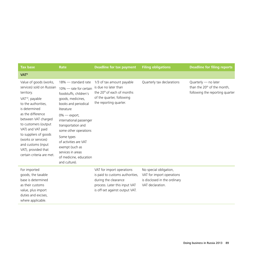| <b>Tax base</b>                                                                                                                                                                                                                                                                                                                                             | Rate                                                                                                                                                                                                                                                                                                                                                              | <b>Deadline for tax payment</b>                                                                                                                         | <b>Filing obligations</b>                                                                               | <b>Deadline for filing reports</b>                                                                 |
|-------------------------------------------------------------------------------------------------------------------------------------------------------------------------------------------------------------------------------------------------------------------------------------------------------------------------------------------------------------|-------------------------------------------------------------------------------------------------------------------------------------------------------------------------------------------------------------------------------------------------------------------------------------------------------------------------------------------------------------------|---------------------------------------------------------------------------------------------------------------------------------------------------------|---------------------------------------------------------------------------------------------------------|----------------------------------------------------------------------------------------------------|
| VAT <sup>9</sup>                                                                                                                                                                                                                                                                                                                                            |                                                                                                                                                                                                                                                                                                                                                                   |                                                                                                                                                         |                                                                                                         |                                                                                                    |
| Value of goods (works,<br>services) sold on Russian<br>territory.<br>VAT <sup>10</sup> , payable<br>to the authorities,<br>is determined<br>as the difference<br>between VAT charged<br>to customers (output<br>VAT) and VAT paid<br>to suppliers of goods<br>(works or services)<br>and customs (input<br>VAT), provided that<br>certain criteria are met. | $18\%$ $-$ standard rate<br>$10\%$ - rate for certain<br>foodstuffs, children's<br>goods, medicines,<br>books and periodical<br>literature<br>$0\%$ — export,<br>international passenger<br>transportation and<br>some other operations<br>Some types<br>of activities are VAT<br>exempt (such as<br>services in areas<br>of medicine, education<br>and culture). | 1/3 of tax amount payable<br>is due no later than<br>the 20 <sup>th</sup> of each of months<br>of the quarter, following<br>the reporting quarter.      | Quarterly tax declarations                                                                              | Quarterly - no later<br>than the 20 <sup>th</sup> of the month,<br>following the reporting quarter |
| For imported<br>goods, the taxable<br>base is determined<br>as their customs<br>value, plus import<br>duties and excises,<br>where applicable.                                                                                                                                                                                                              |                                                                                                                                                                                                                                                                                                                                                                   | VAT for import operations<br>is paid to customs authorities,<br>during the clearance<br>process. Later this input VAT<br>is off-set against output VAT. | No special obligation,<br>VAT for import operations<br>is disclosed in the ordinary<br>VAT declaration. |                                                                                                    |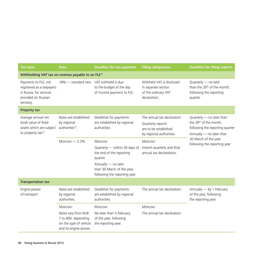| <b>Tax base</b>                                                                                                   | Rate                                                                                          | <b>Deadline for tax payment</b>                                                   | <b>Filing obligations</b>                                                                             | <b>Deadline for filing reports</b>                                                                                               |
|-------------------------------------------------------------------------------------------------------------------|-----------------------------------------------------------------------------------------------|-----------------------------------------------------------------------------------|-------------------------------------------------------------------------------------------------------|----------------------------------------------------------------------------------------------------------------------------------|
| Withholding VAT tax on revenue payable to an FLE <sup>11</sup>                                                    |                                                                                               |                                                                                   |                                                                                                       |                                                                                                                                  |
| Payments to FLE, not<br>registered as a taxpayers<br>in Russia, for services<br>provided on Russian<br>territory. | $18\%$ $-$ standard rate                                                                      | VAT withheld is due<br>to the budget at the day<br>of income payment to FLE.      | Withheld VAT is disclosed<br>in separate section<br>of the ordinary VAT<br>declaration.               | Quarterly - no later<br>than the 20 <sup>th</sup> of the month,<br>following the reporting<br>quarter                            |
| Property tax                                                                                                      |                                                                                               |                                                                                   |                                                                                                       |                                                                                                                                  |
| Average annual net<br>book value of fixed<br>assets which are subject<br>to property tax <sup>12</sup>            | Rates are established<br>by regional<br>authorities <sup>13</sup> .                           | Deadlines for payments<br>are established by regional<br>authorities.             | The annual tax declaration.<br>Quarterly reports<br>are to be established<br>by regional authorities. | Quarterly $-$ no later than<br>the 30 <sup>th</sup> of the month,<br>following the reporting quarter<br>Annually - no later than |
|                                                                                                                   | Moscow $-2.2\%$                                                                               | Moscow:                                                                           | Moscow:                                                                                               | 30 March of the year,<br>following the reporting year                                                                            |
|                                                                                                                   |                                                                                               | Quarterly - within 30 days of<br>the end of the reporting<br>quarter              | Interim quarterly and final<br>annual tax declarations.                                               |                                                                                                                                  |
|                                                                                                                   |                                                                                               | Annually - no later<br>than 30 March of the year,<br>following the reporting year |                                                                                                       |                                                                                                                                  |
| <b>Transportation tax</b>                                                                                         |                                                                                               |                                                                                   |                                                                                                       |                                                                                                                                  |
| Engine power<br>of transport                                                                                      | Rates are established<br>by regional<br>authorities.                                          | Deadlines for payments<br>are established by regional<br>authorities.             | The annual tax declaration.                                                                           | Annually - by 1 February<br>of the year, following<br>the reporting year                                                         |
|                                                                                                                   | Moscow:                                                                                       | Moscow:                                                                           | Moscow:                                                                                               |                                                                                                                                  |
|                                                                                                                   | Rates vary from RUB<br>7 to 800, depending<br>on the type of vehicle<br>and its engine power. | No later than 5 February<br>of the year, following<br>the reporting year.         | The annual tax declaration.                                                                           |                                                                                                                                  |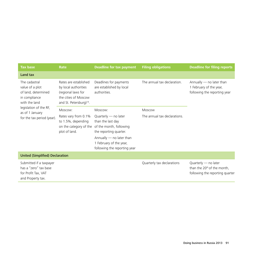| <b>Tax base</b>                                                                              | Rate                                                                                                                               | Deadline for tax payment                                                                       | <b>Filing obligations</b>    | <b>Deadline for filing reports</b>                                                                 |
|----------------------------------------------------------------------------------------------|------------------------------------------------------------------------------------------------------------------------------------|------------------------------------------------------------------------------------------------|------------------------------|----------------------------------------------------------------------------------------------------|
| Land tax                                                                                     |                                                                                                                                    |                                                                                                |                              |                                                                                                    |
| The cadastral<br>value of a plot<br>of land, determined<br>in compliance<br>with the land    | Rates are established<br>by local authorities<br>(regional laws for<br>the cities of Moscow<br>and St. Petersburg) <sup>14</sup> . | Deadlines for payments<br>are established by local<br>authorities.                             | The annual tax declaration.  | Annually $-$ no later than<br>1 February of the year,<br>following the reporting year              |
| legislation of the RF,<br>as of 1 January                                                    | Moscow:                                                                                                                            | Moscow:                                                                                        | Moscow                       |                                                                                                    |
| for the tax period (year).                                                                   | Rates vary from 0.1%<br>to 1.5%, depending<br>on the category of the<br>plot of land.                                              | Quarterly - no later<br>than the last day<br>of the month, following<br>the reporting quarter. | The annual tax declarations. |                                                                                                    |
|                                                                                              |                                                                                                                                    | Annually - no later than<br>1 February of the year,<br>following the reporting year            |                              |                                                                                                    |
| <b>United (Simplified) Declaration</b>                                                       |                                                                                                                                    |                                                                                                |                              |                                                                                                    |
| Submitted if a taxpayer<br>has a "zero" tax base<br>for Profit Tax, VAT<br>and Property tax. |                                                                                                                                    |                                                                                                | Quarterly tax declarations   | Quarterly - no later<br>than the 20 <sup>th</sup> of the month,<br>following the reporting quarter |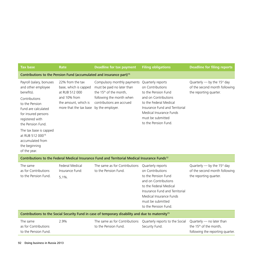| <b>Tax base</b>                                                                                                                                                                                                                                                                                      | <b>Rate</b>                                                                                                                                    | <b>Deadline for tax payment</b>                                                                                                                          | <b>Filing obligations</b>                                                                                                                                                                                                | <b>Deadline for filing reports</b>                                                                  |
|------------------------------------------------------------------------------------------------------------------------------------------------------------------------------------------------------------------------------------------------------------------------------------------------------|------------------------------------------------------------------------------------------------------------------------------------------------|----------------------------------------------------------------------------------------------------------------------------------------------------------|--------------------------------------------------------------------------------------------------------------------------------------------------------------------------------------------------------------------------|-----------------------------------------------------------------------------------------------------|
|                                                                                                                                                                                                                                                                                                      |                                                                                                                                                | Contributions to the Pension Fund (accumulated and insurance part) <sup>15</sup>                                                                         |                                                                                                                                                                                                                          |                                                                                                     |
| Payroll (salary, bonuses<br>and other employee<br>benefits).<br>Contributions<br>to the Pension<br>Fund are calculated<br>for insured persons<br>registered with<br>the Pension Fund.<br>The tax base is capped<br>at RUB 512 000 <sup>16</sup><br>accumulated from<br>the beginning<br>of the year. | 22% from the tax<br>base, which is capped<br>at RUB 512 000<br>and 10% from<br>the amount, which is<br>more that the tax base by the employer. | Compulsory monthly payments<br>must be paid no later than<br>the 15 <sup>th</sup> of the month,<br>following the month when<br>contributions are accrued | Quarterly reports<br>on Contributions<br>to the Pension Fund<br>and on Contributions<br>to the Federal Medical<br>Insurance Fund and Territorial<br>Medical Insurance Funds<br>must be submitted<br>to the Pension Fund. | Quarterly - by the 15 <sup>st</sup> day<br>of the second month following<br>the reporting quarter.  |
|                                                                                                                                                                                                                                                                                                      |                                                                                                                                                | Contributions to the Federal Medical Insurance Fund and Territorial Medical Insurance Funds <sup>12</sup>                                                |                                                                                                                                                                                                                          |                                                                                                     |
| The same<br>as for Contributions<br>to the Pension Fund.                                                                                                                                                                                                                                             | <b>Federal Medical</b><br>Insurance Fund:<br>5.1%                                                                                              | The same as for Contributions<br>to the Pension Fund.                                                                                                    | Quarterly reports<br>on Contributions<br>to the Pension Fund<br>and on Contributions<br>to the Federal Medical<br>Insurance Fund and Territorial<br>Medical Insurance Funds<br>must be submitted<br>to the Pension Fund. | Quarterly — by the 15 <sup>st</sup> day<br>of the second month following<br>the reporting quarter.  |
|                                                                                                                                                                                                                                                                                                      |                                                                                                                                                | Contributions to the Social Security Fund in case of temporary disability and due to maternity <sup>15</sup>                                             |                                                                                                                                                                                                                          |                                                                                                     |
| The same<br>as for Contributions<br>to the Pension Fund.                                                                                                                                                                                                                                             | 2.9%                                                                                                                                           | The same as for Contributions<br>to the Pension Fund.                                                                                                    | Quarterly reports to the Social<br>Security Fund.                                                                                                                                                                        | Quarterly - no later than<br>the 15 <sup>th</sup> of the month,<br>following the reporting quarter. |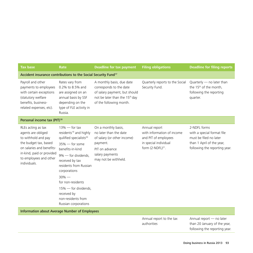| <b>Tax base</b>                                                                                                                                                                              | Rate                                                                                                                                                                                                                                                                                                                                             | <b>Deadline for tax payment</b>                                                                                                                                | <b>Filing obligations</b>                                                                                              | <b>Deadline for filing reports</b>                                                                                                 |
|----------------------------------------------------------------------------------------------------------------------------------------------------------------------------------------------|--------------------------------------------------------------------------------------------------------------------------------------------------------------------------------------------------------------------------------------------------------------------------------------------------------------------------------------------------|----------------------------------------------------------------------------------------------------------------------------------------------------------------|------------------------------------------------------------------------------------------------------------------------|------------------------------------------------------------------------------------------------------------------------------------|
| Accident insurance contributions to the Social Security Fund <sup>17</sup>                                                                                                                   |                                                                                                                                                                                                                                                                                                                                                  |                                                                                                                                                                |                                                                                                                        |                                                                                                                                    |
| Payroll and other<br>payments to employees<br>with certain exceptions<br>(statutory welfare<br>benefits, business-<br>related expenses, etc).                                                | Rates vary from<br>0.2% to 8.5% and<br>are assigned on an<br>annual basis by SSF<br>depending on the<br>type of FLE activity in<br>Russia.                                                                                                                                                                                                       | A monthly basis, due date<br>corresponds to the date<br>of salary payment, but should<br>not be later than the 15 <sup>th</sup> day<br>of the following month. | Quarterly reports to the Social<br>Security Fund.                                                                      | Quarterly - no later than<br>the 15 <sup>th</sup> of the month,<br>following the reporting<br>quarter.                             |
| Personal income tax (PIT) <sup>18</sup>                                                                                                                                                      |                                                                                                                                                                                                                                                                                                                                                  |                                                                                                                                                                |                                                                                                                        |                                                                                                                                    |
| RLEs acting as tax<br>agents are obliged<br>to withhold and pay<br>the budget tax, based<br>on salaries and benefits-<br>in-kind, paid or provided<br>to employees and other<br>individuals. | $13\%$ - for tax<br>residents <sup>19</sup> and highly<br>quilified specialists <sup>20</sup><br>$35\%$ - for some<br>benefits-in-kind<br>9% - for dividends,<br>received by tax<br>residents from Russian<br>corporations<br>$30\%$ —<br>for non-residents<br>15% - for dividends,<br>received by<br>non-residents from<br>Russian corporations | On a monthly basis,<br>no later than the date<br>of salary (or other income)<br>payment.<br>PIT on advance<br>salary payments<br>may not be withheld.          | Annual report<br>with information of income<br>and PIT of employees<br>in special individual<br>form $(2-NDFL)^{21}$ . | 2-NDFL forms<br>with a special format file<br>must be filed no later<br>than 1 April of the year,<br>following the reporting year. |
| <b>Information about Average Number of Employees</b>                                                                                                                                         |                                                                                                                                                                                                                                                                                                                                                  |                                                                                                                                                                |                                                                                                                        |                                                                                                                                    |
|                                                                                                                                                                                              |                                                                                                                                                                                                                                                                                                                                                  |                                                                                                                                                                | Annual report to the tax                                                                                               | Annual report - no later                                                                                                           |

authorities

Doing business in Russia 2013 93

than 20 January of the year, following the reporting year.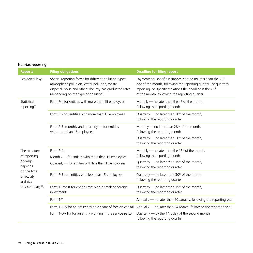## Non-tax reporting

| <b>Reports</b>                                                         | <b>Filing obligations</b>                                                                                                                                                                                  | <b>Deadline for filing report</b>                                                                                                                                                                                                                                          |
|------------------------------------------------------------------------|------------------------------------------------------------------------------------------------------------------------------------------------------------------------------------------------------------|----------------------------------------------------------------------------------------------------------------------------------------------------------------------------------------------------------------------------------------------------------------------------|
| Ecological levy <sup>22</sup>                                          | Special reporting forms for different pollution types:<br>atmospheric pollution, water pollution, waste<br>disposal, noise and other. The levy has graduated rates<br>(depending on the type of pollution) | Payments for specific instances is to be no later than the 20 <sup>th</sup><br>day of the month, following the reporting quarter For quarterly<br>reporting, on specific violations the deadline is the 20 <sup>th</sup><br>of the month, following the reporting quarter. |
| Statistical<br>reporting <sup>23</sup>                                 | Form P-1 for entities with more than 15 employees                                                                                                                                                          | Monthly — no later than the $4th$ of the month,<br>following the reporting month                                                                                                                                                                                           |
|                                                                        | Form P-2 for entities with more than 15 employees                                                                                                                                                          | Quarterly - no later than 20 <sup>th</sup> of the month,<br>following the reporting quarter                                                                                                                                                                                |
|                                                                        | Form P-3: monthly and quarterly - for entities<br>with more than 15employees;                                                                                                                              | Monthly - no later than 28 <sup>th</sup> of the month,<br>following the reporting month                                                                                                                                                                                    |
|                                                                        |                                                                                                                                                                                                            | Quarterly $-$ no later than 30 <sup>th</sup> of the month,<br>following the reporting quarter                                                                                                                                                                              |
| The structure                                                          | Form P-4:                                                                                                                                                                                                  | Monthly $-$ no later than the 15 <sup>th</sup> of the month,                                                                                                                                                                                                               |
| of reporting                                                           | Monthly - for entities with more than 15 employees                                                                                                                                                         | following the reporting month                                                                                                                                                                                                                                              |
| package<br>depends                                                     | Quarterly - for entities with less than 15 employees                                                                                                                                                       | Quarterly - no later than 15 <sup>th</sup> of the month,<br>following the reporting quarter                                                                                                                                                                                |
| on the type<br>of activity<br>and size<br>of a company <sup>24</sup> . | Form P-5 for entities with less than 15 employees                                                                                                                                                          | Quarterly — no later than $30th$ of the month,<br>following the reporting quarter                                                                                                                                                                                          |
|                                                                        | Form 1-Invest for entities receiving or making foreign<br>investments                                                                                                                                      | Quarterly - no later than 15 <sup>th</sup> of the month,<br>following the reporting quarter                                                                                                                                                                                |
|                                                                        | Form 1-T                                                                                                                                                                                                   | Annually - no later than 20 January, following the reporting year                                                                                                                                                                                                          |
|                                                                        | Form 1-VES for an entity having a share of foreign capital                                                                                                                                                 | Annually - no later than 24 March, following the reporting year                                                                                                                                                                                                            |
|                                                                        | Form 1-DA for for an entity working in the service sector                                                                                                                                                  | Quarterly $-$ by the 14st day of the second month<br>following the reporting quarter.                                                                                                                                                                                      |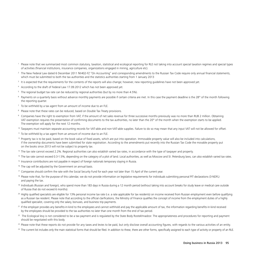- <sup>1</sup> Please note that we summarized most common statutory, taxation, statistical and ecological reporting for RLE not taking into account special taxation regimes and special types of activities (financial institutions, insurance companies, organizations engaged in mining, agriculture etc).
- <sup>2</sup> The New Federal Law dated 6 December 2011 №402-FZ "On Accounting" and corresponding amendments to the Russian Tax Code require only annual financial statements, which must be submitted to both the tax authorities and the statistics authorities starting from 1 January 2013
- <sup>3</sup> It is expected that the requirements for the contents of the reports will also change; however, new reporting quidelines have not been approved yet.
- <sup>4</sup> According to the draft of Federal Law 17.09.2012 which has not been approved yet.
- <sup>5</sup> The regional budget tax rate can be reduced by regional authorities (but by no more than 4.5%).
- $6$  Payments on a quarterly basis without advance monthly payments are possible if certain criteria are met. In this case the payment deadline is the 28<sup>th</sup> of the month following the reporting quarter.
- $7$  To be withheld by a tax agent from an amount of income due to an FLE.
- <sup>8</sup> Please note that these rates can be reduced, based on Double Tax Treaty provisions.
- 9 Companies have the right to exemption from VAT, if the amount of net sales revenue for three successive months previously was no more than RUB 2 million. Obtaining VAT exemption requires the presentation of confirming documents to the tax authorities, no later than the 20<sup>th</sup> of the month when the exemption starts to be applied. The exemption will apply for the next 12 months.
- <sup>10</sup> Taxpayers must maintain separate accounting records for VAT-able and non-VAT-able supplies. Failure to do so may mean that any input VAT will not be allowed for offset.
- <sup>11</sup> To be withheld by a tax agent from an amount of income due to an FLE.
- <sup>12</sup> Property tax is to be paid, based on the book value of fixed assets, which are put into operation. Immovable property value will also be included into calculations, if the ownership documents have been submitted for state registration. According to the amendments put recently into the Russian Tax Code the movable property put on the books since 2013 will not be subject to property tax.
- <sup>13</sup> The tax rate cannot exceed 2.2%. Regional authorities can also establish varied tax rates, in accordance with the type of taxpayer and property.
- <sup>14</sup> The tax rate cannot exceed 0.3-1.5%, depending on the category of a plot of land. Local authorities, as well as Moscow and St .Petersburg laws, can also establish varied tax rates.
- <sup>15</sup> Insurance contributions are not payable in respect of foreign nationals temporary staying in Russia.
- <sup>16</sup> The cap will be adjusted by the Government on annual basis.
- <sup>17</sup> Companies should confirm the rate with the Social Security Fund for each year not later than 15 April of the current year.
- <sup>18</sup> Please note that, for the purpose of this calendar, we do not provide information on legislative requirements for individuals submitting personal PIT declarations (3-NDFL) and paying the tax.
- <sup>19</sup> Individuals (Russian and foreign), who spend more than 183 days in Russia during a 12 month period (without taking into account breaks for study leave or medical care outside of Russia that do not exceed 6 months).
- <sup>20</sup> Highly qualified specialists are eligible for 13% personal income tax rate (i.e. a rate applicable for tax residents) on income received from Russian employment even before qualifying as a Russian tax resident. Please note that according to the official clarifications, the Ministry of Finance qualifies the concept of income from the employment duties of a highly qualified specialist, covering only the salary, bonuses, and business trip payments.
- <sup>21</sup> If the employer provides any benefits-in-kind to the employees and cannot withhold and pay the applicable amount of tax, the information regarding benefits-in-kind received by the employees should be provided to the tax authorities no later than one month from the end of tax period.
- <sup>22</sup> The Ecological levy is not considered to be a tax payment and is regulated by the State Body Rostekhnadzor. The appropriateness and procedures for reporting and payment should be negotiated with this body.
- <sup>23</sup> Please note that these reports do not provide for any taxes and levies to be paid, but only disclose overall accounting figures, with regards to the various activities of an entity.
- <sup>24</sup> The current list includes only the main statistical forms that should be filed. In addition to these, there are other forms, specifically assigned to each type of activity or property of an RLE.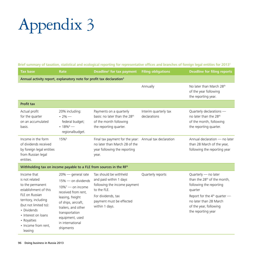# Appendix 3

Brief summary of taxation, statistical and ecological reporting for representative offices and branches of foreign legal entities for 20131

| <b>Tax base</b>                                                                                                                                                                                                                      | Rate                                                                                                                                                                                                                                             | <b>Deadline<sup>2</sup></b> for tax payment                                                                                                                         | <b>Filing obligations</b>             | <b>Deadline for filing reports</b>                                                                                                                                                                                |  |
|--------------------------------------------------------------------------------------------------------------------------------------------------------------------------------------------------------------------------------------|--------------------------------------------------------------------------------------------------------------------------------------------------------------------------------------------------------------------------------------------------|---------------------------------------------------------------------------------------------------------------------------------------------------------------------|---------------------------------------|-------------------------------------------------------------------------------------------------------------------------------------------------------------------------------------------------------------------|--|
| Annual activity report, explanatory note for profit tax declaration <sup>3</sup>                                                                                                                                                     |                                                                                                                                                                                                                                                  |                                                                                                                                                                     |                                       |                                                                                                                                                                                                                   |  |
|                                                                                                                                                                                                                                      |                                                                                                                                                                                                                                                  |                                                                                                                                                                     | Annually                              | No later than March 28th<br>of the year following<br>the reporting year.                                                                                                                                          |  |
| <b>Profit tax</b>                                                                                                                                                                                                                    |                                                                                                                                                                                                                                                  |                                                                                                                                                                     |                                       |                                                                                                                                                                                                                   |  |
| Actual profit<br>for the quarter<br>on an accumulated<br>basis.                                                                                                                                                                      | 20% including:<br>$\cdot$ 2% $-$<br>federal budget;<br>• $18\%$ <sup>4</sup> —<br>regionalbudget.                                                                                                                                                | Payments on a quarterly<br>basis: no later than the 28 <sup>th</sup><br>of the month following<br>the reporting quarter.                                            | Interim quarterly tax<br>declarations | Quarterly declarations -<br>no later than the 28 <sup>th</sup><br>of the month, following<br>the reporting quarter.                                                                                               |  |
| Income in the form<br>of dividends received<br>by foreign legal entities<br>from Russian legal<br>entities.                                                                                                                          | 15%                                                                                                                                                                                                                                              | Final tax payment for the year: Annual tax declaration<br>no later than March 28 of the<br>year following the reporting<br>year.                                    |                                       | Annual declaration - no later<br>than 28 March of the year,<br>following the reporting year                                                                                                                       |  |
| Withholding tax on income payable to a FLE from sources in the RF <sup>6</sup>                                                                                                                                                       |                                                                                                                                                                                                                                                  |                                                                                                                                                                     |                                       |                                                                                                                                                                                                                   |  |
| Income that<br>is not related<br>to the permanent<br>establishment of this<br>FLE on Russian<br>territory, including<br>(but not limited to):<br>• Dividends<br>• Interest on loans<br>• Royalties<br>• Income from rent.<br>leasing | $20\%$ — general rate<br>$15\%$ — on dividends<br>$10\%$ <sup>7</sup> — on income<br>received from rent,<br>leasing, freight<br>of ships, aircraft,<br>trailers, and other<br>transportation<br>equipment, used<br>in international<br>shipments | Tax should be withheld<br>and paid within 1 days<br>following the income payment<br>to the FLE.<br>For dividends, tax<br>payment must be effected<br>within 1 days. | Quarterly reports                     | Quarterly - no later<br>than the 28 <sup>th</sup> of the month,<br>following the reporting<br>quarter<br>Report for the $4th$ quarter —<br>no later than 28 March<br>of the year, following<br>the reporting year |  |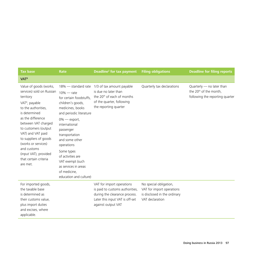| <b>Tax base</b>                                                                                                                                                                                                                                                                                                                                              | Rate                                                                                                                                                                                                                                                                                                                                                                 | Deadline <sup>2</sup> for tax payment                                                                                                                  | <b>Filing obligations</b>                                                                              | <b>Deadline for filing reports</b>                                                                   |
|--------------------------------------------------------------------------------------------------------------------------------------------------------------------------------------------------------------------------------------------------------------------------------------------------------------------------------------------------------------|----------------------------------------------------------------------------------------------------------------------------------------------------------------------------------------------------------------------------------------------------------------------------------------------------------------------------------------------------------------------|--------------------------------------------------------------------------------------------------------------------------------------------------------|--------------------------------------------------------------------------------------------------------|------------------------------------------------------------------------------------------------------|
| VAT <sup>8</sup>                                                                                                                                                                                                                                                                                                                                             |                                                                                                                                                                                                                                                                                                                                                                      |                                                                                                                                                        |                                                                                                        |                                                                                                      |
| Value of goods (works,<br>services) sold on Russian<br>territory<br>VAT <sup>9</sup> , payable<br>to the authorities,<br>is determined<br>as the difference<br>between VAT charged<br>to customers (output<br>VAT) and VAT paid<br>to suppliers of goods<br>(works or services)<br>and customs<br>(input VAT), provided<br>that certain criteria<br>are met. | $18\%$ $-$ standard rate<br>$10\%$ - rate<br>for certain foodstuffs.<br>children's goods,<br>medicines, books<br>and periodic literature<br>$0\%$ — export,<br>international<br>passenger<br>transportation<br>and some other<br>operations<br>Some types<br>of activities are<br>VAT exempt (such<br>as services in areas<br>of medicine,<br>education and culture) | 1/3 of tax amount payable<br>is due no later than<br>the 20 <sup>th</sup> of each of months<br>of the quarter, following<br>the reporting quarter      | Quarterly tax declarations                                                                             | Quarterly $-$ no later than<br>the 20 <sup>th</sup> of the month,<br>following the reporting quarter |
| For imported goods,<br>the taxable base<br>is determined as<br>their customs value,<br>plus import duties<br>and excises, where<br>applicable.                                                                                                                                                                                                               |                                                                                                                                                                                                                                                                                                                                                                      | VAT for import operations<br>is paid to customs authorities,<br>during the clearance process.<br>Later this input VAT is off-set<br>against output VAT | No special obligation,<br>VAT for import operations<br>is disclosed in the ordinary<br>VAT declaration |                                                                                                      |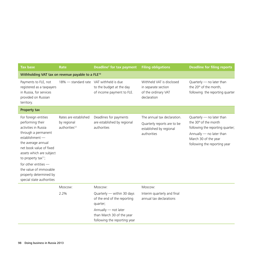| <b>Tax base</b>                                                                                                                                                                                                                                                                                                              | Rate                                                              | Deadline <sup>2</sup> for tax payment                                                                                                                                 | <b>Filing obligations</b>                                                                            | <b>Deadline for filing reports</b>                                                                                                                                                     |
|------------------------------------------------------------------------------------------------------------------------------------------------------------------------------------------------------------------------------------------------------------------------------------------------------------------------------|-------------------------------------------------------------------|-----------------------------------------------------------------------------------------------------------------------------------------------------------------------|------------------------------------------------------------------------------------------------------|----------------------------------------------------------------------------------------------------------------------------------------------------------------------------------------|
| Withholding VAT tax on revenue payable to a FLE <sup>10</sup>                                                                                                                                                                                                                                                                |                                                                   |                                                                                                                                                                       |                                                                                                      |                                                                                                                                                                                        |
| Payments to FLE, not<br>registered as a taxpayers<br>in Russia, for services<br>provided on Russian<br>territory.                                                                                                                                                                                                            | 18% - standard rate VAT withheld is due                           | to the budget at the day<br>of income payment to FLE.                                                                                                                 | Withheld VAT is disclosed<br>in separate section<br>of the ordinary VAT<br>declaration               | Quarterly - no later than<br>the 20 <sup>th</sup> of the month,<br>following the reporting quarter                                                                                     |
| Property tax                                                                                                                                                                                                                                                                                                                 |                                                                   |                                                                                                                                                                       |                                                                                                      |                                                                                                                                                                                        |
| For foreign entities<br>performing their<br>activities in Russia<br>through a permanent<br>establishment -<br>the average annual<br>net book value of fixed<br>assets which are subject<br>to property tax $11$ ;<br>for other entities $-$<br>the value of immovable<br>property determined by<br>special state authorities | Rates are established<br>by regional<br>authorities <sup>12</sup> | Deadlines for payments<br>are established by regional<br>authorities                                                                                                  | The annual tax declaration.<br>Quarterly reports are to be<br>established by regional<br>authorities | Quarterly - no later than<br>the 30 <sup>th</sup> of the month<br>following the reporting quarter;<br>Annually - no later than<br>March 30 of the year<br>following the reporting year |
|                                                                                                                                                                                                                                                                                                                              | Moscow:<br>2.2%                                                   | Moscow:<br>Quarterly - within 30 days<br>of the end of the reporting<br>quarter;<br>Annually - not later<br>than March 30 of the year<br>following the reporting year | Moscow:<br>Interim quarterly and final<br>annual tax declarations                                    |                                                                                                                                                                                        |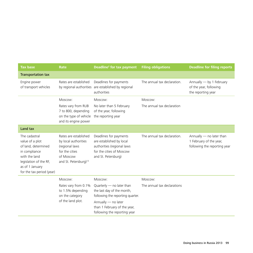| <b>Tax base</b>                                                                                                                                                     | Rate                                                                                                                                | Deadline <sup>2</sup> for tax payment                                                                                               | <b>Filing obligations</b>   | <b>Deadline for filing reports</b>                                                  |
|---------------------------------------------------------------------------------------------------------------------------------------------------------------------|-------------------------------------------------------------------------------------------------------------------------------------|-------------------------------------------------------------------------------------------------------------------------------------|-----------------------------|-------------------------------------------------------------------------------------|
| <b>Transportation tax</b>                                                                                                                                           |                                                                                                                                     |                                                                                                                                     |                             |                                                                                     |
| Engine power<br>of transport vehicles                                                                                                                               | Rates are established                                                                                                               | Deadlines for payments<br>by regional authorities are established by regional<br>authorities                                        | The annual tax declaration. | Annually - by 1 February<br>of the year, following<br>the reporting year            |
|                                                                                                                                                                     | Moscow:                                                                                                                             | Moscow:                                                                                                                             | Moscow:                     |                                                                                     |
|                                                                                                                                                                     | Rates vary from RUB<br>7 to 800, depending<br>on the type of vehicle<br>and its engine power                                        | No later than 5 February<br>of the year, following<br>the reporting year                                                            | The annual tax declaration  |                                                                                     |
| Land tax                                                                                                                                                            |                                                                                                                                     |                                                                                                                                     |                             |                                                                                     |
| The cadastral<br>value of a plot<br>of land, determined<br>in compliance<br>with the land<br>legislation of the RF,<br>as of 1 January<br>for the tax period (year) | Rates are established<br>by local authorities<br>(regional laws<br>for the cities<br>of Moscow<br>and St. Petersburg) <sup>13</sup> | Deadlines for payments<br>are established by local<br>authorities (regional laws<br>for the cities of Moscow<br>and St. Petersburg) | The annual tax declaration. | Annually - no later than<br>1 February of the year,<br>following the reporting year |
|                                                                                                                                                                     | Moscow:                                                                                                                             | Moscow:                                                                                                                             | Moscow:                     |                                                                                     |
|                                                                                                                                                                     | Rates vary from 0.1%<br>to 1.5% depending<br>on the category<br>of the land plot.                                                   | Quarterly - no later than<br>the last day of the month,<br>following the reporting quarter.<br>Annually - no later                  | The annual tax declarations |                                                                                     |
|                                                                                                                                                                     |                                                                                                                                     | than 1 February of the year,<br>following the reporting year                                                                        |                             |                                                                                     |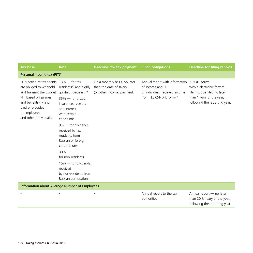| <b>Tax base</b>                                                                                                                                                                                                   | Rate                                                                                                                                                                                                                                                                                                                                                                                           | Deadline <sup>2</sup> for tax payment                                                 | <b>Filing obligations</b>                                                                                                                  | <b>Deadline for filing reports</b>                                                                                    |  |
|-------------------------------------------------------------------------------------------------------------------------------------------------------------------------------------------------------------------|------------------------------------------------------------------------------------------------------------------------------------------------------------------------------------------------------------------------------------------------------------------------------------------------------------------------------------------------------------------------------------------------|---------------------------------------------------------------------------------------|--------------------------------------------------------------------------------------------------------------------------------------------|-----------------------------------------------------------------------------------------------------------------------|--|
| Personal income tax (PIT) <sup>14</sup>                                                                                                                                                                           |                                                                                                                                                                                                                                                                                                                                                                                                |                                                                                       |                                                                                                                                            |                                                                                                                       |  |
| FLEs acting as tax agents $13\%$ - for tax<br>are obliged to withhold<br>and transmit the budget<br>PIT, based on salaries<br>and benefits-in-kind,<br>paid or provided<br>to employees<br>and other individuals. | residents <sup>15</sup> and highly<br>quilified specialists <sup>16</sup><br>35% - for prizes,<br>insurance, receipts<br>and interest<br>with certain<br>conditions<br>$9\%$ — for dividends.<br>received by tax<br>residents from<br>Russian or foreign<br>corporations<br>$30\%$ —<br>for non-residents<br>15% - for dividends,<br>received<br>by non-residents from<br>Russian corporations | On a monthly basis, no later<br>than the date of salary<br>(or other income) payment. | Annual report with information 2-NDFL forms<br>of income and PIT<br>of individuals recieved income<br>from FLE (2-NDFL form) <sup>17</sup> | with a electronic format<br>file must be filed no later<br>than 1 April of the year,<br>following the reporting year. |  |
| <b>Information about Average Number of Employees</b>                                                                                                                                                              |                                                                                                                                                                                                                                                                                                                                                                                                |                                                                                       |                                                                                                                                            |                                                                                                                       |  |

- **Annual report to the tax** authorities Annual report — no later than 20 January of the year, following the reporting year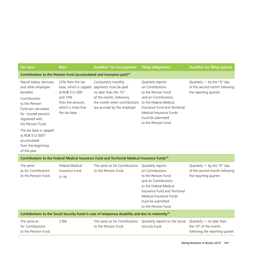| <b>Tax base</b>                                                                                                                                                                                                                                                                                      | Rate                                                                                                                             | Deadline <sup>2</sup> for tax payment                                                                                                                                        | <b>Filing obligations</b>                                                                                                                                                                                                | <b>Deadline for filing reports</b>                                                                  |  |
|------------------------------------------------------------------------------------------------------------------------------------------------------------------------------------------------------------------------------------------------------------------------------------------------------|----------------------------------------------------------------------------------------------------------------------------------|------------------------------------------------------------------------------------------------------------------------------------------------------------------------------|--------------------------------------------------------------------------------------------------------------------------------------------------------------------------------------------------------------------------|-----------------------------------------------------------------------------------------------------|--|
| Contributions to the Pension Fund (accumulated and insurance part) <sup>18</sup>                                                                                                                                                                                                                     |                                                                                                                                  |                                                                                                                                                                              |                                                                                                                                                                                                                          |                                                                                                     |  |
| Payroll (salary, bonuses<br>and other employee<br>benefits).<br>Contributions<br>to the Pension<br>Fund are calculated<br>for insured persons<br>registered with<br>the Pension Fund.<br>The tax base is capped<br>at RUB 512 000 <sup>19</sup><br>accumulated<br>from the beginning<br>of the year. | 22% from the tax<br>base, which is capped<br>at RUB 512 000<br>and 10%<br>from the amount,<br>which is more that<br>the tax base | Compulsory monthly<br>payments must be paid<br>no later than the 15 <sup>th</sup><br>of the month, following<br>the month when contributions<br>are accrued by the employer. | Quarterly reports<br>on Contributions<br>to the Pension Fund<br>and on Contributions<br>to the Federal Medical<br>Insurance Fund and Territorial<br>Medical Insurance Funds<br>must be submitted<br>to the Pension Fund. | Quarterly - by the 15 <sup>st</sup> day<br>of the second month following<br>the reporting quarter.  |  |
|                                                                                                                                                                                                                                                                                                      |                                                                                                                                  | Contributions to the Federal Medical Insurance Fund and Territorial Medical Insurance Funds <sup>18</sup>                                                                    |                                                                                                                                                                                                                          |                                                                                                     |  |
| The same<br>as for Contributions<br>to the Pension Fund.                                                                                                                                                                                                                                             | Federal Medical<br>Insurance Fund:<br>$5.1\%$ .                                                                                  | The same as for Contributions<br>to the Pension Fund.                                                                                                                        | Quarterly reports<br>on Contributions<br>to the Pension Fund<br>and on Contributions<br>to the Federal Medical<br>Insurance Fund and Territorial<br>Medical Insurance Funds<br>must be submitted<br>to the Pension Fund  | Quarterly - by the 15 <sup>st</sup> day<br>of the second month following<br>the reporting quarter.  |  |
| Contributions to the Social Security Fund in case of temporary disability and due to maternity <sup>18</sup>                                                                                                                                                                                         |                                                                                                                                  |                                                                                                                                                                              |                                                                                                                                                                                                                          |                                                                                                     |  |
| The same as<br>for Contributions<br>to the Pension Fund.                                                                                                                                                                                                                                             | 2.9%                                                                                                                             | The same as for Contributions<br>to the Pension Fund.                                                                                                                        | Quarterly reports to the Social<br>Security Fund.                                                                                                                                                                        | Quarterly - no later than<br>the 15 <sup>th</sup> of the month,<br>following the reporting quarter. |  |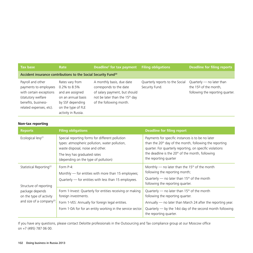| <b>Tax base</b>                                                                                                                               | Rate                                                                                                                                       | Deadline <sup>2</sup> for tax payment                                                                                                                          | <b>Filing obligations</b>                         | <b>Deadline for filing reports</b>                                                                    |  |
|-----------------------------------------------------------------------------------------------------------------------------------------------|--------------------------------------------------------------------------------------------------------------------------------------------|----------------------------------------------------------------------------------------------------------------------------------------------------------------|---------------------------------------------------|-------------------------------------------------------------------------------------------------------|--|
| Accident insurance contributions to the Social Security Fund <sup>20</sup>                                                                    |                                                                                                                                            |                                                                                                                                                                |                                                   |                                                                                                       |  |
| Payroll and other<br>payments to employees<br>with certain exceptions<br>(statutory welfare<br>benefits, business-<br>related expenses, etc). | Rates vary from<br>0.2% to 8.5%<br>and are assigned<br>on an annual basis<br>by SSF depending<br>on the type of FLE<br>activity in Russia. | A monthly basis, due date<br>corresponds to the date<br>of salary payment, but should<br>not be later than the 15 <sup>th</sup> day<br>of the following month. | Quarterly reports to the Social<br>Security Fund. | Quarterly $-$ no later than<br>the 15 <sup>th</sup> of the month,<br>following the reporting quarter. |  |

## **Non-tax reporting**

| <b>Reports</b>                                                                                                | <b>Filing obligations</b>                                                                                                             | <b>Deadline for filing report</b>                                                                                                                                                                                                                                             |  |
|---------------------------------------------------------------------------------------------------------------|---------------------------------------------------------------------------------------------------------------------------------------|-------------------------------------------------------------------------------------------------------------------------------------------------------------------------------------------------------------------------------------------------------------------------------|--|
| Ecological levy <sup>21</sup>                                                                                 | Special reporting forms for different pollution<br>types: atmospheric pollution, water pollution,<br>waste disposal, noise and other. | Payments for specific instances is to be no later<br>than the 20 <sup>th</sup> day of the month, following the reporting<br>quarter. For quarterly reporting, on specific violations<br>the deadline is the 20 <sup>th</sup> of the month, following<br>the reporting quarter |  |
|                                                                                                               | The levy has graduated rates<br>(depending on the type of pollution)                                                                  |                                                                                                                                                                                                                                                                               |  |
| Statistical Reporting <sup>22</sup>                                                                           | Form P-4:<br>Monthly - for entities with more than 15 employees;                                                                      | Monthly — no later than the 15 <sup>th</sup> of the month<br>following the reporting month;                                                                                                                                                                                   |  |
| Structure of reporting<br>package depends<br>on the type of activity<br>and size of a company <sup>23</sup> . | Quarterly $-$ for entities with less than 15 employees.                                                                               | Quarterly — no later than $15th$ of the month<br>following the reporting quarter.                                                                                                                                                                                             |  |
|                                                                                                               | Form 1-Invest: Quarterly for entities receiving or making<br>foreign investments.                                                     | Quarterly — no later than $15th$ of the month<br>following the reporting quarter.                                                                                                                                                                                             |  |
|                                                                                                               | Form 1-VES: Annually for foreign legal entities.                                                                                      | Annually $-$ no later than March 24 after the reporting year.                                                                                                                                                                                                                 |  |
|                                                                                                               | Form 1-DA for for an entity working in the service sector.                                                                            | Quarterly $-$ by the 14st day of the second month following<br>the reporting quarter.                                                                                                                                                                                         |  |

If you have any questions, please contact Deloitte professionals in the Outsourcing and Tax compliance group at our Moscow office on +7 (495) 787 06 00.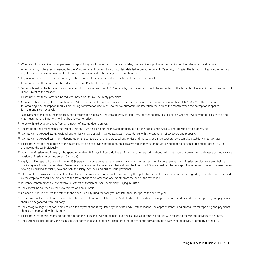- <sup>1</sup> When statutory deadline for tax payment or report filing falls for week end or official holiday, the deadline is prolonged to the first working day after the due date.
- $<sup>2</sup>$  An explanatory note is recommended by the Moscow tax authorities, it should contain detailed information on an FLE's activity in Russia. The tax authorities of other regions</sup> might also have similar requirements. This issue is to be clarified with the regional tax authorities.
- <sup>3</sup> Regional rates can be reduced according to the decision of the regional authorities, but not by more than 4,5%.
- 4 Please note that these rates can be reduced based on Double Tax Treaty provisions.
- <sup>5</sup> To be withheld by the tax agent from the amount of income due to an FLE. Please note, that the reports should be submitted to the tax authorities even if the income paid out is not subject to the taxation.
- <sup>6</sup> Please note that these rates can be reduced, based on Double Tax Treaty provisions.
- $^7$  Companies have the right to exemption from VAT if the amount of net sales revenue for three successive months was no more than RUB 2,000,000. The procedure for obtaining VAT examption requires presenting confirmation documents to the tax authorities no later than the 20th of the month, when the exemption is applied for 12 months consecutively.
- <sup>8</sup> Taxpayers must maintain separate accounting records for expenses, and consequently for input VAT, related to activities taxable by VAT and VAT exempted. Failure to do so may mean that any input VAT will not be allowed for offset.
- <sup>9</sup> To be withheld by a tax agent from an amount of income due to an FLE.
- <sup>10</sup> According to the amendments put recently into the Russian Tax Code the movable property put on the books since 2013 will not be subject to property tax.
- <sup>11</sup> Tax rate cannot exceed 2.2%. Regional authorities can also establish varied tax rates in accordance with the categories of taxpayers and property.
- <sup>12</sup> Tax rate cannot exceed 0.3 1.5% depending on the category of a land plot. Local authorities and Moscow and St .Petersburg laws can also establish varied tax rates.
- <sup>13</sup> Please note that for the purpose of this calendar, we do not provide information on legislative requirements for individuals submitting personal PIT declarations (3-NDFL) and paying the tax individually.
- <sup>14</sup> Individuals (Russian and foreign), who spend more than 183 days in Russia during a 12 month rolling period (without taking into account breaks for study leave or medical care outside of Russia that do not exceed 6 months).
- <sup>15</sup> Highly qualified specialists are eligible for 13% personal income tax rate (i.e. a rate applicable for tax residents) on income received from Russian employment even before qualifying as a Russian tax resident. Please note that according to the official clarifications, the Ministry of Finance qualifies the concept of income from the employment duties of a highly quilified specialist, covering only the salary, bonuses, and business trip payments.
- <sup>16</sup> If the employer provides any benefits-in-kind to the employees and cannot withhold and pay the applicable amount of tax, the information regarding benefits-in-kind received by the employees should be provided to the tax authorities no later than one month from the end of the tax period.
- <sup>17</sup> Insurance contributions are not payable in respect of foreign nationals temporary staying in Russia.
- <sup>18</sup> The cap will be adjusted by the Government on annual basis.
- <sup>19</sup> Companies should confirm the rate with the Social Security Fund for each year not later than 15 April of the current year.
- <sup>20</sup> The ecological levy is not considered to be a tax payment and is regulated by the State Body Rostekhnadzor. The appropriateness and procedures for reporting and payments should be negotiated with this body.
- <sup>21</sup> The ecological levy is not considered to be a tax payment and is regulated by the State Body Rostekhnadzor. The appropriateness and procedures for reporting and payments should be negotiated with this body.
- <sup>22</sup> Please note that these reports do not provide for any taxes and levies to be paid, but disclose overall accounting figures with regard to the various activities of an entity.
- <sup>23</sup> The current list includes only the main statistical forms that should be filed. There are other forms specifically assigned to each type of activity or property of the FLE.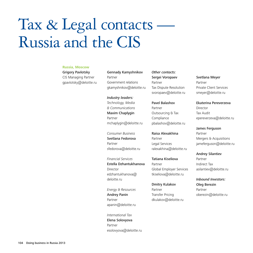## Tax & Legal contacts Russia and the CIS

#### **Russia, Moscow**

Grigory Pavlotsky CIS Managing Partner gpavlotsky@deloitte.ru Gennady Kamyshnikov Partner Government relations gkamyshnikov@deloitte.ru

*Industry leaders: Technology, Media & Communications* Maxim Chaplygin Partner mchaplygin@deloitte.ru

*Consumer Business* Svetlana Fedorova Partner sfedorova@deloitte.ru

*Financial Services* Estella Dzhantukhanova Director edzhantukhanova@ deloitte.ru

*Energy & Resources* Andrey Panin Partner apanin@deloitte.ru

*International Tax* Elena Solovyova Partner esolovyova@deloitte.ru *Other contacts:*  Sergei Voropaev Partner Tax Dispute Resolution svoropaev@deloitte.ru

Pavel Balashov Partner Outsourcing & Tax Compliance pbalashov@deloitte.ru

Raisa Alexakhina Partner Legal Services ralexakhina@deloitte.ru

Tatiana Kiseliova Partner Global Employer Services tkiseliova@deloitte.ru

Dmitry Kulakov Partner Transfer Pricing dkulakov@deloitte.ru Svetlana Meyer Partner Private Client Services smeyer@deloitte.ru

Ekaterina Pereverzeva Director Tax Audit epereverzeva@deloitte.ru

James Ferguson Partner Mergers & Acquisitions jameferguson@deloitte.ru

Andrey Silantiev Partner Indirect Tax asilantiev@deloitte.ru

*Inbound Investors:* Oleg Berezin Partner oberezin@deloitte.ru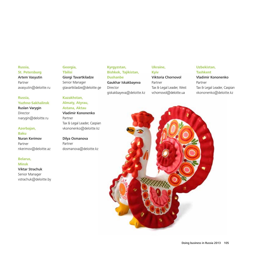## **Russia, St. Petersburg** Artem Vasyutin Partner avasyutin@deloitte.ru

**Russia, Yuzhno-Sakhalinsk**

Ruslan Varygin Director rvarygin@deloitte.ru

## **Azerbajan,**

**Baku** Nuran Kerimov Partner nkerimov@deloitte.az

#### **Belarus,**

**Minsk** Viktar Strachuk Senior Manager vstrachuk@deloitte.by

## **Georgia, Tbilisi** Giorgi Tavartkiladze

Senior Manager gtavartkiladze@deloitte.ge

## **Kazakhstan, Almaty, Atyrau,**

## **Astana, Aktau** Vladimir Kononenko Partner

Tax & Legal Leader, Caspian vkononenko@deloitte.kz

Dilya Osmanova Partner dosmanova@deloitte.kz

## **Kyrgyzstan, Bishkek, Tajikistan, Dushanbe** Gaukhar Iskakbayeva Director giskakbayeva@deloitte.kz

## **Ukraine,**

**Kyiv** Viktoria Chornovol Partner Tax & Legal Leader, West vchornovol@deloitte.ua

## **Uzbekistan, Tashkent**

Vladimir Kononenko Partner Tax & Legal Leader, Caspian vkononenko@deloitte.kz

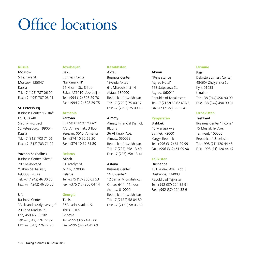## Office locations

## **Russia**

## Moscow

5 Lesnaya St. Moscow, 125047 Russia Tel: +7 (495) 787 06 00 Fax: +7 (495) 787 06 01

## St. Petersburg

Business Center "Gustaf" Lit. K, 36/40 Sredniy Prospect St. Petersburg, 199004 Russia Tel: +7 (812) 703 71 06 Fax: +7 (812) 703 71 07

### Yuzhno-Sakhalinsk

Business Center "Sfera" 78 Chekhova St. Yuzhno-Sakhalinsk, 693000, Russia Tel: +7 (4242) 46 30 55 Fax: +7 (4242) 46 30 56

## Ufa

Business Center "Aleksandrovskiy passage" 20 Karla Marksa St. Ufa, 450077, Russia Tel: +7 (347) 226 72 92 Fax: +7 (347) 226 72 93

## **Azerbaijan**

Baku Business Center "Landmark III" 96 Nizami St., 8 floor Baku, AZ1010, Azerbaijan Tel: +994 (12) 598 29 70 Fax: +994 (12) 598 29 75

## **Armenia**

#### Yerevan

Business Center "Griar" 4/6, Amiryan St., 3 floor Yerevan, 0010, Armenia Tel: +374 10 52 65 20 Fax: +374 10 52 75 20

## **Belarus**

## Minsk

51 Korolya St. Minsk, 220004 Belarus Tel: +375 (17) 200 03 53 Fax: +375 (17) 200 04 14

## **Georgia**

## Tbilisi

36A Lado Asatiani St. Tbilisi, 0105 Georgia Tel: +995 (32) 24 45 66 Fax: +995 (32) 24 45 69

## **Kazakhstan**

## Aktau

Business Center "Zvezda Aktau" 61, Microdistrict 14 Aktau, 130000 Republic of Kazakhstan Tel: +7 (7292) 75 00 17 Fax: +7 (7292) 75 00 15

## Almaty

Almaty Financial District, Bldg. B 36 Al Farabi Ave. Almaty, 050059 Republic of Kazakhstan Tel: +7 (727) 258 13 40 Fax: +7 (727) 258 13 41

## Astana

Business Center "ABS Center" 12 Samal Microdistrict, Offices 6-11, 11 floor Astana, 010000 Republic of Kazakhstan Tel: +7 (7172) 58 04 80 Fax: +7 (7172) 58 03 90

## Atyrau

"Renaissance Atyrau Hotel" 15B Satpayeva St. Atyrau, 060011 Republic of Kazakhstan Tel: +7 (7122) 58 62 40/42 Fax: +7 (7122) 58 62 41

## **Kyrgyzstan**

Bishkek 40 Manasa Ave. Bishkek, 720001 Kyrgyz Republic Tel: +996 (312) 61 29 99 Fax: +996 (312) 61 09 90

## **Tajikistan**

## Dushanbe

131 Rudaki Ave., Apt. 3 Dushanbe, 734003 Republic of Tajikistan Tel: +992 (37) 224 32 91 Fax: +992 (37) 224 32 91

## **Ukraine**

Kyiv Deloitte Business Center 48-50A Zhylyanska St. Kyiv, 01033 Ukraine Tel: +38 (044) 490 90 00 Fax: +38 (044) 490 90 01

## **Uzbekistan**

## Tashkent

Business Center "Inconel" 75 Mustakillik Ave. Tashkent, 100000 Republic of Uzbekistan Tel: +998 (71) 120 44 45 Fax: +998 (71) 120 44 47